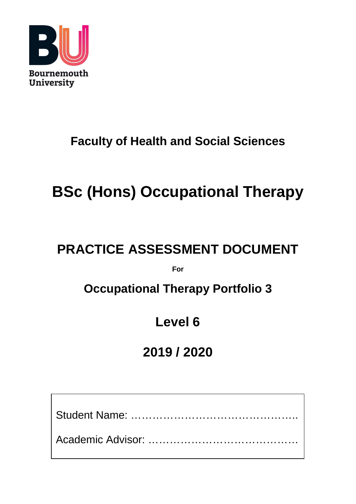

## **Faculty of Health and Social Sciences**

# **BSc (Hons) Occupational Therapy**

## **PRACTICE ASSESSMENT DOCUMENT**

**For**

## **Occupational Therapy Portfolio 3**

## **Level 6**

## **2019 / 2020**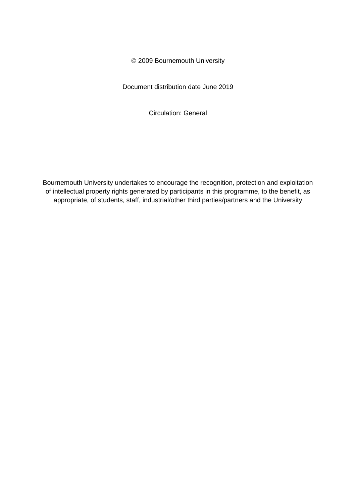2009 Bournemouth University

Document distribution date June 2019

Circulation: General

Bournemouth University undertakes to encourage the recognition, protection and exploitation of intellectual property rights generated by participants in this programme, to the benefit, as appropriate, of students, staff, industrial/other third parties/partners and the University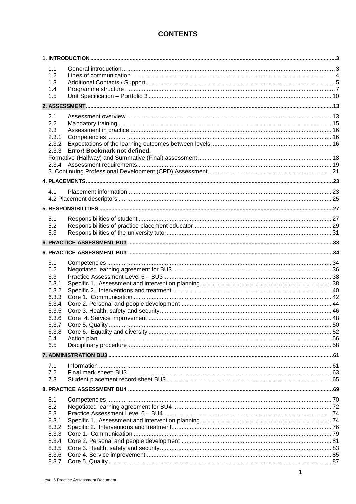### **CONTENTS**

| 1.1<br>1.2<br>1.3<br>1.4<br>1.5              |                                    |  |
|----------------------------------------------|------------------------------------|--|
|                                              |                                    |  |
| 2.1<br>2.2<br>2.3<br>2.3.1<br>2.3.2          | 2.3.3 Error! Bookmark not defined. |  |
|                                              |                                    |  |
|                                              |                                    |  |
| 4.1                                          |                                    |  |
|                                              |                                    |  |
| 5.1<br>5.2<br>5.3                            |                                    |  |
|                                              |                                    |  |
|                                              |                                    |  |
| 6.1<br>6.2<br>6.3<br>6.3.1                   |                                    |  |
| 6.3.2<br>6.3.3<br>6.3.4<br>6.3.5             |                                    |  |
| 6.3.6<br>6.3.7<br>6.3.8                      |                                    |  |
| 6.4<br>6.5                                   |                                    |  |
|                                              |                                    |  |
| 7.1<br>7.2<br>7.3                            |                                    |  |
|                                              |                                    |  |
| 8.1<br>8.2<br>8.3<br>8.3.1<br>8.3.2<br>8.3.3 |                                    |  |
| 8.3.4<br>8.3.5<br>8.3.6<br>8.3.7             |                                    |  |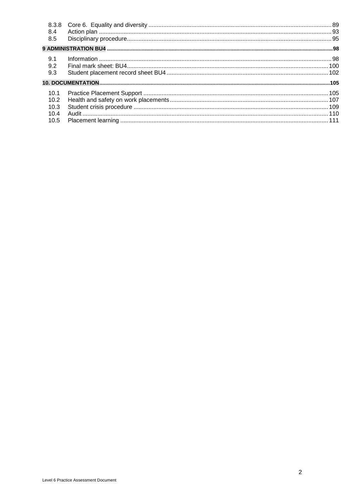| 8.3.8 |  |
|-------|--|
| 8.4   |  |
| 8.5   |  |
|       |  |
| 9.1   |  |
| 9.2   |  |
| 9.3   |  |
|       |  |
| 10.1  |  |
| 10.2  |  |
| 10.3  |  |
| 10.4  |  |
| 10.5  |  |
|       |  |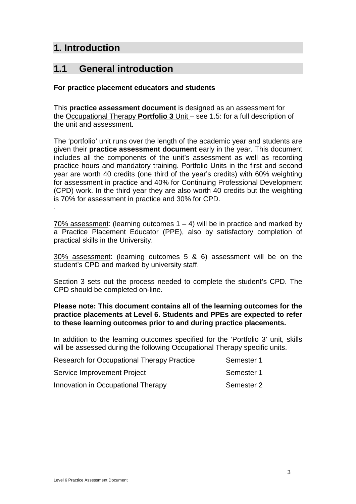### <span id="page-4-0"></span>**1. Introduction**

.

### <span id="page-4-1"></span>**1.1 General introduction**

### **For practice placement educators and students**

This **practice assessment document** is designed as an assessment for the Occupational Therapy **Portfolio 3** Unit – see 1.5: for a full description of the unit and assessment.

The 'portfolio' unit runs over the length of the academic year and students are given their **practice assessment document** early in the year. This document includes all the components of the unit's assessment as well as recording practice hours and mandatory training. Portfolio Units in the first and second year are worth 40 credits (one third of the year's credits) with 60% weighting for assessment in practice and 40% for Continuing Professional Development (CPD) work. In the third year they are also worth 40 credits but the weighting is 70% for assessment in practice and 30% for CPD.

70% assessment: (learning outcomes  $1 - 4$ ) will be in practice and marked by a Practice Placement Educator (PPE), also by satisfactory completion of practical skills in the University.

30% assessment: (learning outcomes 5 & 6) assessment will be on the student's CPD and marked by university staff.

Section 3 sets out the process needed to complete the student's CPD. The CPD should be completed on-line.

### **Please note: This document contains all of the learning outcomes for the practice placements at Level 6. Students and PPEs are expected to refer to these learning outcomes prior to and during practice placements.**

In addition to the learning outcomes specified for the 'Portfolio 3' unit, skills will be assessed during the following Occupational Therapy specific units.

| Research for Occupational Therapy Practice | Semester 1 |
|--------------------------------------------|------------|
| <b>Service Improvement Project</b>         | Semester 1 |
| Innovation in Occupational Therapy         | Semester 2 |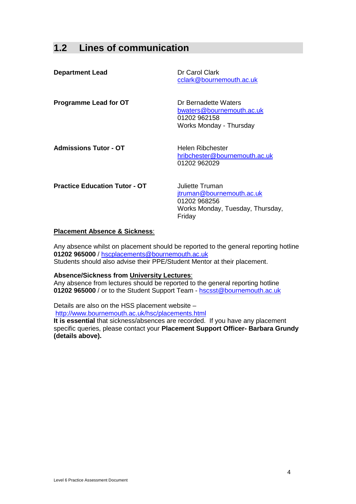### <span id="page-5-0"></span>**1.2 Lines of communication**

| <b>Department Lead</b>               | Dr Carol Clark<br>cclark@bournemouth.ac.uk                                                                        |
|--------------------------------------|-------------------------------------------------------------------------------------------------------------------|
| <b>Programme Lead for OT</b>         | Dr Bernadette Waters<br>bwaters@bournemouth.ac.uk<br>01202 962158<br>Works Monday - Thursday                      |
| <b>Admissions Tutor - OT</b>         | Helen Ribchester<br>hribchester@bournemouth.ac.uk<br>01202 962029                                                 |
| <b>Practice Education Tutor - OT</b> | Juliette Truman<br><u>jtruman@bournemouth.ac.uk</u><br>01202 968256<br>Works Monday, Tuesday, Thursday,<br>Friday |

### **Placement Absence & Sickness**:

Any absence whilst on placement should be reported to the general reporting hotline **01202 965000** / [hscplacements@bournemouth.ac.uk](mailto:hscplacements@bournemouth.ac.uk) Students should also advise their PPE/Student Mentor at their placement.

#### **Absence/Sickness from University Lectures**:

Any absence from lectures should be reported to the general reporting hotline 01202 965000 / or to the Student Support Team - hscsst@bournemouth.ac.uk

Details are also on the HSS placement website – <http://www.bournemouth.ac.uk/hsc/placements.html>

**It is essential** that sickness/absences are recorded. If you have any placement specific queries, please contact your **Placement Support Officer- Barbara Grundy (details above).**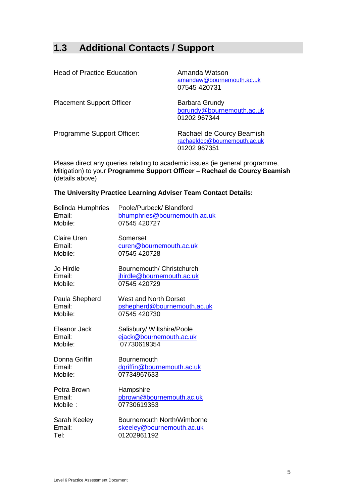### <span id="page-6-0"></span>**1.3 Additional Contacts / Support**

| <b>Head of Practice Education</b> | Amanda Watson<br>amandaw@bournemouth.ac.uk<br>07545 420731                |
|-----------------------------------|---------------------------------------------------------------------------|
| <b>Placement Support Officer</b>  | Barbara Grundy<br>bgrundy@bournemouth.ac.uk<br>01202 967344               |
| Programme Support Officer:        | Rachael de Courcy Beamish<br>rachaeldcb@bournemouth.ac.uk<br>01202 967351 |

Please direct any queries relating to academic issues (ie general programme, Mitigation) to your **Programme Support Officer – Rachael de Courcy Beamish** (details above)

### **The University Practice Learning Adviser Team Contact Details:**

| <b>Belinda Humphries</b> | Poole/Purbeck/Blandford      |
|--------------------------|------------------------------|
| Email:                   | bhumphries@bournemouth.ac.uk |
| Mobile:                  | 07545 420727                 |
| <b>Claire Uren</b>       | Somerset                     |
| Email:                   | curen@bournemouth.ac.uk      |
| Mobile:                  | 07545 420728                 |
| Jo Hirdle                | Bournemouth/ Christchurch    |
| Email:                   | jhirdle@bournemouth.ac.uk    |
| Mobile:                  | 07545 420729                 |
| Paula Shepherd           | West and North Dorset        |
| Email:                   | pshepherd@bournemouth.ac.uk  |
| Mobile:                  | 07545 420730                 |
| Eleanor Jack             | Salisbury/ Wiltshire/Poole   |
| Email:                   | ejack@bournemouth.ac.uk      |
| Mobile:                  | 07730619354                  |
| Donna Griffin            | Bournemouth                  |
| Email:                   | dgriffin@bournemouth.ac.uk   |
| Mobile:                  | 07734967633                  |
| Petra Brown              | Hampshire                    |
| Email:                   | pbrown@bournemouth.ac.uk     |
| Mobile:                  | 07730619353                  |
| Sarah Keeley             | Bournemouth North/Wimborne   |
| Email:                   | skeeley@bournemouth.ac.uk    |
| Tel:                     | 01202961192                  |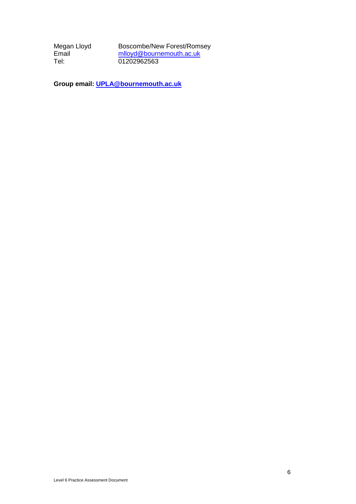Megan Lloyd Boscombe/New Forest/Romsey<br>Email mlloyd@bournemouth.ac.uk Email [mlloyd@bournemouth.ac.uk](mailto:mlloyd@bournemouth.ac.uk)<br>
Tel: 01202962563 01202962563

**Group email: [UPLA@bournemouth.ac.uk](mailto:UPLA@bournemouth.ac.uk)**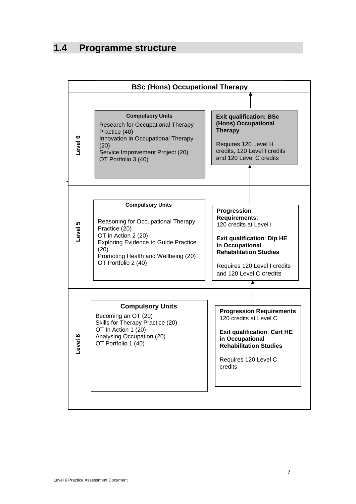### <span id="page-8-0"></span>**1.4 Programme structure**

|                                                                                                                                                                             | <b>BSc (Hons) Occupational Therapy</b>                                                                                                                                                                                     |                                                                                                                                                                                                            |  |  |  |  |
|-----------------------------------------------------------------------------------------------------------------------------------------------------------------------------|----------------------------------------------------------------------------------------------------------------------------------------------------------------------------------------------------------------------------|------------------------------------------------------------------------------------------------------------------------------------------------------------------------------------------------------------|--|--|--|--|
|                                                                                                                                                                             |                                                                                                                                                                                                                            |                                                                                                                                                                                                            |  |  |  |  |
| Level 6                                                                                                                                                                     | <b>Compulsory Units</b><br>Research for Occupational Therapy<br>Practice (40)<br>Innovation in Occupational Therapy<br>(20)<br>Service Improvement Project (20)<br>OT Portfolio 3 (40)                                     | <b>Exit qualification: BSc</b><br>(Hons) Occupational<br><b>Therapy</b><br>Requires 120 Level H<br>credits, 120 Level I credits<br>and 120 Level C credits                                                 |  |  |  |  |
|                                                                                                                                                                             |                                                                                                                                                                                                                            |                                                                                                                                                                                                            |  |  |  |  |
| Level 5                                                                                                                                                                     | <b>Compulsory Units</b><br>Reasoning for Occupational Therapy<br>Practice (20)<br>OT in Action 2 (20)<br><b>Exploring Evidence to Guide Practice</b><br>(20)<br>Promoting Health and Wellbeing (20)<br>OT Portfolio 2 (40) | Progression<br>Requirements:<br>120 credits at Level I<br><b>Exit qualification: Dip HE</b><br>in Occupational<br><b>Rehabilitation Studies</b><br>Requires 120 Level I credits<br>and 120 Level C credits |  |  |  |  |
| <b>Compulsory Units</b><br>Becoming an OT (20)<br>Skills for Therapy Practice (20)<br>OT In Action 1 (20)<br>Analysing Occupation (20)<br>vel 6<br>OT Portfolio 1 (40)<br>٩ |                                                                                                                                                                                                                            | <b>Progression Requirements</b><br>120 credits at Level C<br><b>Exit qualification: Cert HE</b><br>in Occupational<br><b>Rehabilitation Studies</b><br>Requires 120 Level C<br>credits                     |  |  |  |  |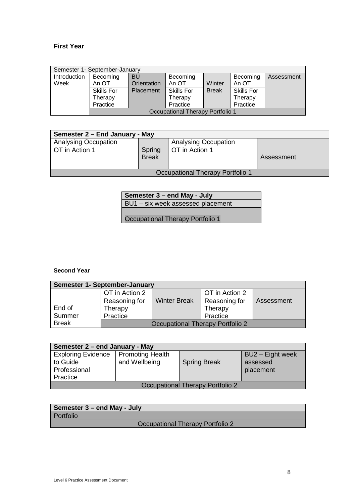### **First Year**

| Semester 1- September-January |                                  |             |            |              |                   |            |
|-------------------------------|----------------------------------|-------------|------------|--------------|-------------------|------------|
| Introduction                  | Becoming                         | <b>BU</b>   | Becoming   |              | Becoming          | Assessment |
| Week                          | An OT                            | Orientation | An OT      | Winter       | An OT             |            |
|                               | Skills For                       | Placement   | Skills For | <b>Break</b> | <b>Skills For</b> |            |
|                               | Therapy                          |             | Therapy    |              | Therapy           |            |
|                               | Practice                         |             | Practice   |              | Practice          |            |
|                               | Occupational Therapy Portfolio 1 |             |            |              |                   |            |

| Semester 2 – End January - May   |                        |                             |            |  |  |  |
|----------------------------------|------------------------|-----------------------------|------------|--|--|--|
| <b>Analysing Occupation</b>      |                        | <b>Analysing Occupation</b> |            |  |  |  |
| OT in Action 1                   | Spring<br><b>Break</b> | OT in Action 1              | Assessment |  |  |  |
| Occupational Therapy Portfolio 1 |                        |                             |            |  |  |  |

**Semester 3 – end May - July** BU1 – six week assessed placement

Occupational Therapy Portfolio 1

#### **Second Year**

| Semester 1- September-January |                                  |                     |                |            |  |  |
|-------------------------------|----------------------------------|---------------------|----------------|------------|--|--|
|                               | OT in Action 2                   |                     | OT in Action 2 |            |  |  |
|                               | Reasoning for                    | <b>Winter Break</b> | Reasoning for  | Assessment |  |  |
| End of                        | Therapy                          |                     | Therapy        |            |  |  |
| Summer                        | Practice                         |                     | Practice       |            |  |  |
| <b>Break</b>                  | Occupational Therapy Portfolio 2 |                     |                |            |  |  |

| Semester 2 – end January - May                                    |                                          |                     |                                           |  |  |  |
|-------------------------------------------------------------------|------------------------------------------|---------------------|-------------------------------------------|--|--|--|
| <b>Exploring Evidence</b><br>to Guide<br>Professional<br>Practice | <b>Promoting Health</b><br>and Wellbeing | <b>Spring Break</b> | BU2 - Eight week<br>assessed<br>placement |  |  |  |
|                                                                   |                                          |                     |                                           |  |  |  |
| Occupational Therapy Portfolio 2                                  |                                          |                     |                                           |  |  |  |

| Semester 3 – end May - July      |
|----------------------------------|
| Portfolio                        |
| Occupational Therapy Portfolio 2 |
|                                  |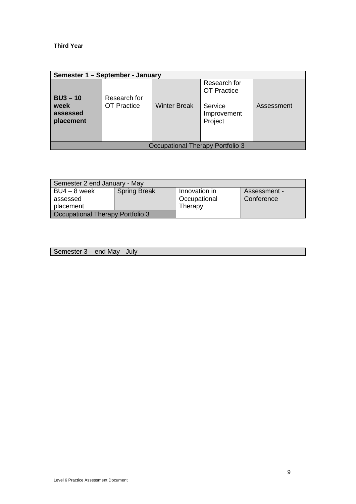#### **Third Year**

| Semester 1 - September - January        |                    |                     |                                    |            |
|-----------------------------------------|--------------------|---------------------|------------------------------------|------------|
| $BU3 - 10$                              | Research for       |                     | Research for<br><b>OT Practice</b> |            |
| week<br>assessed<br>placement           | <b>OT Practice</b> | <b>Winter Break</b> | Service<br>Improvement<br>Project  | Assessment |
| <b>Occupational Therapy Portfolio 3</b> |                    |                     |                                    |            |

| Semester 2 end January - May            |                     |               |              |  |
|-----------------------------------------|---------------------|---------------|--------------|--|
| BU4 - 8 week                            | <b>Spring Break</b> | Innovation in | Assessment - |  |
| assessed                                |                     | Occupational  | Conference   |  |
| placement                               |                     | Therapy       |              |  |
| <b>Cocupational Therapy Portfolio 3</b> |                     |               |              |  |

Semester 3 – end May - July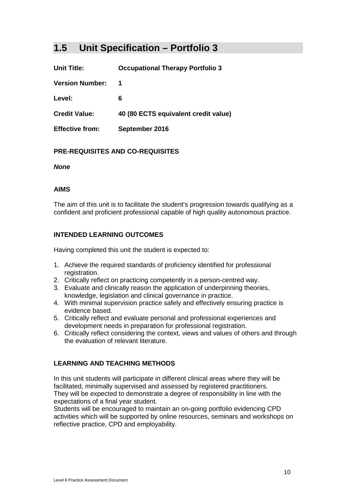### <span id="page-11-0"></span>**1.5 Unit Specification – Portfolio 3**

**Unit Title: Occupational Therapy Portfolio 3**

**Version Number: 1**

**Level: 6**

**Credit Value: 40 (80 ECTS equivalent credit value)**

**Effective from: September 2016**

### **PRE-REQUISITES AND CO-REQUISITES**

*None*

### **AIMS**

The aim of this unit is to facilitate the student's progression towards qualifying as a confident and proficient professional capable of high quality autonomous practice.

### **INTENDED LEARNING OUTCOMES**

Having completed this unit the student is expected to:

- 1. Achieve the required standards of proficiency identified for professional registration.
- 2. Critically reflect on practicing competently in a person-centred way.
- 3. Evaluate and clinically reason the application of underpinning theories, knowledge, legislation and clinical governance in practice.
- 4. With minimal supervision practice safely and effectively ensuring practice is evidence based.
- 5. Critically reflect and evaluate personal and professional experiences and development needs in preparation for professional registration.
- 6. Critically reflect considering the context, views and values of others and through the evaluation of relevant literature.

### **LEARNING AND TEACHING METHODS**

In this unit students will participate in different clinical areas where they will be facilitated, minimally supervised and assessed by registered practitioners. They will be expected to demonstrate a degree of responsibility in line with the expectations of a final year student.

Students will be encouraged to maintain an on-going portfolio evidencing CPD activities which will be supported by online resources, seminars and workshops on reflective practice, CPD and employability.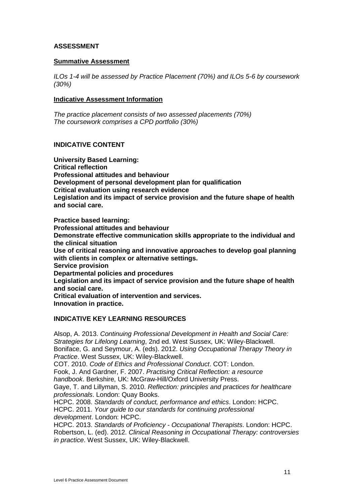### **ASSESSMENT**

#### **Summative Assessment**

*ILOs 1-4 will be assessed by Practice Placement (70%) and ILOs 5-6 by coursework (30%)* 

#### **Indicative Assessment Information**

*The practice placement consists of two assessed placements (70%) The coursework comprises a CPD portfolio (30%)* 

### **INDICATIVE CONTENT**

**University Based Learning: Critical reflection Professional attitudes and behaviour Development of personal development plan for qualification Critical evaluation using research evidence Legislation and its impact of service provision and the future shape of health and social care.**

**Practice based learning: Professional attitudes and behaviour Demonstrate effective communication skills appropriate to the individual and the clinical situation Use of critical reasoning and innovative approaches to develop goal planning with clients in complex or alternative settings. Service provision Departmental policies and procedures Legislation and its impact of service provision and the future shape of health and social care. Critical evaluation of intervention and services. Innovation in practice.**

#### **INDICATIVE KEY LEARNING RESOURCES**

Alsop, A. 2013. *Continuing Professional Development in Health and Social Care: Strategies for Lifelong Learning*, 2nd ed. West Sussex, UK: Wiley-Blackwell. Boniface, G. and Seymour, A. (eds). 2012. *Using Occupational Therapy Theory in Practice*. West Sussex, UK: Wiley-Blackwell. COT. 2010. *Code of Ethics and Professional Conduct*. COT: London. Fook, J. And Gardner, F. 2007. *Practising Critical Reflection: a resource handbook*. Berkshire, UK: McGraw-Hill/Oxford University Press. Gaye, T. and Lillyman, S. 2010. *Reflection: principles and practices for healthcare professionals*. London: Quay Books. HCPC. 2008. *Standards of conduct, performance and ethics*. London: HCPC. HCPC. 2011. *Your guide to our standards for continuing professional development*. London: HCPC. HCPC. 2013. *Standards of Proficiency - Occupational Therapists*. London: HCPC. Robertson, L. (ed). 2012. *Clinical Reasoning in Occupational Therapy: controversies* 

*in practice*. West Sussex, UK: Wiley-Blackwell.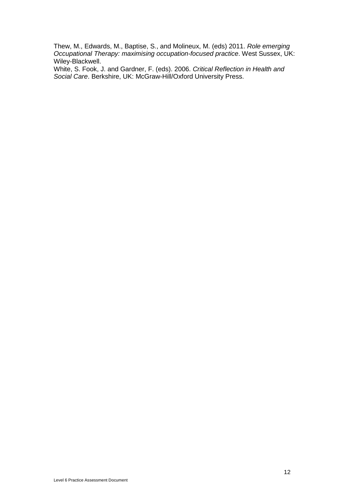Thew, M., Edwards, M., Baptise, S., and Molineux, M. (eds) 2011. *Role emerging Occupational Therapy: maximising occupation-focused practice*. West Sussex, UK: Wiley-Blackwell.

White, S. Fook, J. and Gardner, F. (eds). 2006. *Critical Reflection in Health and Social Care*. Berkshire, UK: McGraw-Hill/Oxford University Press.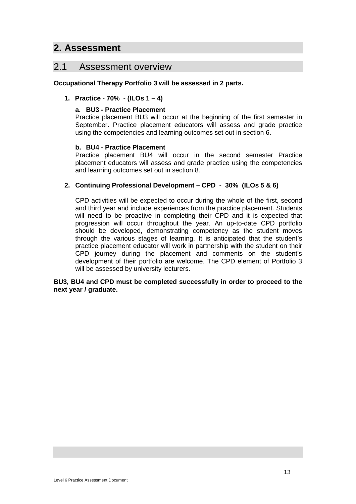### <span id="page-14-0"></span>**2. Assessment**

### <span id="page-14-1"></span>2.1 Assessment overview

### **Occupational Therapy Portfolio 3 will be assessed in 2 parts.**

### **1. Practice - 70% - (ILOs 1 – 4)**

### **a. BU3 - Practice Placement**

Practice placement BU3 will occur at the beginning of the first semester in September. Practice placement educators will assess and grade practice using the competencies and learning outcomes set out in section 6.

### **b. BU4 - Practice Placement**

Practice placement BU4 will occur in the second semester Practice placement educators will assess and grade practice using the competencies and learning outcomes set out in section 8.

### **2. Continuing Professional Development – CPD - 30% (ILOs 5 & 6)**

CPD activities will be expected to occur during the whole of the first, second and third year and include experiences from the practice placement. Students will need to be proactive in completing their CPD and it is expected that progression will occur throughout the year. An up-to-date CPD portfolio should be developed, demonstrating competency as the student moves through the various stages of learning. It is anticipated that the student's practice placement educator will work in partnership with the student on their CPD journey during the placement and comments on the student's development of their portfolio are welcome. The CPD element of Portfolio 3 will be assessed by university lecturers.

#### <span id="page-14-2"></span>**BU3, BU4 and CPD must be completed successfully in order to proceed to the next year / graduate.**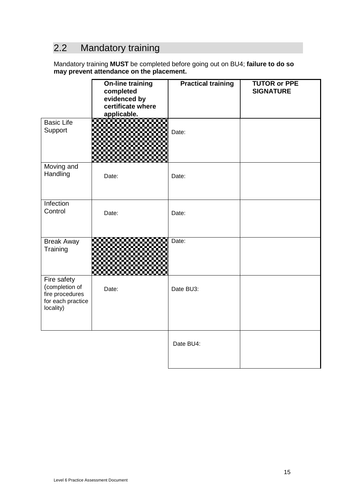### 2.2 Mandatory training

Mandatory training **MUST** be completed before going out on BU4; **failure to do so may prevent attendance on the placement.** 

|                                                                                    | <b>On-line training</b><br>completed<br>evidenced by<br>certificate where<br>applicable. | <b>Practical training</b> | <b>TUTOR or PPE</b><br><b>SIGNATURE</b> |
|------------------------------------------------------------------------------------|------------------------------------------------------------------------------------------|---------------------------|-----------------------------------------|
| <b>Basic Life</b><br>Support                                                       |                                                                                          | Date:                     |                                         |
| Moving and<br>Handling                                                             | Date:                                                                                    | Date:                     |                                         |
| Infection<br>Control                                                               | Date:                                                                                    | Date:                     |                                         |
| <b>Break Away</b><br>Training                                                      |                                                                                          | Date:                     |                                         |
| Fire safety<br>(completion of<br>fire procedures<br>for each practice<br>locality) | Date:                                                                                    | Date BU3:                 |                                         |
|                                                                                    |                                                                                          | Date BU4:                 |                                         |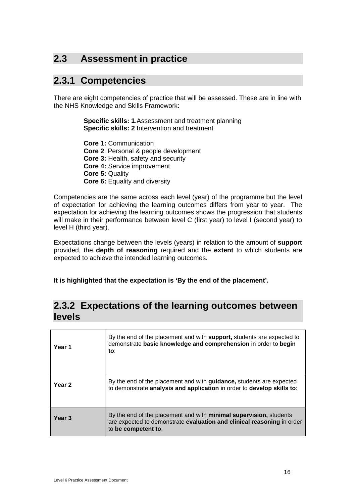### <span id="page-17-0"></span>**2.3 Assessment in practice**

### <span id="page-17-1"></span>**2.3.1 Competencies**

There are eight competencies of practice that will be assessed. These are in line with the NHS Knowledge and Skills Framework:

> **Specific skills: 1**.Assessment and treatment planning **Specific skills: 2** Intervention and treatment

**Core 1:** Communication **Core 2**: Personal & people development **Core 3:** Health, safety and security **Core 4:** Service improvement **Core 5:** Quality **Core 6:** Equality and diversity

Competencies are the same across each level (year) of the programme but the level of expectation for achieving the learning outcomes differs from year to year. The expectation for achieving the learning outcomes shows the progression that students will make in their performance between level C (first year) to level I (second year) to level H (third year).

Expectations change between the levels (years) in relation to the amount of **support** provided, the **depth of reasoning** required and the **extent** to which students are expected to achieve the intended learning outcomes.

**It is highlighted that the expectation is 'By the end of the placement'.**

### <span id="page-17-2"></span>**2.3.2 Expectations of the learning outcomes between levels**

| Year 1            | By the end of the placement and with <b>support</b> , students are expected to<br>demonstrate basic knowledge and comprehension in order to begin<br>to:                    |
|-------------------|-----------------------------------------------------------------------------------------------------------------------------------------------------------------------------|
| Year <sub>2</sub> | By the end of the placement and with <b>quidance</b> , students are expected<br>to demonstrate analysis and application in order to develop skills to:                      |
| Year <sub>3</sub> | By the end of the placement and with <b>minimal supervision</b> , students<br>are expected to demonstrate evaluation and clinical reasoning in order<br>to be competent to: |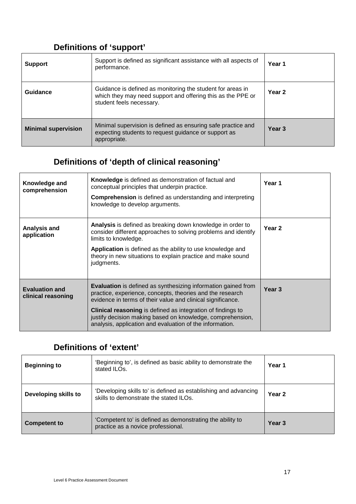### **Definitions of 'support'**

| <b>Support</b>             | Support is defined as significant assistance with all aspects of<br>performance.                                                                      | Year 1            |
|----------------------------|-------------------------------------------------------------------------------------------------------------------------------------------------------|-------------------|
| Guidance                   | Guidance is defined as monitoring the student for areas in<br>which they may need support and offering this as the PPE or<br>student feels necessary. | Year 2            |
| <b>Minimal supervision</b> | Minimal supervision is defined as ensuring safe practice and<br>expecting students to request guidance or support as<br>appropriate.                  | Year <sub>3</sub> |

### **Definitions of 'depth of clinical reasoning'**

| Knowledge and<br>comprehension              | <b>Knowledge</b> is defined as demonstration of factual and<br>conceptual principles that underpin practice.<br><b>Comprehension</b> is defined as understanding and interpreting<br>knowledge to develop arguments.                                                                                                                                                                             | Year 1            |
|---------------------------------------------|--------------------------------------------------------------------------------------------------------------------------------------------------------------------------------------------------------------------------------------------------------------------------------------------------------------------------------------------------------------------------------------------------|-------------------|
| Analysis and<br>application                 | Analysis is defined as breaking down knowledge in order to<br>consider different approaches to solving problems and identify<br>limits to knowledge.<br>Application is defined as the ability to use knowledge and<br>theory in new situations to explain practice and make sound<br>judgments.                                                                                                  | Year <sub>2</sub> |
| <b>Evaluation and</b><br>clinical reasoning | <b>Evaluation</b> is defined as synthesizing information gained from<br>practice, experience, concepts, theories and the research<br>evidence in terms of their value and clinical significance.<br><b>Clinical reasoning</b> is defined as integration of findings to<br>justify decision making based on knowledge, comprehension,<br>analysis, application and evaluation of the information. | Year <sub>3</sub> |

### **Definitions of 'extent'**

| <b>Beginning to</b>  | 'Beginning to', is defined as basic ability to demonstrate the<br>stated ILOs.                            | Year 1            |
|----------------------|-----------------------------------------------------------------------------------------------------------|-------------------|
| Developing skills to | 'Developing skills to' is defined as establishing and advancing<br>skills to demonstrate the stated ILOs. | Year <sub>2</sub> |
| <b>Competent to</b>  | 'Competent to' is defined as demonstrating the ability to<br>practice as a novice professional.           | Year 3            |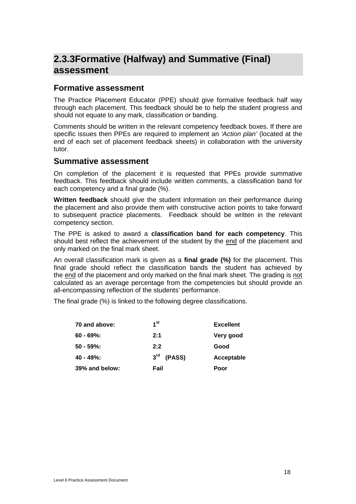### <span id="page-19-0"></span>**2.3.3Formative (Halfway) and Summative (Final) assessment**

### **Formative assessment**

The Practice Placement Educator (PPE) should give formative feedback half way through each placement. This feedback should be to help the student progress and should not equate to any mark, classification or banding.

Comments should be written in the relevant competency feedback boxes. If there are specific issues then PPEs are required to implement an *'Action plan'* (located at the end of each set of placement feedback sheets) in collaboration with the university tutor.

### **Summative assessment**

On completion of the placement it is requested that PPEs provide summative feedback. This feedback should include written comments, a classification band for each competency and a final grade (%).

**Written feedback** should give the student information on their performance during the placement and also provide them with constructive action points to take forward to subsequent practice placements. Feedback should be written in the relevant competency section.

The PPE is asked to award a **classification band for each competency**. This should best reflect the achievement of the student by the end of the placement and only marked on the final mark sheet.

An overall classification mark is given as a **final grade (%)** for the placement. This final grade should reflect the classification bands the student has achieved by the end of the placement and only marked on the final mark sheet. The grading is not calculated as an average percentage from the competencies but should provide an all-encompassing reflection of the students' performance.

The final grade (%) is linked to the following degree classifications.

| 70 and above:  | 1 <sup>st</sup> | <b>Excellent</b> |
|----------------|-----------------|------------------|
| 60 - 69%:      | 2:1             | Very good        |
| 50 - 59%:      | 2:2             | Good             |
| 40 - 49%:      | $3rd$ (PASS)    | Acceptable       |
| 39% and below: | Fail            | Poor             |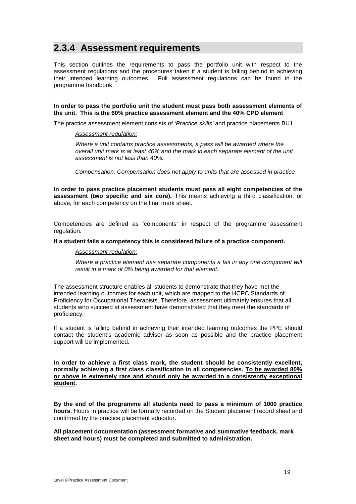### <span id="page-20-0"></span>**2.3.4 Assessment requirements**

This section outlines the requirements to pass the portfolio unit with respect to the assessment regulations and the procedures taken if a student is falling behind in achieving their intended learning outcomes. Full assessment regulations can be found in the programme handbook.

#### **In order to pass the portfolio unit the student must pass both assessment elements of the unit. This is the 60% practice assessment element and the 40% CPD element**

The practice assessment element consists of *'Practice skills'* and practice placements BU1.

#### *Assessment regulation:*

*Where a unit contains practice assessments, a pass will be awarded where the overall unit mark is at least 40% and the mark in each separate element of the unit assessment is not less than 40%.*

*Compensation: Compensation does not apply to units that are assessed in practice*

**In order to pass practice placement students must pass all eight competencies of the assessment (two specific and six core).** This means achieving a third classification, or above, for each competency on the final mark sheet.

Competencies are defined as 'components' in respect of the programme assessment regulation.

#### **If a student fails a competency this is considered failure of a practice component.**

#### *Assessment regulation:*

*Where a practice element has separate components a fail in any one component will result in a mark of 0% being awarded for that element.* 

The assessment structure enables all students to demonstrate that they have met the intended learning outcomes for each unit, which are mapped to the HCPC Standards of Proficiency for Occupational Therapists. Therefore, assessment ultimately ensures that all students who succeed at assessment have demonstrated that they meet the standards of proficiency.

If a student is falling behind in achieving their intended learning outcomes the PPE should contact the student's academic advisor as soon as possible and the practice placement support will be implemented.

**In order to achieve a first class mark, the student should be consistently excellent, normally achieving a first class classification in all competencies. To be awarded 80% or above is extremely rare and should only be awarded to a consistently exceptional student.**

**By the end of the programme all students need to pass a minimum of 1000 practice hours**. Hours in practice will be formally recorded on the Student placement record sheet and confirmed by the practice placement educator.

**All placement documentation (assessment formative and summative feedback, mark sheet and hours) must be completed and submitted to administration.**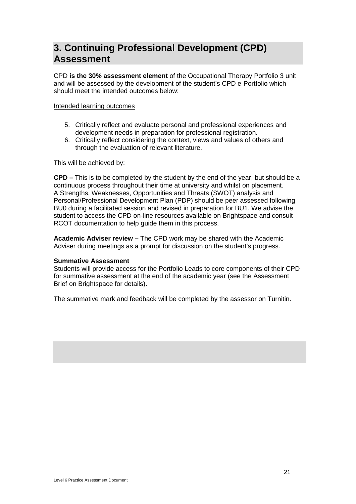### <span id="page-22-0"></span>**3. Continuing Professional Development (CPD) Assessment**

CPD **is the 30% assessment element** of the Occupational Therapy Portfolio 3 unit and will be assessed by the development of the student's CPD e-Portfolio which should meet the intended outcomes below:

#### Intended learning outcomes

- 5. Critically reflect and evaluate personal and professional experiences and development needs in preparation for professional registration.
- 6. Critically reflect considering the context, views and values of others and through the evaluation of relevant literature.

This will be achieved by:

**CPD –** This is to be completed by the student by the end of the year, but should be a continuous process throughout their time at university and whilst on placement. A Strengths, Weaknesses, Opportunities and Threats (SWOT) analysis and Personal/Professional Development Plan (PDP) should be peer assessed following BU0 during a facilitated session and revised in preparation for BU1. We advise the student to access the CPD on-line resources available on Brightspace and consult RCOT documentation to help guide them in this process.

**Academic Adviser review –** The CPD work may be shared with the Academic Adviser during meetings as a prompt for discussion on the student's progress.

#### **Summative Assessment**

Students will provide access for the Portfolio Leads to core components of their CPD for summative assessment at the end of the academic year (see the Assessment Brief on Brightspace for details).

<span id="page-22-1"></span>The summative mark and feedback will be completed by the assessor on Turnitin.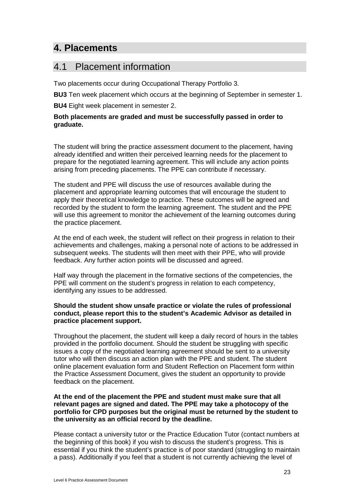### **4. Placements**

### <span id="page-24-0"></span>4.1 Placement information

Two placements occur during Occupational Therapy Portfolio 3.

**BU3** Ten week placement which occurs at the beginning of September in semester 1.

**BU4** Eight week placement in semester 2.

### **Both placements are graded and must be successfully passed in order to graduate.**

The student will bring the practice assessment document to the placement, having already identified and written their perceived learning needs for the placement to prepare for the negotiated learning agreement. This will include any action points arising from preceding placements. The PPE can contribute if necessary.

The student and PPE will discuss the use of resources available during the placement and appropriate learning outcomes that will encourage the student to apply their theoretical knowledge to practice. These outcomes will be agreed and recorded by the student to form the learning agreement. The student and the PPE will use this agreement to monitor the achievement of the learning outcomes during the practice placement.

At the end of each week, the student will reflect on their progress in relation to their achievements and challenges, making a personal note of actions to be addressed in subsequent weeks. The students will then meet with their PPE, who will provide feedback. Any further action points will be discussed and agreed.

Half way through the placement in the formative sections of the competencies, the PPE will comment on the student's progress in relation to each competency, identifying any issues to be addressed.

### **Should the student show unsafe practice or violate the rules of professional conduct, please report this to the student's Academic Advisor as detailed in practice placement support.**

Throughout the placement, the student will keep a daily record of hours in the tables provided in the portfolio document. Should the student be struggling with specific issues a copy of the negotiated learning agreement should be sent to a university tutor who will then discuss an action plan with the PPE and student. The student online placement evaluation form and Student Reflection on Placement form within the Practice Assessment Document, gives the student an opportunity to provide feedback on the placement.

### **At the end of the placement the PPE and student must make sure that all relevant pages are signed and dated. The PPE may take a photocopy of the portfolio for CPD purposes but the original must be returned by the student to the university as an official record by the deadline.**

Please contact a university tutor or the Practice Education Tutor (contact numbers at the beginning of this book) if you wish to discuss the student's progress. This is essential if you think the student's practice is of poor standard (struggling to maintain a pass). Additionally if you feel that a student is not currently achieving the level of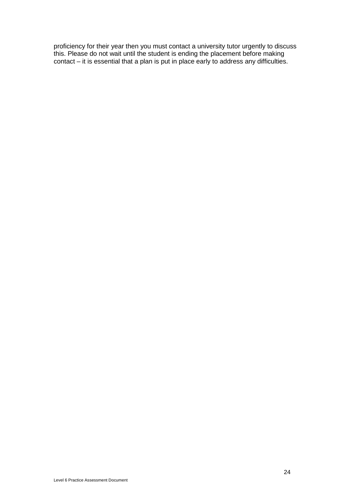proficiency for their year then you must contact a university tutor urgently to discuss this. Please do not wait until the student is ending the placement before making contact – it is essential that a plan is put in place early to address any difficulties.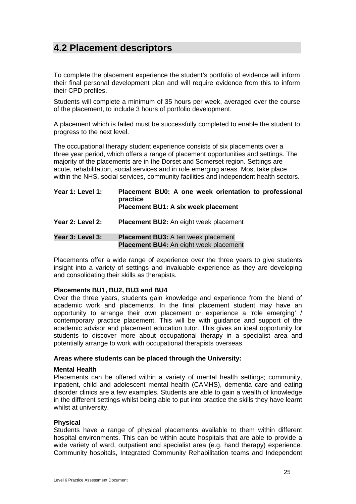### <span id="page-26-0"></span>**4.2 Placement descriptors**

To complete the placement experience the student's portfolio of evidence will inform their final personal development plan and will require evidence from this to inform their CPD profiles.

Students will complete a minimum of 35 hours per week, averaged over the course of the placement, to include 3 hours of portfolio development.

A placement which is failed must be successfully completed to enable the student to progress to the next level.

The occupational therapy student experience consists of six placements over a three year period, which offers a range of placement opportunities and settings. The majority of the placements are in the Dorset and Somerset region. Settings are acute, rehabilitation, social services and in role emerging areas. Most take place within the NHS, social services, community facilities and independent health sectors.

| Year 1: Level 1: | Placement BU0: A one week orientation to professional<br>practice<br><b>Placement BU1: A six week placement</b> |
|------------------|-----------------------------------------------------------------------------------------------------------------|
| Year 2: Level 2: | <b>Placement BU2:</b> An eight week placement                                                                   |
| Year 3: Level 3: | <b>Placement BU3:</b> A ten week placement<br><b>Placement BU4:</b> An eight week placement                     |

Placements offer a wide range of experience over the three years to give students insight into a variety of settings and invaluable experience as they are developing and consolidating their skills as therapists.

#### **Placements BU1, BU2, BU3 and BU4**

Over the three years, students gain knowledge and experience from the blend of academic work and placements. In the final placement student may have an opportunity to arrange their own placement or experience a 'role emerging' / contemporary practice placement. This will be with guidance and support of the academic advisor and placement education tutor. This gives an ideal opportunity for students to discover more about occupational therapy in a specialist area and potentially arrange to work with occupational therapists overseas.

#### **Areas where students can be placed through the University:**

#### **Mental Health**

Placements can be offered within a variety of mental health settings; community, inpatient, child and adolescent mental health (CAMHS), dementia care and eating disorder clinics are a few examples. Students are able to gain a wealth of knowledge in the different settings whilst being able to put into practice the skills they have learnt whilst at university.

#### **Physical**

Students have a range of physical placements available to them within different hospital environments. This can be within acute hospitals that are able to provide a wide variety of ward, outpatient and specialist area (e.g. hand therapy) experience. Community hospitals, Integrated Community Rehabilitation teams and Independent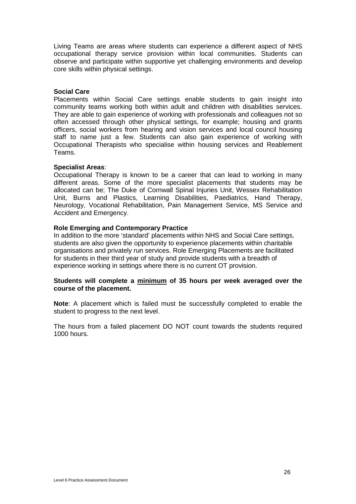Living Teams are areas where students can experience a different aspect of NHS occupational therapy service provision within local communities. Students can observe and participate within supportive yet challenging environments and develop core skills within physical settings.

### **Social Care**

Placements within Social Care settings enable students to gain insight into community teams working both within adult and children with disabilities services. They are able to gain experience of working with professionals and colleagues not so often accessed through other physical settings, for example; housing and grants officers, social workers from hearing and vision services and local council housing staff to name just a few. Students can also gain experience of working with Occupational Therapists who specialise within housing services and Reablement Teams.

### **Specialist Areas**:

Occupational Therapy is known to be a career that can lead to working in many different areas. Some of the more specialist placements that students may be allocated can be; The Duke of Cornwall Spinal Injuries Unit, Wessex Rehabilitation Unit, Burns and Plastics, Learning Disabilities, Paediatrics, Hand Therapy, Neurology, Vocational Rehabilitation, Pain Management Service, MS Service and Accident and Emergency.

### **Role Emerging and Contemporary Practice**

In addition to the more 'standard' placements within NHS and Social Care settings, students are also given the opportunity to experience placements within charitable organisations and privately run services. Role Emerging Placements are facilitated for students in their third year of study and provide students with a breadth of experience working in settings where there is no current OT provision.

### **Students will complete a minimum of 35 hours per week averaged over the course of the placement.**

**Note**: A placement which is failed must be successfully completed to enable the student to progress to the next level.

The hours from a failed placement DO NOT count towards the students required 1000 hours.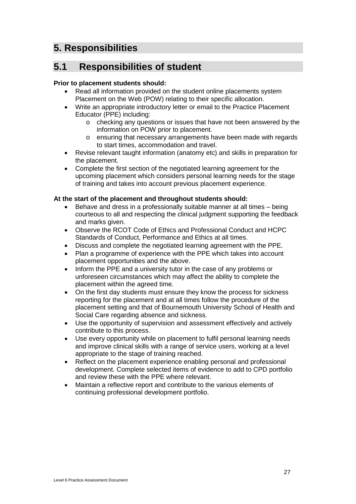### <span id="page-28-0"></span>**5. Responsibilities**

### <span id="page-28-1"></span>**5.1 Responsibilities of student**

### **Prior to placement students should:**

- Read all information provided on the student online placements system Placement on the Web (POW) relating to their specific allocation.
- Write an appropriate introductory letter or email to the Practice Placement Educator (PPE) including:
	- o checking any questions or issues that have not been answered by the information on POW prior to placement.
	- o ensuring that necessary arrangements have been made with regards to start times, accommodation and travel.
- Revise relevant taught information (anatomy etc) and skills in preparation for the placement.
- Complete the first section of the negotiated learning agreement for the upcoming placement which considers personal learning needs for the stage of training and takes into account previous placement experience.

### **At the start of the placement and throughout students should:**

- Behave and dress in a professionally suitable manner at all times being courteous to all and respecting the clinical judgment supporting the feedback and marks given.
- Observe the RCOT Code of Ethics and Professional Conduct and HCPC Standards of Conduct, Performance and Ethics at all times.
- Discuss and complete the negotiated learning agreement with the PPE.
- Plan a programme of experience with the PPE which takes into account placement opportunities and the above.
- Inform the PPE and a university tutor in the case of any problems or unforeseen circumstances which may affect the ability to complete the placement within the agreed time.
- On the first day students must ensure they know the process for sickness reporting for the placement and at all times follow the procedure of the placement setting and that of Bournemouth University School of Health and Social Care regarding absence and sickness.
- Use the opportunity of supervision and assessment effectively and actively contribute to this process.
- Use every opportunity while on placement to fulfil personal learning needs and improve clinical skills with a range of service users, working at a level appropriate to the stage of training reached.
- Reflect on the placement experience enabling personal and professional development. Complete selected items of evidence to add to CPD portfolio and review these with the PPE where relevant.
- Maintain a reflective report and contribute to the various elements of continuing professional development portfolio.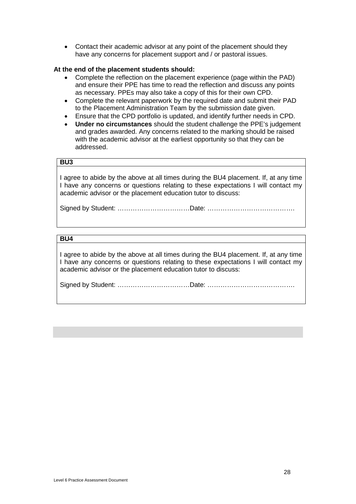• Contact their academic advisor at any point of the placement should they have any concerns for placement support and / or pastoral issues.

### **At the end of the placement students should:**

- Complete the reflection on the placement experience (page within the PAD) and ensure their PPE has time to read the reflection and discuss any points as necessary. PPEs may also take a copy of this for their own CPD.
- Complete the relevant paperwork by the required date and submit their PAD to the Placement Administration Team by the submission date given.
- Ensure that the CPD portfolio is updated, and identify further needs in CPD.
- **Under no circumstances** should the student challenge the PPE's judgement and grades awarded. Any concerns related to the marking should be raised with the academic advisor at the earliest opportunity so that they can be addressed.

### **BU3**

I agree to abide by the above at all times during the BU4 placement. If, at any time I have any concerns or questions relating to these expectations I will contact my academic advisor or the placement education tutor to discuss:

Signed by Student: ……………………………Date: ………………………………….

### **BU4**

I agree to abide by the above at all times during the BU4 placement. If, at any time I have any concerns or questions relating to these expectations I will contact my academic advisor or the placement education tutor to discuss:

Signed by Student: ……………………………Date: ………………………………….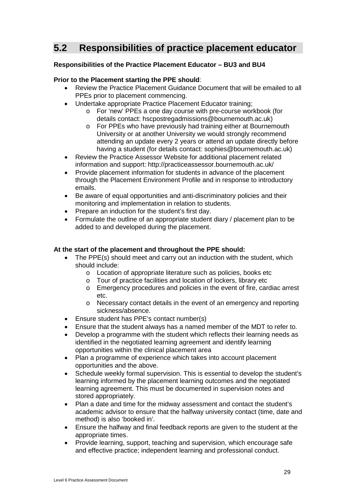### <span id="page-30-0"></span>**5.2 Responsibilities of practice placement educator**

### **Responsibilities of the Practice Placement Educator – BU3 and BU4**

### **Prior to the Placement starting the PPE should**:

- Review the Practice Placement Guidance Document that will be emailed to all PPEs prior to placement commencing.
- Undertake appropriate Practice Placement Educator training;
	- o For 'new' PPEs a one day course with pre-course workbook (for details contact: hscpostregadmissions@bournemouth.ac.uk)
	- o For PPEs who have previously had training either at Bournemouth University or at another University we would strongly recommend attending an update every 2 years or attend an update directly before having a student (for details contact: sophies@bournemouth.ac.uk)
- Review the Practice Assessor Website for additional placement related information and support: http://practiceassessor.bournemouth.ac.uk/
- Provide placement information for students in advance of the placement through the Placement Environment Profile and in response to introductory emails.
- Be aware of equal opportunities and anti-discriminatory policies and their monitoring and implementation in relation to students.
- Prepare an induction for the student's first day.
- Formulate the outline of an appropriate student diary / placement plan to be added to and developed during the placement.

### **At the start of the placement and throughout the PPE should:**

- The PPE(s) should meet and carry out an induction with the student, which should include:
	- o Location of appropriate literature such as policies, books etc
	- o Tour of practice facilities and location of lockers, library etc
	- o Emergency procedures and policies in the event of fire, cardiac arrest etc.
	- o Necessary contact details in the event of an emergency and reporting sickness/absence.
- Ensure student has PPE's contact number(s)
- Ensure that the student always has a named member of the MDT to refer to.
- Develop a programme with the student which reflects their learning needs as identified in the negotiated learning agreement and identify learning opportunities within the clinical placement area
- Plan a programme of experience which takes into account placement opportunities and the above.
- Schedule weekly formal supervision. This is essential to develop the student's learning informed by the placement learning outcomes and the negotiated learning agreement. This must be documented in supervision notes and stored appropriately.
- Plan a date and time for the midway assessment and contact the student's academic advisor to ensure that the halfway university contact (time, date and method) is also 'booked in'.
- Ensure the halfway and final feedback reports are given to the student at the appropriate times.
- Provide learning, support, teaching and supervision, which encourage safe and effective practice; independent learning and professional conduct.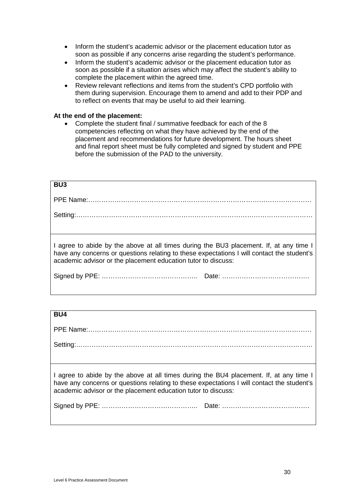- Inform the student's academic advisor or the placement education tutor as soon as possible if any concerns arise regarding the student's performance.
- Inform the student's academic advisor or the placement education tutor as soon as possible if a situation arises which may affect the student's ability to complete the placement within the agreed time.
- Review relevant reflections and items from the student's CPD portfolio with them during supervision. Encourage them to amend and add to their PDP and to reflect on events that may be useful to aid their learning.

#### **At the end of the placement:**

• Complete the student final / summative feedback for each of the 8 competencies reflecting on what they have achieved by the end of the placement and recommendations for future development. The hours sheet and final report sheet must be fully completed and signed by student and PPE before the submission of the PAD to the university.

| <b>BU3</b>                                                                                                                                                                                                                                            |
|-------------------------------------------------------------------------------------------------------------------------------------------------------------------------------------------------------------------------------------------------------|
|                                                                                                                                                                                                                                                       |
|                                                                                                                                                                                                                                                       |
|                                                                                                                                                                                                                                                       |
| I agree to abide by the above at all times during the BU3 placement. If, at any time I<br>have any concerns or questions relating to these expectations I will contact the student's<br>academic advisor or the placement education tutor to discuss: |
|                                                                                                                                                                                                                                                       |

### **BU4**

I agree to abide by the above at all times during the BU4 placement. If, at any time I have any concerns or questions relating to these expectations I will contact the student's academic advisor or the placement education tutor to discuss:

Signed by PPE: …………………………………….. Date: ………………………………….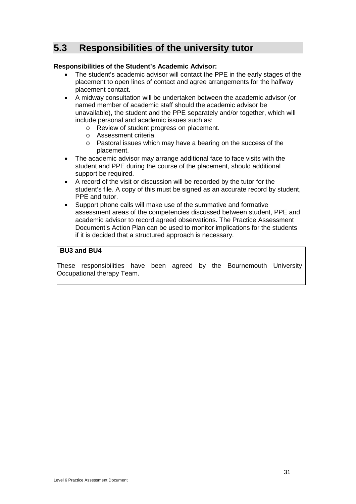### <span id="page-32-0"></span>**5.3 Responsibilities of the university tutor**

### **Responsibilities of the Student's Academic Advisor:**

- The student's academic advisor will contact the PPE in the early stages of the placement to open lines of contact and agree arrangements for the halfway placement contact.
- A midway consultation will be undertaken between the academic advisor (or named member of academic staff should the academic advisor be unavailable), the student and the PPE separately and/or together, which will include personal and academic issues such as:
	- o Review of student progress on placement.
	- o Assessment criteria.
	- o Pastoral issues which may have a bearing on the success of the placement.
- The academic advisor may arrange additional face to face visits with the student and PPE during the course of the placement, should additional support be required.
- A record of the visit or discussion will be recorded by the tutor for the student's file. A copy of this must be signed as an accurate record by student, PPE and tutor.
- Support phone calls will make use of the summative and formative assessment areas of the competencies discussed between student, PPE and academic advisor to record agreed observations. The Practice Assessment Document's Action Plan can be used to monitor implications for the students if it is decided that a structured approach is necessary.

### **BU3 and BU4**

These responsibilities have been agreed by the Bournemouth University Occupational therapy Team.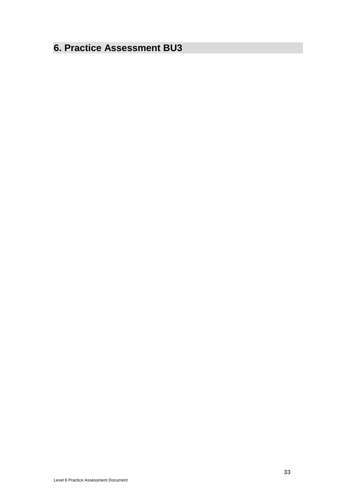### <span id="page-34-0"></span>**6. Practice Assessment BU3**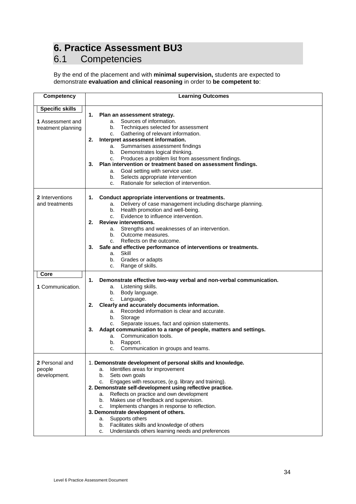# <span id="page-35-0"></span>**6. Practice Assessment BU3**<br>6.1 Competencies

### <span id="page-35-1"></span>**Competencies**

By the end of the placement and with **minimal supervision,** students are expected to demonstrate **evaluation and clinical reasoning** in order to **be competent to**:

| Competency             | <b>Learning Outcomes</b>                                                                         |
|------------------------|--------------------------------------------------------------------------------------------------|
| <b>Specific skills</b> |                                                                                                  |
|                        | 1.<br>Plan an assessment strategy.                                                               |
| 1 Assessment and       | a. Sources of information.                                                                       |
| treatment planning     | b. Techniques selected for assessment                                                            |
|                        | Gathering of relevant information.<br>C.                                                         |
|                        | Interpret assessment information.<br>2.                                                          |
|                        | a. Summarises assessment findings                                                                |
|                        | b. Demonstrates logical thinking.                                                                |
|                        | c. Produces a problem list from assessment findings.                                             |
|                        | Plan intervention or treatment based on assessment findings.<br>3.                               |
|                        | a. Goal setting with service user.                                                               |
|                        | b. Selects appropriate intervention                                                              |
|                        | Rationale for selection of intervention.<br>C.                                                   |
| 2 Interventions        | 1. Conduct appropriate interventions or treatments.                                              |
| and treatments         | a. Delivery of case management including discharge planning.                                     |
|                        | b. Health promotion and well-being.                                                              |
|                        | Evidence to influence intervention.<br>C.                                                        |
|                        | <b>Review interventions.</b><br>2.                                                               |
|                        | a. Strengths and weaknesses of an intervention.                                                  |
|                        | b. Outcome measures.                                                                             |
|                        | Reflects on the outcome.<br>C <sub>1</sub>                                                       |
|                        | Safe and effective performance of interventions or treatments.<br>3.                             |
|                        | a. Skill                                                                                         |
|                        | b. Grades or adapts                                                                              |
|                        | Range of skills.<br>c.                                                                           |
| Core                   |                                                                                                  |
|                        | 1.<br>Demonstrate effective two-way verbal and non-verbal communication.                         |
| 1 Communication.       | a. Listening skills.                                                                             |
|                        | Body language.<br>b.                                                                             |
|                        | Language.<br>c.                                                                                  |
|                        | Clearly and accurately documents information.<br>2.                                              |
|                        | a. Recorded information is clear and accurate.                                                   |
|                        | b.<br>Storage                                                                                    |
|                        | Separate issues, fact and opinion statements.<br>C.                                              |
|                        | Adapt communication to a range of people, matters and settings.<br>3.<br>a. Communication tools. |
|                        | Rapport.<br>b.                                                                                   |
|                        | Communication in groups and teams.<br>C.                                                         |
|                        |                                                                                                  |
| 2 Personal and         | 1. Demonstrate development of personal skills and knowledge.                                     |
| people                 | Identifies areas for improvement<br>a.                                                           |
| development.           | b.<br>Sets own goals                                                                             |
|                        | Engages with resources, (e.g. library and training).<br>c.                                       |
|                        | 2. Demonstrate self-development using reflective practice.                                       |
|                        | Reflects on practice and own development<br>а.                                                   |
|                        | Makes use of feedback and supervision.<br>b.                                                     |
|                        | Implements changes in response to reflection.<br>C.                                              |
|                        | 3. Demonstrate development of others.                                                            |
|                        | Supports others<br>а.                                                                            |
|                        | Facilitates skills and knowledge of others<br>b.                                                 |
|                        | Understands others learning needs and preferences<br>c.                                          |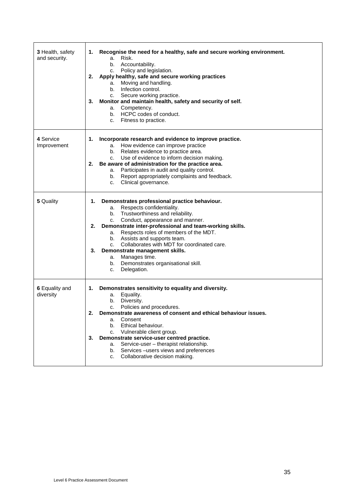| 3 Health, safety<br>and security. | Recognise the need for a healthy, safe and secure working environment.<br>1.<br>Risk.<br>a.<br>b. Accountability.<br>Policy and legislation.<br>C.<br>Apply healthy, safe and secure working practices<br>2.<br>Moving and handling.<br>а.<br>b. Infection control.<br>c. Secure working practice.<br>Monitor and maintain health, safety and security of self.<br>3.<br>Competency.<br>а.<br>b. HCPC codes of conduct.<br>c. Fitness to practice.                                               |
|-----------------------------------|--------------------------------------------------------------------------------------------------------------------------------------------------------------------------------------------------------------------------------------------------------------------------------------------------------------------------------------------------------------------------------------------------------------------------------------------------------------------------------------------------|
| 4 Service<br>Improvement          | Incorporate research and evidence to improve practice.<br>1.<br>a. How evidence can improve practice<br>b. Relates evidence to practice area.<br>c. Use of evidence to inform decision making.<br>Be aware of administration for the practice area.<br>2.<br>a. Participates in audit and quality control.<br>Report appropriately complaints and feedback.<br>b.<br>Clinical governance.<br>C.                                                                                                  |
| 5 Quality                         | Demonstrates professional practice behaviour.<br>1.<br>a. Respects confidentiality.<br>Trustworthiness and reliability.<br>b.<br>Conduct, appearance and manner.<br>C.<br>2.<br>Demonstrate inter-professional and team-working skills.<br>a. Respects roles of members of the MDT.<br>b. Assists and supports team.<br>c. Collaborates with MDT for coordinated care.<br>Demonstrate management skills.<br>3.<br>a. Manages time.<br>b. Demonstrates organisational skill.<br>Delegation.<br>c. |
| 6 Equality and<br>diversity       | Demonstrates sensitivity to equality and diversity.<br>1.<br>Equality.<br>a.<br>Diversity.<br>b.<br>Policies and procedures.<br>c.<br>2.<br>Demonstrate awareness of consent and ethical behaviour issues.<br>Consent<br>a.<br>Ethical behaviour.<br>b.<br>Vulnerable client group.<br>C.<br>Demonstrate service-user centred practice.<br>3.<br>Service-user - therapist relationship.<br>a.<br>Services-users views and preferences<br>b.<br>Collaborative decision making.<br>c.              |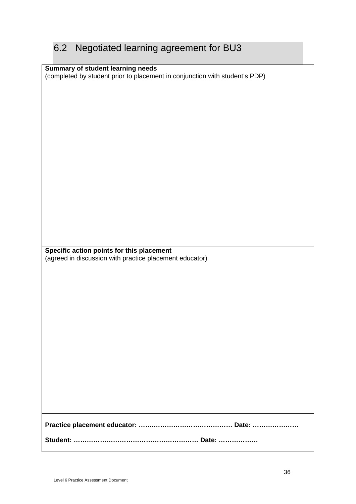# 6.2 Negotiated learning agreement for BU3

| Summary of student learning needs                                           |
|-----------------------------------------------------------------------------|
| (completed by student prior to placement in conjunction with student's PDP) |
|                                                                             |
|                                                                             |
|                                                                             |
|                                                                             |
|                                                                             |
|                                                                             |
|                                                                             |
|                                                                             |
|                                                                             |
|                                                                             |
|                                                                             |
|                                                                             |
|                                                                             |
|                                                                             |
|                                                                             |
|                                                                             |
|                                                                             |
|                                                                             |
|                                                                             |
|                                                                             |
|                                                                             |
|                                                                             |
|                                                                             |
|                                                                             |
|                                                                             |
|                                                                             |
|                                                                             |
|                                                                             |
|                                                                             |
|                                                                             |
| Specific action points for this placement                                   |
|                                                                             |
|                                                                             |
| (agreed in discussion with practice placement educator)                     |
|                                                                             |
|                                                                             |
|                                                                             |
|                                                                             |
|                                                                             |
|                                                                             |
|                                                                             |
|                                                                             |
|                                                                             |
|                                                                             |
|                                                                             |
|                                                                             |
|                                                                             |
|                                                                             |
|                                                                             |
|                                                                             |
|                                                                             |
|                                                                             |
|                                                                             |
|                                                                             |
|                                                                             |
|                                                                             |
|                                                                             |
|                                                                             |
|                                                                             |
|                                                                             |
|                                                                             |
|                                                                             |
|                                                                             |
|                                                                             |
|                                                                             |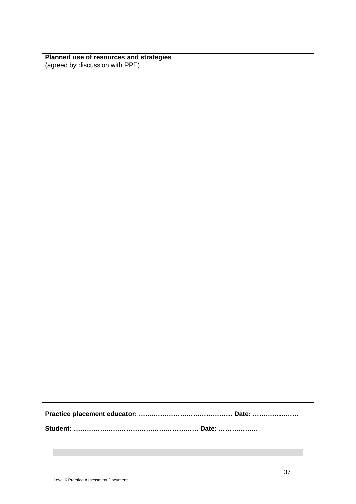| Planned use of resources and strategies |
|-----------------------------------------|
| (agreed by discussion with PPE)         |

**Student: ………………………………………………… Date: ………………**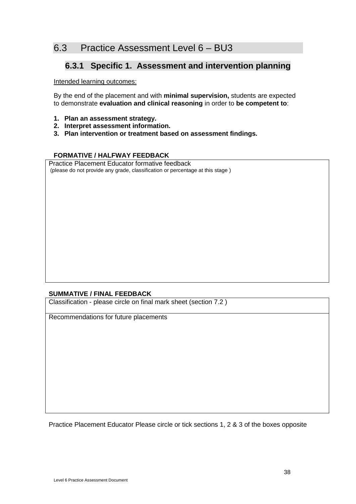## 6.3 Practice Assessment Level 6 – BU3

### **6.3.1 Specific 1. Assessment and intervention planning**

Intended learning outcomes:

By the end of the placement and with **minimal supervision,** students are expected to demonstrate **evaluation and clinical reasoning** in order to **be competent to**:

- **1. Plan an assessment strategy.**
- **2. Interpret assessment information.**
- **3. Plan intervention or treatment based on assessment findings.**

#### **FORMATIVE / HALFWAY FEEDBACK**

Practice Placement Educator formative feedback (please do not provide any grade, classification or percentage at this stage )

#### **SUMMATIVE / FINAL FEEDBACK**

Classification - please circle on final mark sheet (section 7.2 )

Recommendations for future placements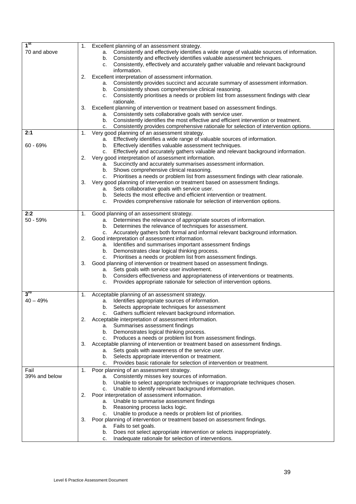| 1 <sup>st</sup> | Excellent planning of an assessment strategy.<br>1.                                                                                                 |
|-----------------|-----------------------------------------------------------------------------------------------------------------------------------------------------|
| 70 and above    | Consistently and effectively identifies a wide range of valuable sources of information.<br>а.                                                      |
|                 | Consistently and effectively identifies valuable assessment techniques.<br>b.                                                                       |
|                 | Consistently, effectively and accurately gather valuable and relevant background<br>c.                                                              |
|                 | information.                                                                                                                                        |
|                 | Excellent interpretation of assessment information.<br>2.<br>Consistently provides succinct and accurate summary of assessment information.<br>a.   |
|                 | Consistently shows comprehensive clinical reasoning.<br>b.                                                                                          |
|                 | Consistently prioritises a needs or problem list from assessment findings with clear<br>c.                                                          |
|                 | rationale.                                                                                                                                          |
|                 | Excellent planning of intervention or treatment based on assessment findings.<br>3.                                                                 |
|                 | Consistently sets collaborative goals with service user.<br>a.                                                                                      |
|                 | Consistently identifies the most effective and efficient intervention or treatment.<br>b.                                                           |
|                 | Consistently provides comprehensive rationale for selection of intervention options.<br>c.                                                          |
| 2:1             | Very good planning of an assessment strategy.<br>1.                                                                                                 |
|                 | Effectively identifies a wide range of valuable sources of information.<br>а.                                                                       |
| $60 - 69%$      | Effectively identifies valuable assessment techniques.<br>b.                                                                                        |
|                 | Effectively and accurately gathers valuable and relevant background information.<br>c.<br>Very good interpretation of assessment information.<br>2. |
|                 | Succinctly and accurately summarises assessment information.<br>а.                                                                                  |
|                 | Shows comprehensive clinical reasoning.<br>b.                                                                                                       |
|                 | Prioritises a needs or problem list from assessment findings with clear rationale.<br>C.                                                            |
|                 | Very good planning of intervention or treatment based on assessment findings.<br>3.                                                                 |
|                 | Sets collaborative goals with service user.<br>a.                                                                                                   |
|                 | Selects the most effective and efficient intervention or treatment.<br>b.                                                                           |
|                 | Provides comprehensive rationale for selection of intervention options.<br>c.                                                                       |
|                 |                                                                                                                                                     |
| 2:2             | Good planning of an assessment strategy.<br>1.                                                                                                      |
| $50 - 59%$      | Determines the relevance of appropriate sources of information.<br>a.<br>Determines the relevance of techniques for assessment.<br>b.               |
|                 | Accurately gathers both formal and informal relevant background information.<br>C.                                                                  |
|                 | Good interpretation of assessment information.<br>2.                                                                                                |
|                 | Identifies and summarises important assessment findings<br>a.                                                                                       |
|                 | Demonstrates clear logical thinking process.<br>b.                                                                                                  |
|                 | Prioritises a needs or problem list from assessment findings.<br>C.                                                                                 |
|                 | Good planning of intervention or treatment based on assessment findings.<br>3.                                                                      |
|                 | Sets goals with service user involvement.<br>a.                                                                                                     |
|                 | Considers effectiveness and appropriateness of interventions or treatments.<br>b.                                                                   |
|                 | Provides appropriate rationale for selection of intervention options.<br>c.                                                                         |
| $3^{\text{rd}}$ | Acceptable planning of an assessment strategy.<br>1.                                                                                                |
| $40 - 49%$      | Identifies appropriate sources of information.<br>a.                                                                                                |
|                 | Selects appropriate techniques for assessment<br>b.                                                                                                 |
|                 | Gathers sufficient relevant background information.<br>C.                                                                                           |
|                 | Acceptable interpretation of assessment information.<br>2.                                                                                          |
|                 | Summarises assessment findings<br>а.                                                                                                                |
|                 | Demonstrates logical thinking process.<br>b.                                                                                                        |
|                 | Produces a needs or problem list from assessment findings.<br>C.                                                                                    |
|                 | Acceptable planning of intervention or treatment based on assessment findings.<br>3.                                                                |
|                 | Sets goals with awareness of the service user.<br>a.<br>Selects appropriate intervention or treatment.<br>b.                                        |
|                 | Provides basic rationale for selection of intervention or treatment.<br>c.                                                                          |
| Fail            | 1.<br>Poor planning of an assessment strategy.                                                                                                      |
| 39% and below   | Consistently misses key sources of information.<br>a.                                                                                               |
|                 | Unable to select appropriate techniques or inappropriate techniques chosen.<br>b.                                                                   |
|                 | Unable to identify relevant background information.<br>c.                                                                                           |
|                 | Poor interpretation of assessment information.<br>2.                                                                                                |
|                 | Unable to summarise assessment findings<br>a.                                                                                                       |
|                 | Reasoning process lacks logic.<br>b.                                                                                                                |
|                 | Unable to produce a needs or problem list of priorities.<br>c.                                                                                      |
|                 | Poor planning of intervention or treatment based on assessment findings.<br>З.                                                                      |
|                 | Fails to set goals.<br>a.                                                                                                                           |
|                 | Does not select appropriate intervention or selects inappropriately.<br>b.<br>Inadequate rationale for selection of interventions.                  |
|                 | c.                                                                                                                                                  |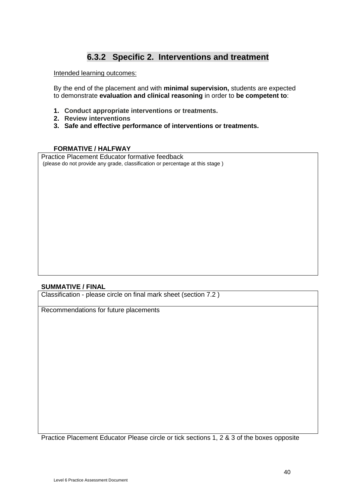### **6.3.2 Specific 2. Interventions and treatment**

Intended learning outcomes:

By the end of the placement and with **minimal supervision,** students are expected to demonstrate **evaluation and clinical reasoning** in order to **be competent to**:

- **1. Conduct appropriate interventions or treatments.**
- **2. Review interventions**
- **3. Safe and effective performance of interventions or treatments.**

#### **FORMATIVE / HALFWAY**

Practice Placement Educator formative feedback (please do not provide any grade, classification or percentage at this stage )

#### **SUMMATIVE / FINAL**

Classification - please circle on final mark sheet (section 7.2 )

Recommendations for future placements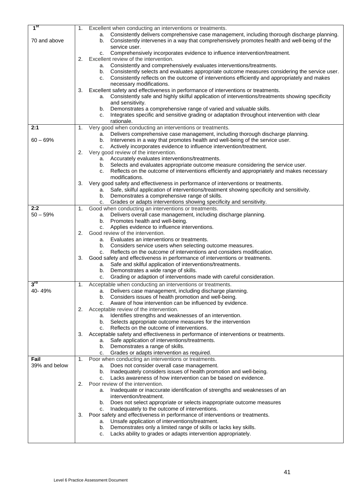| 1 <sup>st</sup> | 1. | Excellent when conducting an interventions or treatments.                                           |
|-----------------|----|-----------------------------------------------------------------------------------------------------|
|                 |    | Consistently delivers comprehensive case management, including thorough discharge planning.<br>а.   |
| 70 and above    |    | Consistently intervenes in a way that comprehensively promotes health and well-being of the         |
|                 |    | b.<br>service user.                                                                                 |
|                 |    |                                                                                                     |
|                 |    | Comprehensively incorporates evidence to influence intervention/treatment.<br>c.                    |
|                 | 2. | Excellent review of the intervention.                                                               |
|                 |    | a. Consistently and comprehensively evaluates interventions/treatments.                             |
|                 |    | b. Consistently selects and evaluates appropriate outcome measures considering the service user.    |
|                 |    | Consistently reflects on the outcome of interventions efficiently and appropriately and makes<br>C. |
|                 |    | necessary modifications.                                                                            |
|                 | 3. | Excellent safety and effectiveness in performance of interventions or treatments.                   |
|                 |    | a. Consistently safe and highly skilful application of interventions/treatments showing specificity |
|                 |    | and sensitivity.                                                                                    |
|                 |    | Demonstrates a comprehensive range of varied and valuable skills.<br>b.                             |
|                 |    | Integrates specific and sensitive grading or adaptation throughout intervention with clear<br>c.    |
|                 |    | rationale.                                                                                          |
| 2:1             | 1. | Very good when conducting an interventions or treatments.                                           |
|                 |    | Delivers comprehensive case management, including thorough discharge planning.<br>а.                |
| $60 - 69%$      |    | b. Intervenes in a way that promotes health and well-being of the service user.                     |
|                 |    | Actively incorporates evidence to influence intervention/treatment.<br>c.                           |
|                 | 2. | Very good review of the intervention.                                                               |
|                 |    | a. Accurately evaluates interventions/treatments.                                                   |
|                 |    | b. Selects and evaluates appropriate outcome measure considering the service user.                  |
|                 |    | Reflects on the outcome of interventions efficiently and appropriately and makes necessary<br>c.    |
|                 |    | modifications.                                                                                      |
|                 | 3. | Very good safety and effectiveness in performance of interventions or treatments.                   |
|                 |    | a. Safe, skilful application of interventions/treatment showing specificity and sensitivity.        |
|                 |    | b. Demonstrates a comprehensive range of skills.                                                    |
|                 |    | Grades or adapts interventions showing specificity and sensitivity.<br>c.                           |
| 2:2             | 1. | Good when conducting an interventions or treatments.                                                |
| $50 - 59%$      |    | Delivers overall case management, including discharge planning.<br>а.                               |
|                 |    | Promotes health and well-being.<br>b.                                                               |
|                 |    | Applies evidence to influence interventions.<br>c.                                                  |
|                 | 2. | Good review of the intervention.                                                                    |
|                 |    | Evaluates an interventions or treatments.<br>а.                                                     |
|                 |    | b. Considers service users when selecting outcome measures.                                         |
|                 |    | Reflects on the outcome of interventions and considers modification.<br>c.                          |
|                 | 3. | Good safety and effectiveness in performance of interventions or treatments.                        |
|                 |    | a. Safe and skilful application of interventions/treatments.                                        |
|                 |    | Demonstrates a wide range of skills.<br>b.                                                          |
|                 |    | Grading or adaption of interventions made with careful consideration.<br>c.                         |
| $3^{\text{rd}}$ | 1. | Acceptable when conducting an interventions or treatments.                                          |
| 40-49%          |    | a. Delivers case management, including discharge planning.                                          |
|                 |    | b. Considers issues of health promotion and well-being.                                             |
|                 |    | Aware of how intervention can be influenced by evidence.<br>c.                                      |
|                 | 2. | Acceptable review of the intervention.                                                              |
|                 |    | a. Identifies strengths and weaknesses of an intervention.                                          |
|                 |    | b. Selects appropriate outcome measures for the intervention                                        |
|                 |    | Reflects on the outcome of interventions.<br>C.                                                     |
|                 | 3. | Acceptable safety and effectiveness in performance of interventions or treatments.                  |
|                 |    | Safe application of interventions/treatments.<br>а.                                                 |
|                 |    | b. Demonstrates a range of skills.                                                                  |
|                 |    | Grades or adapts intervention as required.<br>c.                                                    |
| Fail            | 1. | Poor when conducting an interventions or treatments.                                                |
| 39% and below   |    | Does not consider overall case management.<br>а.                                                    |
|                 |    | Inadequately considers issues of health promotion and well-being.<br>b.                             |
|                 |    | Lacks awareness of how intervention can be based on evidence.<br>C.                                 |
|                 | 2. | Poor review of the intervention.                                                                    |
|                 |    | Inadequate or inaccurate identification of strengths and weaknesses of an<br>а.                     |
|                 |    | intervention/treatment.                                                                             |
|                 |    | Does not select appropriate or selects inappropriate outcome measures<br>b.                         |
|                 |    | Inadequately to the outcome of interventions.<br>c.                                                 |
|                 | 3. | Poor safety and effectiveness in performance of interventions or treatments.                        |
|                 |    | a. Unsafe application of interventions/treatment.                                                   |
|                 |    | Demonstrates only a limited range of skills or lacks key skills.<br>b.                              |
|                 |    | Lacks ability to grades or adapts intervention appropriately.<br>с.                                 |
|                 |    |                                                                                                     |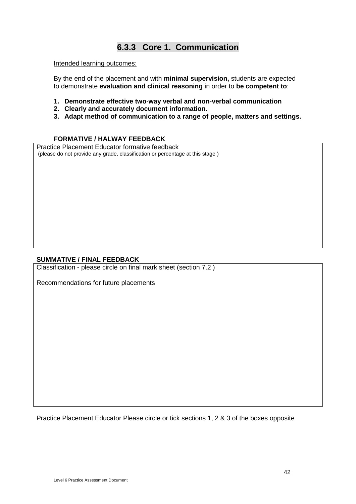## **6.3.3 Core 1. Communication**

Intended learning outcomes:

By the end of the placement and with **minimal supervision,** students are expected to demonstrate **evaluation and clinical reasoning** in order to **be competent to**:

- **1. Demonstrate effective two-way verbal and non-verbal communication**
- **2. Clearly and accurately document information.**
- **3. Adapt method of communication to a range of people, matters and settings.**

#### **FORMATIVE / HALWAY FEEDBACK**

Practice Placement Educator formative feedback (please do not provide any grade, classification or percentage at this stage )

#### **SUMMATIVE / FINAL FEEDBACK**

Classification - please circle on final mark sheet (section 7.2 )

Recommendations for future placements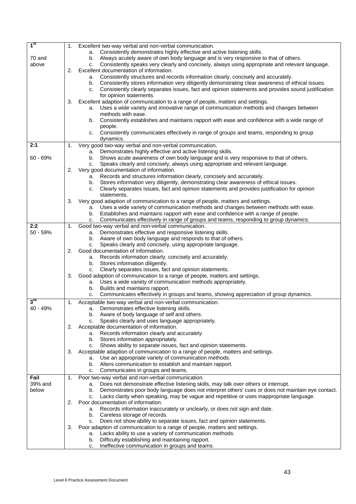| 1 <sup>st</sup> | 1. | Excellent two-way verbal and non-verbal communication.                                                            |
|-----------------|----|-------------------------------------------------------------------------------------------------------------------|
|                 |    | a. Consistently demonstrates highly effective and active listening skills.                                        |
| 70 and          |    | b. Always acutely aware of own body language and is very responsive to that of others.                            |
| above           |    | Consistently speaks very clearly and concisely, always using appropriate and relevant language.<br>C.             |
|                 | 2. | Excellent documentation of information.                                                                           |
|                 |    | Consistently structures and records information clearly, concisely and accurately.<br>а.                          |
|                 |    | Consistently stores information very diligently demonstrating clear awareness of ethical issues.<br>b.            |
|                 |    | c. Consistently clearly separates issues, fact and opinion statements and provides sound justification            |
|                 |    | for opinion statements.                                                                                           |
|                 | 3. | Excellent adaption of communication to a range of people, matters and settings.                                   |
|                 |    | Uses a wide variety and innovative range of communication methods and changes between<br>а.<br>methods with ease. |
|                 |    | Consistently establishes and maintains rapport with ease and confidence with a wide range of<br>b.                |
|                 |    | people.                                                                                                           |
|                 |    | Consistently communicates effectively in range of groups and teams, responding to group<br>C.                     |
|                 |    | dynamics.                                                                                                         |
| 2:1             | 1. | Very good two-way verbal and non-verbal communication.                                                            |
|                 |    | Demonstrates highly effective and active listening skills.<br>а.                                                  |
| 60 - 69%        |    | Shows acute awareness of own body language and is very responsive to that of others.<br>b.                        |
|                 |    | Speaks clearly and concisely, always using appropriate and relevant language.<br>C.                               |
|                 | 2. | Very good documentation of information.                                                                           |
|                 |    | Records and structures information clearly, concisely and accurately.<br>а.                                       |
|                 |    | Stores information very diligently, demonstrating clear awareness of ethical issues.<br>b.                        |
|                 |    | Clearly separates issues, fact and opinion statements and provides justification for opinion<br>C.                |
|                 |    | statements.                                                                                                       |
|                 | 3. | Very good adaption of communication to a range of people, matters and settings.                                   |
|                 |    | a. Uses a wide variety of communication methods and changes between methods with ease.                            |
|                 |    | Establishes and maintains rapport with ease and confidence with a range of people.<br>b.                          |
| 2:2             |    | Communicates effectively in range of groups and teams, responding to group dynamics.<br>C.                        |
| $50 - 59%$      | 1. | Good two-way verbal and non-verbal communication.<br>Demonstrates effective and responsive listening skills.      |
|                 |    | а.<br>b. Aware of own body language and responds to that of others.                                               |
|                 |    | Speaks clearly and concisely, using appropriate language.<br>C.                                                   |
|                 | 2. | Good documentation of information.                                                                                |
|                 |    | a. Records information clearly, concisely and accurately.                                                         |
|                 |    | Stores information diligently.<br>b.                                                                              |
|                 |    | Clearly separates issues, fact and opinion statements.<br>C.                                                      |
|                 | 3. | Good adaption of communication to a range of people, matters and settings.                                        |
|                 |    | a. Uses a wide variety of communication methods appropriately.                                                    |
|                 |    | Builds and maintains rapport.<br>b.                                                                               |
|                 |    | Communicates effectively in groups and teams, showing appreciation of group dynamics.<br>c.                       |
| $3^{\text{rd}}$ | 1. | Acceptable two-way verbal and non-verbal communication.                                                           |
| 40 - 49%        |    | Demonstrates effective listening skills.<br>а.                                                                    |
|                 |    | b. Aware of body language of self and others.                                                                     |
|                 |    | Speaks clearly and uses language appropriately.<br>C.                                                             |
|                 | 2. | Acceptable documentation of information.<br>a. Records information clearly and accurately.                        |
|                 |    | b. Stores information appropriately.                                                                              |
|                 |    | Shows ability to separate issues, fact and opinion statements.<br>C.                                              |
|                 | 3. | Acceptable adaption of communication to a range of people, matters and settings.                                  |
|                 |    | a. Use an appropriate variety of communication methods.                                                           |
|                 |    | b. Alters communication to establish and maintain rapport.                                                        |
|                 |    | Communicates in groups and teams.<br>c.                                                                           |
| Fail            | 1. | Poor two-way verbal and non-verbal communication.                                                                 |
| 39% and         |    | Does not demonstrate effective listening skills, may talk over others or interrupt.<br>а.                         |
| below           |    | Demonstrates poor body language does not interpret others' cues or does not maintain eye contact.<br>b.           |
|                 |    | Lacks clarity when speaking, may be vague and repetitive or uses inappropriate language.<br>C.                    |
|                 | 2. | Poor documentation of information.                                                                                |
|                 |    | Records information inaccurately or unclearly, or does not sign and date.<br>а.                                   |
|                 |    | b. Careless storage of records.                                                                                   |
|                 |    | Does not show ability to separate issues, fact and opinion statements.<br>C.                                      |
|                 | 3. | Poor adaption of communication to a range of people, matters and settings.                                        |
|                 |    | Lacks ability to use a variety of communication methods.<br>a.                                                    |
|                 |    | Difficulty establishing and maintaining rapport.<br>b.                                                            |
|                 |    | Ineffective communication in groups and teams.<br>c.                                                              |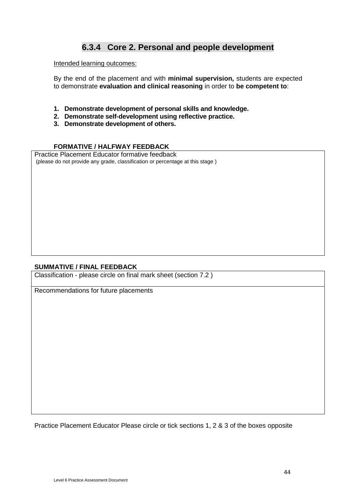### **6.3.4 Core 2. Personal and people development**

#### Intended learning outcomes:

By the end of the placement and with **minimal supervision,** students are expected to demonstrate **evaluation and clinical reasoning** in order to **be competent to**:

- **1. Demonstrate development of personal skills and knowledge.**
- **2. Demonstrate self-development using reflective practice.**
- **3. Demonstrate development of others.**

#### **FORMATIVE / HALFWAY FEEDBACK**

Practice Placement Educator formative feedback (please do not provide any grade, classification or percentage at this stage )

#### **SUMMATIVE / FINAL FEEDBACK**

Classification - please circle on final mark sheet (section 7.2 )

Recommendations for future placements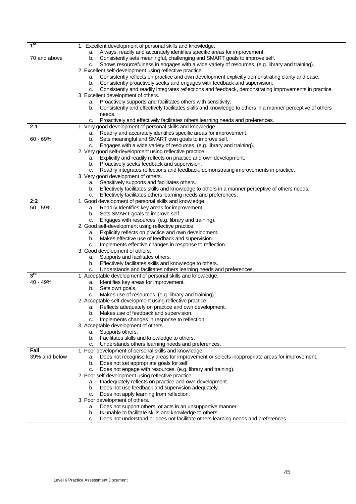| 1 <sup>st</sup> | 1. Excellent development of personal skills and knowledge.                                                     |
|-----------------|----------------------------------------------------------------------------------------------------------------|
|                 | a. Always, readily and accurately identifies specific areas for improvement.                                   |
| 70 and above    | Consistently sets meaningful, challenging and SMART goals to improve self.<br>b.                               |
|                 | Shows resourcefulness in engages with a wide variety of resources, (e.g. library and training).<br>c.          |
|                 | 2. Excellent self-development using reflective practice.                                                       |
|                 | Consistently reflects on practice and own development explicitly demonstrating clarity and ease.<br>а.         |
|                 | Consistently proactively seeks and engages with feedback and supervision.<br>b.                                |
|                 | Consistently and readily integrates reflections and feedback, demonstrating improvements in practice.          |
|                 | c.                                                                                                             |
|                 | 3. Excellent development of others.                                                                            |
|                 | Proactively supports and facilitates others with sensitivity.<br>а.                                            |
|                 | Consistently and effectively facilitates skills and knowledge to others in a manner perceptive of others<br>b. |
|                 | needs.                                                                                                         |
|                 | Proactively and effectively facilitates others learning needs and preferences.<br>C.                           |
| 2:1             | 1. Very good development of personal skills and knowledge.                                                     |
|                 | Readily and accurately identifies specific areas for improvement.<br>а.                                        |
| $60 - 69%$      | Sets meaningful and SMART own goals to improve self.<br>b.                                                     |
|                 | Engages with a wide variety of resources, (e.g. library and training).<br>c.                                   |
|                 | 2. Very good self-development using reflective practice.                                                       |
|                 | Explicitly and readily reflects on practice and own development.<br>а.                                         |
|                 | Proactively seeks feedback and supervision.<br>b.                                                              |
|                 | Readily integrates reflections and feedback, demonstrating improvements in practice.<br>C.                     |
|                 | 3. Very good development of others.                                                                            |
|                 | Sensitively supports and facilitates others.<br>а.                                                             |
|                 | b. Effectively facilitates skills and knowledge to others in a manner perceptive of others needs.              |
|                 | Effectively facilitates others learning needs and preferences.<br>c.                                           |
| 2:2             | 1. Good development of personal skills and knowledge.                                                          |
| 50 - 59%        | Readily Identifies key areas for improvement.<br>a.                                                            |
|                 | Sets SMART goals to improve self.<br>b.                                                                        |
|                 | Engages with resources, (e.g. library and training).<br>C.                                                     |
|                 | 2. Good self-development using reflective practice.                                                            |
|                 | Explicitly reflects on practice and own development.<br>a.                                                     |
|                 | Makes effective use of feedback and supervision.<br>b.                                                         |
|                 | Implements effective changes in response to reflection.<br>c.                                                  |
|                 | 3. Good development of others.                                                                                 |
|                 | a. Supports and facilitates others.                                                                            |
|                 |                                                                                                                |
|                 | Effectively facilitates skills and knowledge to others.<br>b.                                                  |
| $3^{\text{rd}}$ | Understands and facilitates others learning needs and preferences.<br>c.                                       |
|                 | 1. Acceptable development of personal skills and knowledge.                                                    |
| 40 - 49%        | Identifies key areas for improvement.<br>а.                                                                    |
|                 | Sets own goals.<br>b.                                                                                          |
|                 | Makes use of resources, (e.g. library and training).<br>c.                                                     |
|                 | 2. Acceptable self-development using reflective practice.                                                      |
|                 | Reflects adequately on practice and own development.<br>а.                                                     |
|                 | Makes use of feedback and supervision.<br>b.                                                                   |
|                 | Implements changes in response to reflection.<br>c.                                                            |
|                 | 3. Acceptable development of others.                                                                           |
|                 | a. Supports others.                                                                                            |
|                 | Facilitates skills and knowledge to others.<br>b.                                                              |
|                 | Understands others learning needs and preferences.<br>c.                                                       |
| Fail            | 1. Poor development of personal skills and knowledge.                                                          |
| 39% and below   | Does not recognise key areas for improvement or selects inappropriate areas for improvement.<br>а.             |
|                 | Does not set appropriate goals for self.<br>b.                                                                 |
|                 | Does not engage with resources, (e.g. library and training).<br>c.                                             |
|                 | 2. Poor self-development using reflective practice.                                                            |
|                 | Inadequately reflects on practice and own development.<br>a.                                                   |
|                 | Does not use feedback and supervision adequately.<br>b.                                                        |
|                 | Does not apply learning from reflection.<br>c.                                                                 |
|                 | 3. Poor development of others.                                                                                 |
|                 | Does not support others, or acts in an unsupportive manner.<br>a.                                              |
|                 | Is unable to facilitate skills and knowledge to others.<br>b.                                                  |
|                 | Does not understand or does not facilitate others learning needs and preferences.<br>c.                        |
|                 |                                                                                                                |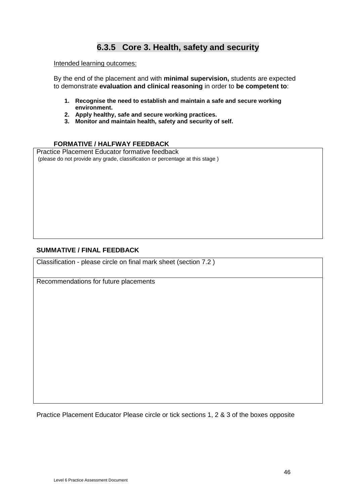## **6.3.5 Core 3. Health, safety and security**

#### Intended learning outcomes:

By the end of the placement and with **minimal supervision,** students are expected to demonstrate **evaluation and clinical reasoning** in order to **be competent to**:

- **1. Recognise the need to establish and maintain a safe and secure working environment.**
- **2. Apply healthy, safe and secure working practices.**
- **3. Monitor and maintain health, safety and security of self.**

#### **FORMATIVE / HALFWAY FEEDBACK**

Practice Placement Educator formative feedback (please do not provide any grade, classification or percentage at this stage )

#### **SUMMATIVE / FINAL FEEDBACK**

Classification - please circle on final mark sheet (section 7.2 )

Recommendations for future placements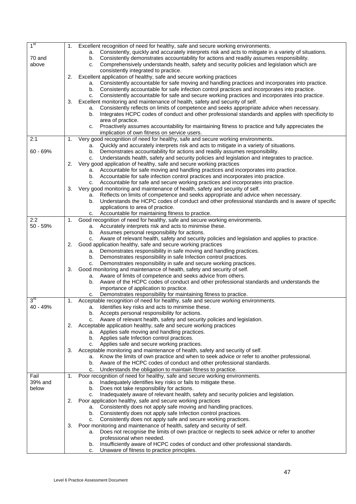| 1 <sup>st</sup> | 1. | Excellent recognition of need for healthy, safe and secure working environments.                                                                                           |
|-----------------|----|----------------------------------------------------------------------------------------------------------------------------------------------------------------------------|
|                 |    | a. Consistently, quickly and accurately interprets risk and acts to mitigate in a variety of situations.                                                                   |
| 70 and          |    | Consistently demonstrates accountability for actions and readily assumes responsibility.<br>b.                                                                             |
| above           |    | Comprehensively understands health, safety and security policies and legislation which are<br>C.                                                                           |
|                 |    | consistently integrated to practice.                                                                                                                                       |
|                 | 2. | Excellent application of healthy, safe and secure working practices                                                                                                        |
|                 |    | Consistently accountable for safe moving and handling practices and incorporates into practice.<br>а.                                                                      |
|                 |    | b. Consistently accountable for safe infection control practices and incorporates into practice.                                                                           |
|                 |    | Consistently accountable for safe and secure working practices and incorporates into practice.<br>c.                                                                       |
|                 | 3. | Excellent monitoring and maintenance of health, safety and security of self.<br>Consistently reflects on limits of competence and seeks appropriate advice when necessary. |
|                 |    | а.<br>Integrates HCPC codes of conduct and other professional standards and applies with specificity to<br>b.                                                              |
|                 |    | area of practice.                                                                                                                                                          |
|                 |    | Proactively assumes accountability for maintaining fitness to practice and fully appreciates the<br>C.                                                                     |
|                 |    | implication of own fitness on service users.                                                                                                                               |
| 2:1             | 1. | Very good recognition of need for healthy, safe and secure working environments.                                                                                           |
|                 |    | a. Quickly and accurately interprets risk and acts to mitigate in a variety of situations.                                                                                 |
| $60 - 69%$      |    | Demonstrates accountability for actions and readily assumes responsibility.<br>b.                                                                                          |
|                 |    | Understands health, safety and security policies and legislation and integrates to practice.<br>c.                                                                         |
|                 | 2. | Very good application of healthy, safe and secure working practices                                                                                                        |
|                 |    | a. Accountable for safe moving and handling practices and incorporates into practice.                                                                                      |
|                 |    | Accountable for safe infection control practices and incorporates into practice.<br>b.                                                                                     |
|                 |    | Accountable for safe and secure working practices and incorporates into practice.<br>C.                                                                                    |
|                 | 3. | Very good monitoring and maintenance of health, safety and security of self.                                                                                               |
|                 |    | Reflects on limits of competence and seeks appropriate and advice when necessary.<br>а.                                                                                    |
|                 |    | Understands the HCPC codes of conduct and other professional standards and is aware of specific<br>b.<br>applications to area of practice.                                 |
|                 |    | c. Accountable for maintaining fitness to practice.                                                                                                                        |
| 2:2             | 1. | Good recognition of need for healthy, safe and secure working environments.                                                                                                |
| $50 - 59%$      |    | a. Accurately interprets risk and acts to minimise these.                                                                                                                  |
|                 |    | b. Assumes personal responsibility for actions.                                                                                                                            |
|                 |    | c. Aware of relevant health, safety and security policies and legislation and applies to practice.                                                                         |
|                 | 2. | Good application healthy, safe and secure working practices                                                                                                                |
|                 |    | a. Demonstrates responsibility in safe moving and handling practices.                                                                                                      |
|                 |    | Demonstrates responsibility in safe Infection control practices.<br>b.                                                                                                     |
|                 |    | c. Demonstrates responsibility in safe and secure working practices.                                                                                                       |
|                 | 3. | Good monitoring and maintenance of health, safety and security of self.                                                                                                    |
|                 |    | Aware of limits of competence and seeks advice from others.<br>а.                                                                                                          |
|                 |    | Aware of the HCPC codes of conduct and other professional standards and understands the<br>b.<br>importance of application to practice.                                    |
|                 |    | Demonstrates responsibility for maintaining fitness to practice.<br>c.                                                                                                     |
| 3 <sup>rd</sup> | 1. | Acceptable recognition of need for healthy, safe and secure working environments.                                                                                          |
| 40 - 49%        |    | Identifies key risks and acts to minimise these.<br>a.                                                                                                                     |
|                 |    | b. Accepts personal responsibility for actions.                                                                                                                            |
|                 |    | Aware of relevant health, safety and security policies and legislation.<br>C.                                                                                              |
|                 | 2. | Acceptable application healthy, safe and secure working practices                                                                                                          |
|                 |    | a. Applies safe moving and handling practices.                                                                                                                             |
|                 |    | b. Applies safe Infection control practices.                                                                                                                               |
|                 |    | c. Applies safe and secure working practices.<br>Acceptable monitoring and maintenance of health, safety and security of self.                                             |
|                 | 3. | Know the limits of own practice and when to seek advice or refer to another professional.<br>а.                                                                            |
|                 |    | Aware of the HCPC codes of conduct and other professional standards.<br>b.                                                                                                 |
|                 |    | Understands the obligation to maintain fitness to practice.<br>с.                                                                                                          |
| Fail            | 1. | Poor recognition of need for healthy, safe and secure working environments.                                                                                                |
| 39% and         |    | Inadequately identifies key risks or fails to mitigate these.<br>a.                                                                                                        |
| below           |    | Does not take responsibility for actions.<br>b.                                                                                                                            |
|                 |    | Inadequately aware of relevant health, safety and security policies and legislation.<br>c.                                                                                 |
|                 | 2. | Poor application healthy, safe and secure working practices                                                                                                                |
|                 |    | a. Consistently does not apply safe moving and handling practices.                                                                                                         |
|                 |    | b. Consistently does not apply safe Infection control practices.                                                                                                           |
|                 |    | c. Consistently does not apply safe and secure working practices.                                                                                                          |
|                 | 3. | Poor monitoring and maintenance of health, safety and security of self.                                                                                                    |
|                 |    | Does not recognise the limits of own practice or neglects to seek advice or refer to another<br>а.                                                                         |
|                 |    | professional when needed.                                                                                                                                                  |
|                 |    | Insufficiently aware of HCPC codes of conduct and other professional standards.<br>b.<br>Unaware of fitness to practice principles.<br>c.                                  |
|                 |    |                                                                                                                                                                            |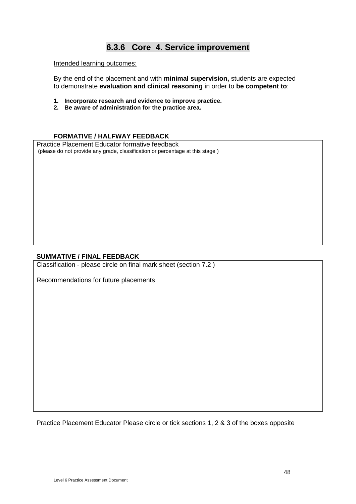### **6.3.6 Core 4. Service improvement**

Intended learning outcomes:

By the end of the placement and with **minimal supervision,** students are expected to demonstrate **evaluation and clinical reasoning** in order to **be competent to**:

- **1. Incorporate research and evidence to improve practice.**
- **2. Be aware of administration for the practice area.**

#### **FORMATIVE / HALFWAY FEEDBACK**

Practice Placement Educator formative feedback (please do not provide any grade, classification or percentage at this stage )

#### **SUMMATIVE / FINAL FEEDBACK**

Classification - please circle on final mark sheet (section 7.2 )

Recommendations for future placements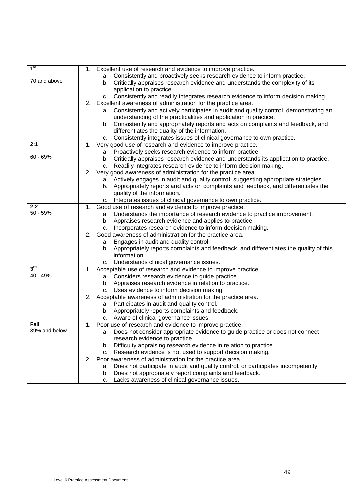| 1 <sup>st</sup> | 1. | Excellent use of research and evidence to improve practice.                                 |
|-----------------|----|---------------------------------------------------------------------------------------------|
|                 |    | a. Consistently and proactively seeks research evidence to inform practice.                 |
| 70 and above    |    |                                                                                             |
|                 |    | b. Critically appraises research evidence and understands the complexity of its             |
|                 |    | application to practice.                                                                    |
|                 |    | c. Consistently and readily integrates research evidence to inform decision making.         |
|                 | 2. | Excellent awareness of administration for the practice area.                                |
|                 |    | Consistently and actively participates in audit and quality control, demonstrating an<br>а. |
|                 |    | understanding of the practicalities and application in practice.                            |
|                 |    | b. Consistently and appropriately reports and acts on complaints and feedback, and          |
|                 |    | differentiates the quality of the information.                                              |
|                 |    | Consistently integrates issues of clinical governance to own practice.<br>с.                |
| 2:1             | 1. | Very good use of research and evidence to improve practice.                                 |
|                 |    | a. Proactively seeks research evidence to inform practice.                                  |
| 60 - 69%        |    | b. Critically appraises research evidence and understands its application to practice.      |
|                 |    | Readily integrates research evidence to inform decision making.<br>C.                       |
|                 | 2. | Very good awareness of administration for the practice area.                                |
|                 |    | a. Actively engages in audit and quality control, suggesting appropriate strategies.        |
|                 |    | Appropriately reports and acts on complaints and feedback, and differentiates the<br>b.     |
|                 |    | quality of the information.                                                                 |
|                 |    | Integrates issues of clinical governance to own practice.<br>c.                             |
| 2:2             | 1. | Good use of research and evidence to improve practice.                                      |
| 50 - 59%        |    | a. Understands the importance of research evidence to practice improvement.                 |
|                 |    | b. Appraises research evidence and applies to practice.                                     |
|                 |    | c. Incorporates research evidence to inform decision making.                                |
|                 |    | 2. Good awareness of administration for the practice area.                                  |
|                 |    | a. Engages in audit and quality control.                                                    |
|                 |    | b. Appropriately reports complaints and feedback, and differentiates the quality of this    |
|                 |    | information.                                                                                |
|                 |    | c. Understands clinical governance issues.                                                  |
| $3^{\text{rd}}$ |    | 1. Acceptable use of research and evidence to improve practice.                             |
| 40 - 49%        |    | a. Considers research evidence to guide practice.                                           |
|                 |    | b. Appraises research evidence in relation to practice.                                     |
|                 |    |                                                                                             |
|                 |    | c. Uses evidence to inform decision making.                                                 |
|                 |    | 2. Acceptable awareness of administration for the practice area.                            |
|                 |    | a. Participates in audit and quality control.                                               |
|                 |    | Appropriately reports complaints and feedback.<br>b.                                        |
|                 |    | c. Aware of clinical governance issues.                                                     |
| Fail            |    | 1. Poor use of research and evidence to improve practice.                                   |
| 39% and below   |    | a. Does not consider appropriate evidence to guide practice or does not connect             |
|                 |    | research evidence to practice.                                                              |
|                 |    | b. Difficulty appraising research evidence in relation to practice.                         |
|                 |    | c. Research evidence is not used to support decision making.                                |
|                 | 2. | Poor awareness of administration for the practice area.                                     |
|                 |    | Does not participate in audit and quality control, or participates incompetently.<br>а.     |
|                 |    | Does not appropriately report complaints and feedback.<br>b.                                |
|                 |    | Lacks awareness of clinical governance issues.<br>C.                                        |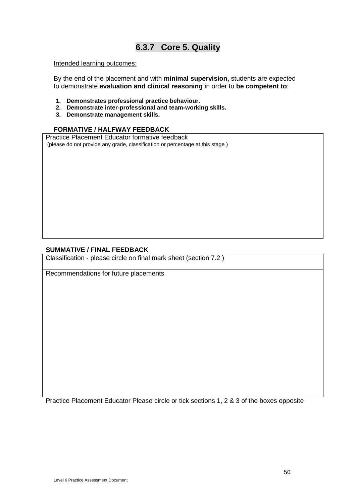### **6.3.7 Core 5. Quality**

#### Intended learning outcomes:

By the end of the placement and with **minimal supervision,** students are expected to demonstrate **evaluation and clinical reasoning** in order to **be competent to**:

- **1. Demonstrates professional practice behaviour.**
- **2. Demonstrate inter-professional and team-working skills.**
- **3. Demonstrate management skills.**

#### **FORMATIVE / HALFWAY FEEDBACK**

Practice Placement Educator formative feedback (please do not provide any grade, classification or percentage at this stage )

#### **SUMMATIVE / FINAL FEEDBACK**

Classification - please circle on final mark sheet (section 7.2 )

Recommendations for future placements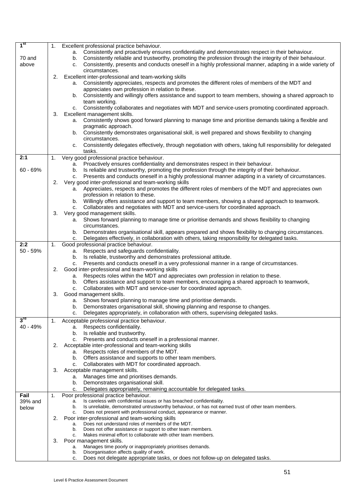| 1 <sup>st</sup>   | 1. | Excellent professional practice behaviour.                                                                                                                                                                          |
|-------------------|----|---------------------------------------------------------------------------------------------------------------------------------------------------------------------------------------------------------------------|
|                   |    | a. Consistently and proactively ensures confidentiality and demonstrates respect in their behaviour.                                                                                                                |
| 70 and            |    | Consistently reliable and trustworthy, promoting the profession through the integrity of their behaviour.<br>b.                                                                                                     |
| above             |    | Consistently, presents and conducts oneself in a highly professional manner, adapting in a wide variety of<br>c.                                                                                                    |
|                   | 2. | circumstances.<br>Excellent inter-professional and team-working skills                                                                                                                                              |
|                   |    | Consistently appreciates, respects and promotes the different roles of members of the MDT and<br>а.                                                                                                                 |
|                   |    | appreciates own profession in relation to these.                                                                                                                                                                    |
|                   |    | b. Consistently and willingly offers assistance and support to team members, showing a shared approach to                                                                                                           |
|                   |    | team working.                                                                                                                                                                                                       |
|                   |    | Consistently collaborates and negotiates with MDT and service-users promoting coordinated approach.<br>C.                                                                                                           |
|                   | 3. | Excellent management skills.                                                                                                                                                                                        |
|                   |    | a. Consistently shows good forward planning to manage time and prioritise demands taking a flexible and                                                                                                             |
|                   |    | pragmatic approach.<br>Consistently demonstrates organisational skill, is well prepared and shows flexibility to changing<br>b.                                                                                     |
|                   |    | circumstances.                                                                                                                                                                                                      |
|                   |    | Consistently delegates effectively, through negotiation with others, taking full responsibility for delegated<br>c.                                                                                                 |
|                   |    | tasks.                                                                                                                                                                                                              |
| 2:1               | 1. | Very good professional practice behaviour.                                                                                                                                                                          |
|                   |    | a. Proactively ensures confidentiality and demonstrates respect in their behaviour.                                                                                                                                 |
| $60 - 69%$        |    | Is reliable and trustworthy, promoting the profession through the integrity of their behaviour.<br>b.                                                                                                               |
|                   | 2. | Presents and conducts oneself in a highly professional manner adapting in a variety of circumstances.<br>C.<br>Very good inter-professional and team-working skills                                                 |
|                   |    | a. Appreciates, respects and promotes the different roles of members of the MDT and appreciates own                                                                                                                 |
|                   |    | profession in relation to these.                                                                                                                                                                                    |
|                   |    | b. Willingly offers assistance and support to team members, showing a shared approach to teamwork.                                                                                                                  |
|                   |    | Collaborates and negotiates with MDT and service-users for coordinated approach.<br>C.                                                                                                                              |
|                   | 3. | Very good management skills.                                                                                                                                                                                        |
|                   |    | Shows forward planning to manage time or prioritise demands and shows flexibility to changing<br>а.                                                                                                                 |
|                   |    | circumstances.                                                                                                                                                                                                      |
|                   |    | Demonstrates organisational skill, appears prepared and shows flexibility to changing circumstances.<br>b.<br>Delegates effectively, in collaboration with others, taking responsibility for delegated tasks.<br>c. |
| 2:2               | 1. | Good professional practice behaviour.                                                                                                                                                                               |
| $50 - 59%$        |    | Respects and safeguards confidentiality.<br>а.                                                                                                                                                                      |
|                   |    | Is reliable, trustworthy and demonstrates professional attitude.<br>b.                                                                                                                                              |
|                   |    | Presents and conducts oneself in a very professional manner in a range of circumstances.<br>c.                                                                                                                      |
|                   | 2. | Good inter-professional and team-working skills                                                                                                                                                                     |
|                   |    | a. Respects roles within the MDT and appreciates own profession in relation to these.                                                                                                                               |
|                   |    | b. Offers assistance and support to team members, encouraging a shared approach to teamwork,                                                                                                                        |
|                   | 3. | Collaborates with MDT and service-user for coordinated approach.<br>с.<br>Good management skills.                                                                                                                   |
|                   |    | a. Shows forward planning to manage time and prioritise demands.                                                                                                                                                    |
|                   |    | Demonstrates organisational skill, showing planning and response to changes.<br>b.                                                                                                                                  |
|                   |    | c.<br>Delegates appropriately, in collaboration with others, supervising delegated tasks.                                                                                                                           |
| $3^{\mathsf{ra}}$ | 1. | Acceptable professional practice behaviour.                                                                                                                                                                         |
| 40 - 49%          |    | Respects confidentiality.<br>а.                                                                                                                                                                                     |
|                   |    | Is reliable and trustworthy.<br>b.                                                                                                                                                                                  |
|                   | 2. | c. Presents and conducts oneself in a professional manner.                                                                                                                                                          |
|                   |    | Acceptable inter-professional and team-working skills<br>Respects roles of members of the MDT.<br>а.                                                                                                                |
|                   |    | b. Offers assistance and supports to other team members.                                                                                                                                                            |
|                   |    | Collaborates with MDT for coordinated approach.<br>C.                                                                                                                                                               |
|                   | 3. | Acceptable management skills.                                                                                                                                                                                       |
|                   |    | Manages time and prioritises demands.<br>а.                                                                                                                                                                         |
|                   |    | Demonstrates organisational skill.<br>b.                                                                                                                                                                            |
|                   |    | Delegates appropriately, remaining accountable for delegated tasks.<br>C.                                                                                                                                           |
| Fail              | 1. | Poor professional practice behaviour.<br>Is careless with confidential issues or has breached confidentiality.                                                                                                      |
| 39% and<br>below  |    | а.<br>Is unreliable, demonstrated untrustworthy behaviour, or has not earned trust of other team members.<br>b.                                                                                                     |
|                   |    | Does not present with professional conduct, appearance or manner.<br>C.                                                                                                                                             |
|                   | 2. | Poor inter-professional and team-working skills                                                                                                                                                                     |
|                   |    | Does not understand roles of members of the MDT.<br>а.                                                                                                                                                              |
|                   |    | b.<br>Does not offer assistance or support to other team members.<br>Makes minimal effort to collaborate with other team members.<br>c.                                                                             |
|                   | 3. | Poor management skills.                                                                                                                                                                                             |
|                   |    | Manages time poorly or inappropriately prioritises demands.<br>а.                                                                                                                                                   |
|                   |    | Disorganisation affects quality of work.<br>b.                                                                                                                                                                      |
|                   |    | Does not delegate appropriate tasks, or does not follow-up on delegated tasks.<br>c.                                                                                                                                |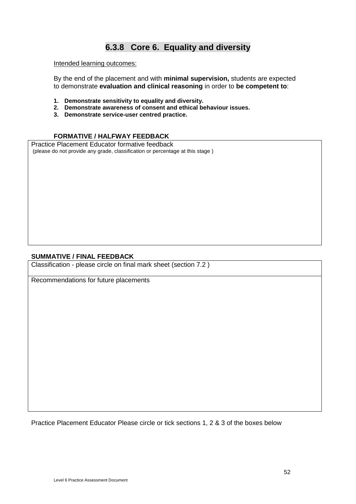### **6.3.8 Core 6. Equality and diversity**

Intended learning outcomes:

By the end of the placement and with **minimal supervision,** students are expected to demonstrate **evaluation and clinical reasoning** in order to **be competent to**:

- **1. Demonstrate sensitivity to equality and diversity.**
- **2. Demonstrate awareness of consent and ethical behaviour issues.**
- **3. Demonstrate service-user centred practice.**

#### **FORMATIVE / HALFWAY FEEDBACK**

Practice Placement Educator formative feedback (please do not provide any grade, classification or percentage at this stage )

#### **SUMMATIVE / FINAL FEEDBACK**

Classification - please circle on final mark sheet (section 7.2 )

Recommendations for future placements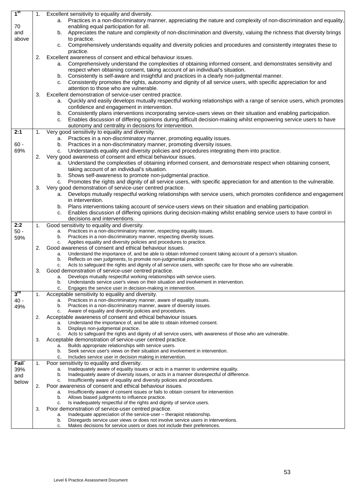| 1 <sup>st</sup>   | 1. | Excellent sensitivity to equality and diversity.                                                                                                                           |
|-------------------|----|----------------------------------------------------------------------------------------------------------------------------------------------------------------------------|
|                   |    | a. Practices in a non-discriminatory manner, appreciating the nature and complexity of non-discrimination and equality,                                                    |
| 70                |    | enabling equal participation for all.                                                                                                                                      |
| and               |    | Appreciates the nature and complexity of non-discrimination and diversity, valuing the richness that diversity brings<br>b.                                                |
| above             |    | to practice.                                                                                                                                                               |
|                   |    | Comprehensively understands equality and diversity policies and procedures and consistently integrates these to<br>C.                                                      |
|                   |    | practice.                                                                                                                                                                  |
|                   | 2. | Excellent awareness of consent and ethical behaviour issues.                                                                                                               |
|                   |    | Comprehensively understand the complexities of obtaining informed consent, and demonstrates sensitivity and<br>а.                                                          |
|                   |    | respect when obtaining consent, taking account of an individual's situation.                                                                                               |
|                   |    | b. Consistently is self-aware and insightful and practices in a clearly non-judgmental manner.                                                                             |
|                   |    | Consistently promotes the rights, autonomy and dignity of all service users, with specific appreciation for and<br>c.                                                      |
|                   |    | attention to those who are vulnerable.                                                                                                                                     |
|                   | 3. | Excellent demonstration of service-user centred practice.                                                                                                                  |
|                   |    | Quickly and easily develops mutually respectful working relationships with a range of service users, which promotes<br>a.                                                  |
|                   |    | confidence and engagement in intervention.                                                                                                                                 |
|                   |    | Consistently plans interventions incorporating service-users views on their situation and enabling participation.<br>b.                                                    |
|                   |    | Enables discussion of differing opinions during difficult decision-making whilst empowering service users to have<br>c.                                                    |
|                   |    | autonomy and centrality in decisions for intervention.                                                                                                                     |
| 2:1               | 1. | Very good sensitivity to equality and diversity.                                                                                                                           |
|                   |    | a. Practices in a non-discriminatory manner, promoting equality issues.                                                                                                    |
| $60 -$            |    | Practices in a non-discriminatory manner, promoting diversity issues.<br>b.                                                                                                |
| 69%               |    | Understands equality and diversity policies and procedures integrating them into practice.<br>c.                                                                           |
|                   | 2. | Very good awareness of consent and ethical behaviour issues.                                                                                                               |
|                   |    | Understand the complexities of obtaining informed consent, and demonstrate respect when obtaining consent,<br>а.                                                           |
|                   |    | taking account of an individual's situation.                                                                                                                               |
|                   |    | Shows self-awareness to promote non-judgmental practice.<br>b.                                                                                                             |
|                   |    | Promotes the rights and dignity of all service users, with specific appreciation for and attention to the vulnerable.<br>C.                                                |
|                   | 3. | Very good demonstration of service-user centred practice.                                                                                                                  |
|                   |    | Develops mutually respectful working relationships with service users, which promotes confidence and engagement<br>a.<br>in intervention.                                  |
|                   |    | Plans interventions taking account of service-users views on their situation and enabling participation.<br>b.                                                             |
|                   |    | Enables discussion of differing opinions during decision-making whilst enabling service users to have control in<br>c.                                                     |
|                   |    |                                                                                                                                                                            |
|                   |    |                                                                                                                                                                            |
|                   |    | decisions and interventions.                                                                                                                                               |
| 2:2               | 1. | Good sensitivity to equality and diversity.<br>a.                                                                                                                          |
| $50 -$            |    | Practices in a non-discriminatory manner, respecting equality issues.<br>Practices in a non-discriminatory manner, respecting diversity issues.<br>b.                      |
| 59%               |    | Applies equality and diversity policies and procedures to practice.<br>c.                                                                                                  |
|                   | 2. | Good awareness of consent and ethical behaviour issues.                                                                                                                    |
|                   |    | Understand the importance of, and be able to obtain informed consent taking account of a person's situation.<br>a.                                                         |
|                   |    | Reflects on own judgments, to promote non-judgmental practice.<br>b.                                                                                                       |
|                   |    | Acts to safeguard the rights and dignity of all service users, with specific care for those who are vulnerable.<br>c.                                                      |
|                   | 3. | Good demonstration of service-user centred practice.                                                                                                                       |
|                   |    | Develops mutually respectful working relationships with service users.<br>a.<br>Understands service user's views on their situation and involvement in intervention.<br>b. |
|                   |    | c.<br>Engages the service user in decision-making in intervention.                                                                                                         |
| $3^{\mathsf{ra}}$ | 1. | Acceptable sensitivity to equality and diversity.                                                                                                                          |
| $40 -$            |    | Practices in a non-discriminatory manner, aware of equality issues.<br>a.                                                                                                  |
| 49%               |    | Practices in a non-discriminatory manner, aware of diversity issues.<br>b.                                                                                                 |
|                   |    | Aware of equality and diversity policies and procedures.<br>c.                                                                                                             |
|                   | 2. | Acceptable awareness of consent and ethical behaviour issues.                                                                                                              |
|                   |    | Understand the importance of, and be able to obtain informed consent.<br>a.                                                                                                |
|                   |    | Displays non-judgmental practice.<br>b.                                                                                                                                    |
|                   |    | Acts to safeguard the rights and dignity of all service users, with awareness of those who are vulnerable.<br>c.                                                           |
|                   | 3. | Acceptable demonstration of service-user centred practice.<br>Builds appropriate relationships with service users.<br>a.                                                   |
|                   |    | Seek service user's views on their situation and involvement in intervention.<br>b.                                                                                        |
|                   |    | Includes service user in decision making in intervention.<br>c.                                                                                                            |
| Fail <sup>®</sup> | 1. | Poor sensitivity to equality and diversity.                                                                                                                                |
| 39%               |    | Inadequately aware of equality issues or acts in a manner to undermine equality.<br>a.                                                                                     |
| and               |    | Inadequately aware of diversity issues, or acts in a manner disrespectful of difference.<br>b.                                                                             |
| below             |    | Insufficiently aware of equality and diversity policies and procedures.<br>c.                                                                                              |
|                   | 2. | Poor awareness of consent and ethical behaviour issues.                                                                                                                    |
|                   |    | Insufficiently aware of consent issues or fails to obtain consent for intervention.<br>a.                                                                                  |
|                   |    | Allows biased judgments to influence practice.<br>b.<br>c.                                                                                                                 |
|                   | 3. | Is inadequately respectful of the rights and dignity of service users.<br>Poor demonstration of service-user centred practice.                                             |
|                   |    | Inadequate appreciation of the service-user - therapist relationship.<br>a.                                                                                                |
|                   |    | Disregards service user views or does not involve service users in interventions.<br>b.<br>Makes decisions for service users or does not include their preferences.        |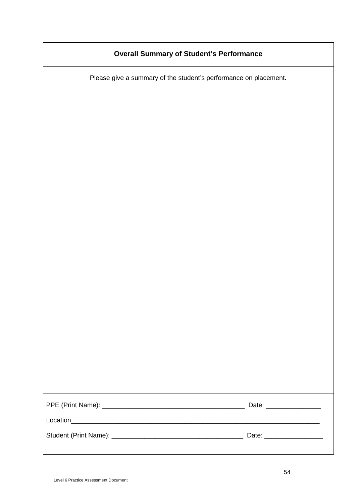### **Overall Summary of Student's Performance**

Please give a summary of the student's performance on placement.

| Date: _______________     |
|---------------------------|
|                           |
| Date: ___________________ |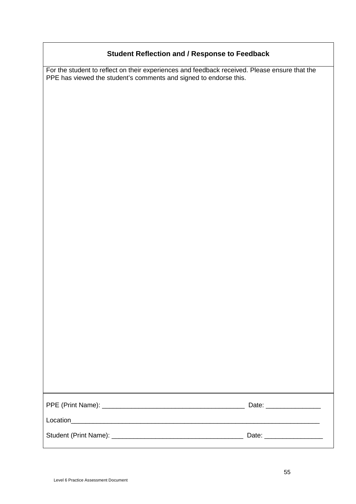### **Student Reflection and / Response to Feedback**

For the student to reflect on their experiences and feedback received. Please ensure that the PPE has viewed the student's comments and signed to endorse this.

|          | Date: ____________        |
|----------|---------------------------|
| Location |                           |
|          | Date: ___________________ |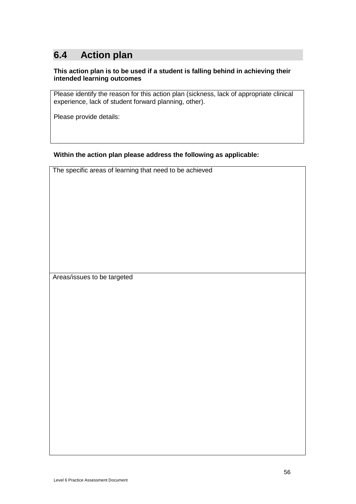## **6.4 Action plan**

#### **This action plan is to be used if a student is falling behind in achieving their intended learning outcomes**

Please identify the reason for this action plan (sickness, lack of appropriate clinical experience, lack of student forward planning, other).

Please provide details:

#### **Within the action plan please address the following as applicable:**

The specific areas of learning that need to be achieved

Areas/issues to be targeted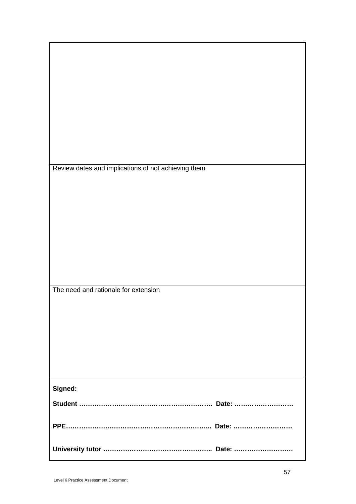| Review dates and implications of not achieving them |
|-----------------------------------------------------|
|                                                     |
|                                                     |
|                                                     |
|                                                     |
|                                                     |
|                                                     |
|                                                     |
|                                                     |
|                                                     |
|                                                     |
|                                                     |
|                                                     |
|                                                     |
|                                                     |
|                                                     |
|                                                     |
| The need and rationale for extension                |
|                                                     |
|                                                     |
|                                                     |
|                                                     |
|                                                     |
|                                                     |
|                                                     |
|                                                     |
|                                                     |
|                                                     |
|                                                     |
|                                                     |
|                                                     |
| Signed:                                             |
|                                                     |
|                                                     |
|                                                     |
|                                                     |
|                                                     |
|                                                     |
|                                                     |
|                                                     |
|                                                     |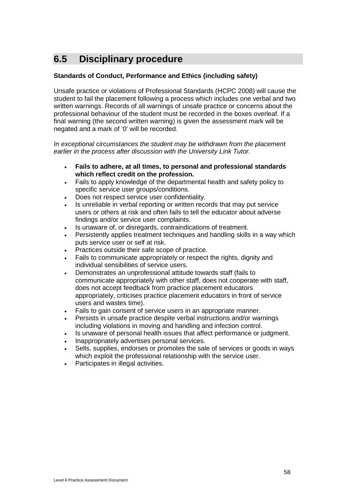## **6.5 Disciplinary procedure**

#### **Standards of Conduct, Performance and Ethics (including safety)**

Unsafe practice or violations of Professional Standards (HCPC 2008) will cause the student to fail the placement following a process which includes one verbal and two written warnings. Records of all warnings of unsafe practice or concerns about the professional behaviour of the student must be recorded in the boxes overleaf. If a final warning (the second written warning) is given the assessment mark will be negated and a mark of '0' will be recorded.

*In exceptional circumstances the student may be withdrawn from the placement earlier in the process after discussion with the University Link Tutor.*

- **Fails to adhere, at all times, to personal and professional standards which reflect credit on the profession.**
- Fails to apply knowledge of the departmental health and safety policy to specific service user groups/conditions.
- Does not respect service user confidentiality.
- Is unreliable in verbal reporting or written records that may put service users or others at risk and often fails to tell the educator about adverse findings and/or service user complaints.
- Is unaware of, or disregards, contraindications of treatment.
- Persistently applies treatment techniques and handling skills in a way which puts service user or self at risk.
- Practices outside their safe scope of practice.
- Fails to communicate appropriately or respect the rights, dignity and individual sensibilities of service users.
- Demonstrates an unprofessional attitude towards staff (fails to communicate appropriately with other staff, does not cooperate with staff, does not accept feedback from practice placement educators appropriately, criticises practice placement educators in front of service users and wastes time).
- Fails to gain consent of service users in an appropriate manner.
- Persists in unsafe practice despite verbal instructions and/or warnings including violations in moving and handling and infection control.
- Is unaware of personal health issues that affect performance or judgment.
- Inappropriately advertises personal services.
- Sells, supplies, endorses or promotes the sale of services or goods in ways which exploit the professional relationship with the service user.
- Participates in illegal activities.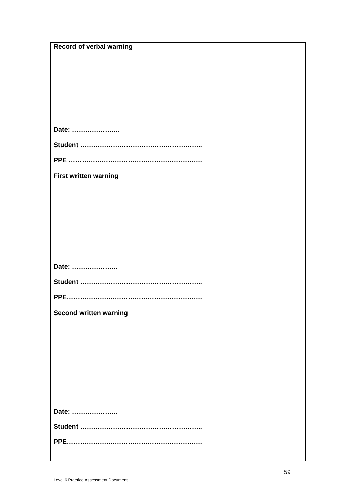| <b>Record of verbal warning</b> |
|---------------------------------|
|                                 |
|                                 |
|                                 |
|                                 |
|                                 |
|                                 |
| Date:                           |
|                                 |
|                                 |
| <b>First written warning</b>    |
|                                 |
|                                 |
|                                 |
|                                 |
|                                 |
|                                 |
|                                 |
| Date:                           |
|                                 |
|                                 |
|                                 |
| <b>Second written warning</b>   |
|                                 |
|                                 |
|                                 |
|                                 |
|                                 |
|                                 |
|                                 |
| Date:                           |
|                                 |
|                                 |
|                                 |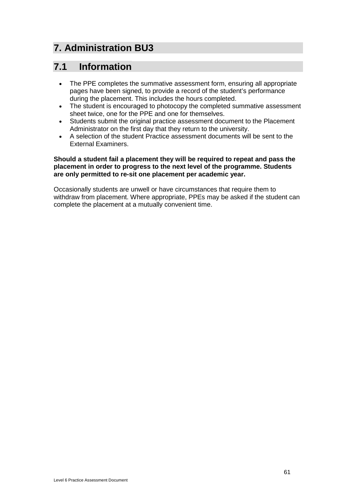## **7. Administration BU3**

## **7.1 Information**

- The PPE completes the summative assessment form, ensuring all appropriate pages have been signed, to provide a record of the student's performance during the placement. This includes the hours completed.
- The student is encouraged to photocopy the completed summative assessment sheet twice, one for the PPE and one for themselves.
- Students submit the original practice assessment document to the Placement Administrator on the first day that they return to the university.
- A selection of the student Practice assessment documents will be sent to the External Examiners.

#### **Should a student fail a placement they will be required to repeat and pass the placement in order to progress to the next level of the programme. Students are only permitted to re-sit one placement per academic year.**

Occasionally students are unwell or have circumstances that require them to withdraw from placement. Where appropriate, PPEs may be asked if the student can complete the placement at a mutually convenient time.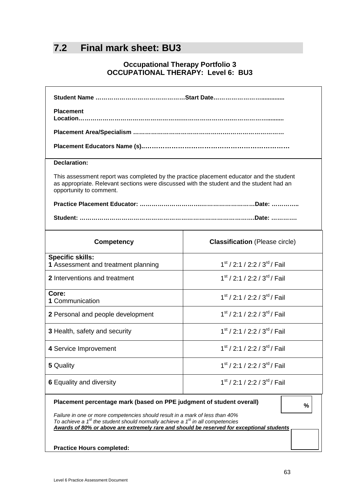## **7.2 Final mark sheet: BU3**

### **Occupational Therapy Portfolio 3 OCCUPATIONAL THERAPY: Level 6: BU3**

| <b>Placement</b>                                                                                                                                                                                                                                                                                                                             |                                               |  |  |
|----------------------------------------------------------------------------------------------------------------------------------------------------------------------------------------------------------------------------------------------------------------------------------------------------------------------------------------------|-----------------------------------------------|--|--|
|                                                                                                                                                                                                                                                                                                                                              |                                               |  |  |
|                                                                                                                                                                                                                                                                                                                                              |                                               |  |  |
| <b>Declaration:</b>                                                                                                                                                                                                                                                                                                                          |                                               |  |  |
| This assessment report was completed by the practice placement educator and the student<br>as appropriate. Relevant sections were discussed with the student and the student had an<br>opportunity to comment.                                                                                                                               |                                               |  |  |
|                                                                                                                                                                                                                                                                                                                                              |                                               |  |  |
|                                                                                                                                                                                                                                                                                                                                              |                                               |  |  |
| <b>Competency</b>                                                                                                                                                                                                                                                                                                                            | <b>Classification</b> (Please circle)         |  |  |
| <b>Specific skills:</b><br>1 Assessment and treatment planning                                                                                                                                                                                                                                                                               | $1st$ / 2:1 / 2:2 / 3 <sup>rd</sup> / Fail    |  |  |
| 2 Interventions and treatment                                                                                                                                                                                                                                                                                                                | $1st$ / 2:1 / 2:2 / 3 <sup>rd</sup> / Fail    |  |  |
| Core:<br>1 Communication                                                                                                                                                                                                                                                                                                                     | $1st$ / 2:1 / 2:2 / 3 <sup>rd</sup> / Fail    |  |  |
| 2 Personal and people development                                                                                                                                                                                                                                                                                                            | $1st$ / 2:1 / 2:2 / 3 <sup>rd</sup> / Fail    |  |  |
| 3 Health, safety and security                                                                                                                                                                                                                                                                                                                | $1st$ / 2:1 / 2:2 / 3 <sup>rd</sup> / Fail    |  |  |
| 4 Service Improvement                                                                                                                                                                                                                                                                                                                        | $1st$ / 2:1 / 2:2 / 3 <sup>rd</sup> / Fail    |  |  |
| 5 Quality                                                                                                                                                                                                                                                                                                                                    | $1st$ / 2:1 / 2:2 / 3 <sup>rd</sup> / Fail    |  |  |
| <b>6 Equality and diversity</b>                                                                                                                                                                                                                                                                                                              | $1^{st}$ / 2:1 / 2:2 / 3 <sup>rd</sup> / Fail |  |  |
| Placement percentage mark (based on PPE judgment of student overall)<br>%<br>Failure in one or more competencies should result in a mark of less than 40%<br>To achieve a $1st$ the student should normally achieve a $1st$ in all competencies<br>Awards of 80% or above are extremely rare and should be reserved for exceptional students |                                               |  |  |

**Practice Hours completed:**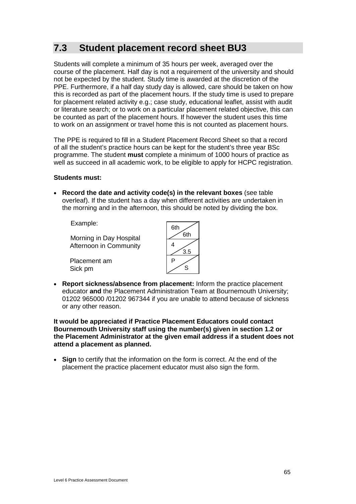## **7.3 Student placement record sheet BU3**

Students will complete a minimum of 35 hours per week, averaged over the course of the placement. Half day is not a requirement of the university and should not be expected by the student. Study time is awarded at the discretion of the PPE. Furthermore, if a half day study day is allowed, care should be taken on how this is recorded as part of the placement hours. If the study time is used to prepare for placement related activity e.g.; case study, educational leaflet, assist with audit or literature search; or to work on a particular placement related objective, this can be counted as part of the placement hours. If however the student uses this time to work on an assignment or travel home this is not counted as placement hours.

The PPE is required to fill in a Student Placement Record Sheet so that a record of all the student's practice hours can be kept for the student's three year BSc programme. The student **must** complete a minimum of 1000 hours of practice as well as succeed in all academic work, to be eligible to apply for HCPC registration.

#### **Students must:**

• **Record the date and activity code(s) in the relevant boxes** (see table overleaf). If the student has a day when different activities are undertaken in the morning and in the afternoon, this should be noted by dividing the box.

Example:

Morning in Day Hospital Afternoon in Community

Placement am Sick pm

| 6th |     |
|-----|-----|
|     | 6th |
| 4   |     |
|     | 3.5 |
| Ë   |     |
|     | འ   |
|     |     |

• **Report sickness/absence from placement:** Inform the practice placement educator **and** the Placement Administration Team at Bournemouth University; 01202 965000 /01202 967344 if you are unable to attend because of sickness or any other reason.

**It would be appreciated if Practice Placement Educators could contact Bournemouth University staff using the number(s) given in section 1.2 or the Placement Administrator at the given email address if a student does not attend a placement as planned.**

• **Sign** to certify that the information on the form is correct. At the end of the placement the practice placement educator must also sign the form.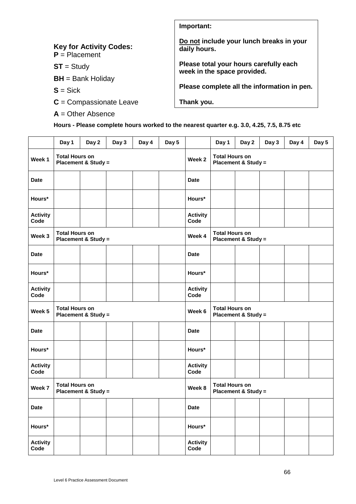|                                                   | Important:                                                            |
|---------------------------------------------------|-----------------------------------------------------------------------|
| <b>Key for Activity Codes:</b><br>$P =$ Placement | Do not include your lunch breaks in your<br>daily hours.              |
| $ST = Study$                                      | Please total your hours carefully each<br>week in the space provided. |
| $BH = Bank$ Holiday                               |                                                                       |
| $S = Sick$                                        | Please complete all the information in pen.                           |
| $C =$ Compassionate Leave                         | Thank you.                                                            |
| $A =$ Other Absence                               |                                                                       |

**Hours - Please complete hours worked to the nearest quarter e.g. 3.0, 4.25, 7.5, 8.75 etc**

|                                                                   | Day 1                                                   | Day 2                          | Day 3  | Day 4                                                   | Day 5                 |                                | Day 1                 | Day 2                          | Day 3 | Day 4 | Day 5 |
|-------------------------------------------------------------------|---------------------------------------------------------|--------------------------------|--------|---------------------------------------------------------|-----------------------|--------------------------------|-----------------------|--------------------------------|-------|-------|-------|
| Week 1                                                            | <b>Total Hours on</b><br><b>Placement &amp; Study =</b> |                                |        |                                                         |                       | Week 2                         | <b>Total Hours on</b> | <b>Placement &amp; Study =</b> |       |       |       |
| <b>Date</b>                                                       |                                                         |                                |        |                                                         |                       | <b>Date</b>                    |                       |                                |       |       |       |
| Hours*                                                            |                                                         |                                |        |                                                         |                       | Hours*                         |                       |                                |       |       |       |
| <b>Activity</b><br>Code                                           |                                                         |                                |        |                                                         |                       | <b>Activity</b><br>Code        |                       |                                |       |       |       |
| Week 3                                                            | <b>Total Hours on</b>                                   | <b>Placement &amp; Study =</b> |        |                                                         |                       | Week 4                         | <b>Total Hours on</b> | Placement & Study =            |       |       |       |
| <b>Date</b>                                                       |                                                         |                                |        |                                                         |                       | <b>Date</b>                    |                       |                                |       |       |       |
| Hours*                                                            |                                                         |                                |        |                                                         |                       | Hours*                         |                       |                                |       |       |       |
| <b>Activity</b><br>Code                                           |                                                         |                                |        |                                                         |                       | <b>Activity</b><br>Code        |                       |                                |       |       |       |
| <b>Total Hours on</b><br>Week 5<br><b>Placement &amp; Study =</b> |                                                         |                                | Week 6 | <b>Total Hours on</b><br><b>Placement &amp; Study =</b> |                       |                                |                       |                                |       |       |       |
| <b>Date</b>                                                       |                                                         |                                |        |                                                         |                       | <b>Date</b>                    |                       |                                |       |       |       |
| Hours*                                                            |                                                         |                                |        |                                                         |                       | Hours*                         |                       |                                |       |       |       |
| <b>Activity</b><br>Code                                           |                                                         |                                |        |                                                         |                       | <b>Activity</b><br>Code        |                       |                                |       |       |       |
| <b>Total Hours on</b><br>Week 7<br><b>Placement &amp; Study =</b> |                                                         |                                |        | Week 8                                                  | <b>Total Hours on</b> | <b>Placement &amp; Study =</b> |                       |                                |       |       |       |
| <b>Date</b>                                                       |                                                         |                                |        |                                                         |                       | <b>Date</b>                    |                       |                                |       |       |       |
| Hours*                                                            |                                                         |                                |        |                                                         |                       | Hours*                         |                       |                                |       |       |       |
| <b>Activity</b><br>Code                                           |                                                         |                                |        |                                                         |                       | <b>Activity</b><br>Code        |                       |                                |       |       |       |

٦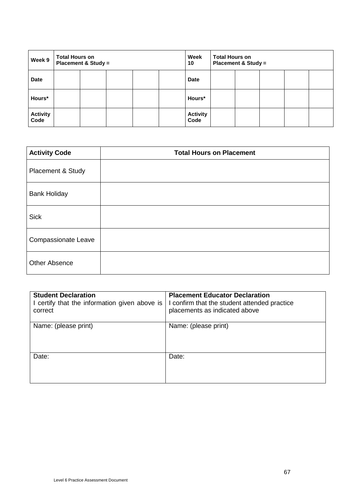| <b>Total Hours on</b><br>Week 9<br><b>Placement &amp; Study =</b> |  |  | Week<br>10 | <b>Total Hours on</b> | <b>Placement &amp; Study =</b> |  |  |  |  |
|-------------------------------------------------------------------|--|--|------------|-----------------------|--------------------------------|--|--|--|--|
| <b>Date</b>                                                       |  |  |            |                       | <b>Date</b>                    |  |  |  |  |
| Hours*                                                            |  |  |            |                       | Hours*                         |  |  |  |  |
| <b>Activity</b><br>Code                                           |  |  |            |                       | <b>Activity</b><br>Code        |  |  |  |  |

| <b>Activity Code</b>       | <b>Total Hours on Placement</b> |
|----------------------------|---------------------------------|
| Placement & Study          |                                 |
| <b>Bank Holiday</b>        |                                 |
| <b>Sick</b>                |                                 |
| <b>Compassionate Leave</b> |                                 |
| <b>Other Absence</b>       |                                 |

| <b>Student Declaration</b><br>I certify that the information given above is<br>correct | <b>Placement Educator Declaration</b><br>I confirm that the student attended practice<br>placements as indicated above |
|----------------------------------------------------------------------------------------|------------------------------------------------------------------------------------------------------------------------|
| Name: (please print)                                                                   | Name: (please print)                                                                                                   |
| Date:                                                                                  | Date:                                                                                                                  |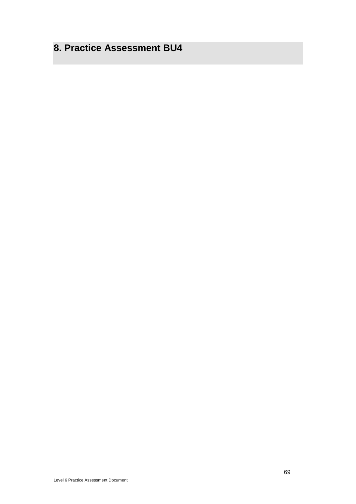## **8. Practice Assessment BU4**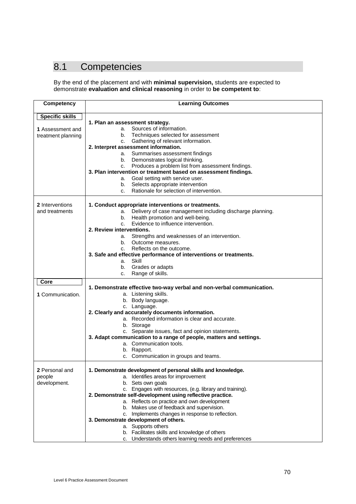## 8.1 Competencies

By the end of the placement and with **minimal supervision,** students are expected to demonstrate **evaluation and clinical reasoning** in order to **be competent to**:

| <b>Competency</b>      | <b>Learning Outcomes</b>                                                                           |
|------------------------|----------------------------------------------------------------------------------------------------|
| <b>Specific skills</b> |                                                                                                    |
|                        | 1. Plan an assessment strategy.                                                                    |
| 1 Assessment and       | Sources of information.<br>a.                                                                      |
| treatment planning     | b. Techniques selected for assessment                                                              |
|                        | Gathering of relevant information.<br>C.                                                           |
|                        | 2. Interpret assessment information.                                                               |
|                        | Summarises assessment findings<br>а.                                                               |
|                        | Demonstrates logical thinking.<br>b.                                                               |
|                        | Produces a problem list from assessment findings.<br>C.                                            |
|                        | 3. Plan intervention or treatment based on assessment findings.<br>Goal setting with service user. |
|                        | a.<br>Selects appropriate intervention<br>b.                                                       |
|                        | Rationale for selection of intervention.<br>C.                                                     |
|                        |                                                                                                    |
| 2 Interventions        | 1. Conduct appropriate interventions or treatments.                                                |
| and treatments         | Delivery of case management including discharge planning.<br>а.                                    |
|                        | Health promotion and well-being.<br>b.                                                             |
|                        | Evidence to influence intervention.<br>C.                                                          |
|                        | 2. Review interventions.                                                                           |
|                        | Strengths and weaknesses of an intervention.<br>а.                                                 |
|                        | Outcome measures.<br>b.                                                                            |
|                        | Reflects on the outcome.<br>C.                                                                     |
|                        | 3. Safe and effective performance of interventions or treatments.                                  |
|                        | Skill<br>а.                                                                                        |
|                        | Grades or adapts<br>b.                                                                             |
|                        | Range of skills.<br>c.                                                                             |
| Core                   |                                                                                                    |
|                        | 1. Demonstrate effective two-way verbal and non-verbal communication.                              |
| 1 Communication.       | a. Listening skills.                                                                               |
|                        | b. Body language.                                                                                  |
|                        | c. Language.                                                                                       |
|                        | 2. Clearly and accurately documents information.<br>a. Recorded information is clear and accurate. |
|                        | b. Storage                                                                                         |
|                        | c. Separate issues, fact and opinion statements.                                                   |
|                        | 3. Adapt communication to a range of people, matters and settings.                                 |
|                        | a. Communication tools.                                                                            |
|                        | b. Rapport.                                                                                        |
|                        | c. Communication in groups and teams.                                                              |
|                        |                                                                                                    |
| 2 Personal and         | 1. Demonstrate development of personal skills and knowledge.                                       |
| people                 | a. Identifies areas for improvement                                                                |
| development.           | b. Sets own goals                                                                                  |
|                        | c. Engages with resources, (e.g. library and training).                                            |
|                        | 2. Demonstrate self-development using reflective practice.                                         |
|                        | a. Reflects on practice and own development                                                        |
|                        | b. Makes use of feedback and supervision.                                                          |
|                        | c. Implements changes in response to reflection.                                                   |
|                        | 3. Demonstrate development of others.                                                              |
|                        | a. Supports others                                                                                 |
|                        | b. Facilitates skills and knowledge of others                                                      |
|                        | c. Understands others learning needs and preferences                                               |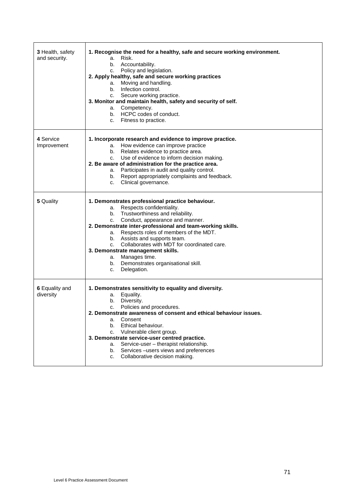| 3 Health, safety<br>and security. | 1. Recognise the need for a healthy, safe and secure working environment.<br>Risk.<br>a.<br>b. Accountability.<br>c. Policy and legislation.<br>2. Apply healthy, safe and secure working practices<br>a. Moving and handling.<br>b. Infection control.<br>c. Secure working practice.<br>3. Monitor and maintain health, safety and security of self.<br>a. Competency.<br>b. HCPC codes of conduct.<br>c. Fitness to practice.                                                        |
|-----------------------------------|-----------------------------------------------------------------------------------------------------------------------------------------------------------------------------------------------------------------------------------------------------------------------------------------------------------------------------------------------------------------------------------------------------------------------------------------------------------------------------------------|
| 4 Service<br>Improvement          | 1. Incorporate research and evidence to improve practice.<br>a. How evidence can improve practice<br>b. Relates evidence to practice area.<br>c. Use of evidence to inform decision making.<br>2. Be aware of administration for the practice area.<br>a. Participates in audit and quality control.<br>b. Report appropriately complaints and feedback.<br>c. Clinical governance.                                                                                                     |
| 5 Quality                         | 1. Demonstrates professional practice behaviour.<br>a. Respects confidentiality.<br>b. Trustworthiness and reliability.<br>Conduct, appearance and manner.<br>C.<br>2. Demonstrate inter-professional and team-working skills.<br>a. Respects roles of members of the MDT.<br>b. Assists and supports team.<br>Collaborates with MDT for coordinated care.<br>C.<br>3. Demonstrate management skills.<br>a. Manages time.<br>b. Demonstrates organisational skill.<br>Delegation.<br>C. |
| 6 Equality and<br>diversity       | 1. Demonstrates sensitivity to equality and diversity.<br>Equality.<br>а.<br>b. Diversity.<br>Policies and procedures.<br>C.<br>2. Demonstrate awareness of consent and ethical behaviour issues.<br>Consent<br>a.<br>Ethical behaviour.<br>b.<br>Vulnerable client group.<br>c.<br>3. Demonstrate service-user centred practice.<br>Service-user - therapist relationship.<br>a.<br>b. Services-users views and preferences<br>Collaborative decision making.<br>C.                    |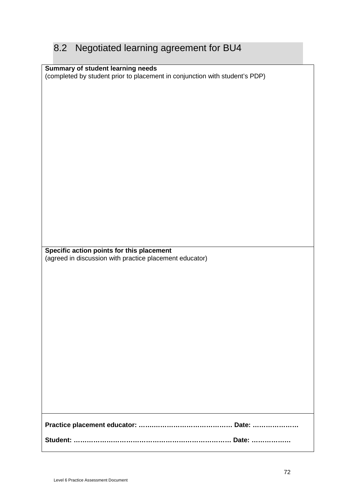# 8.2 Negotiated learning agreement for BU4

| Summary of student learning needs                                           |  |
|-----------------------------------------------------------------------------|--|
|                                                                             |  |
| (completed by student prior to placement in conjunction with student's PDP) |  |
|                                                                             |  |
|                                                                             |  |
|                                                                             |  |
|                                                                             |  |
|                                                                             |  |
|                                                                             |  |
|                                                                             |  |
|                                                                             |  |
|                                                                             |  |
|                                                                             |  |
|                                                                             |  |
|                                                                             |  |
|                                                                             |  |
|                                                                             |  |
|                                                                             |  |
|                                                                             |  |
|                                                                             |  |
|                                                                             |  |
|                                                                             |  |
|                                                                             |  |
|                                                                             |  |
|                                                                             |  |
|                                                                             |  |
|                                                                             |  |
|                                                                             |  |
|                                                                             |  |
|                                                                             |  |
|                                                                             |  |
|                                                                             |  |
|                                                                             |  |
|                                                                             |  |
|                                                                             |  |
| Specific action points for this placement                                   |  |
|                                                                             |  |
|                                                                             |  |
| (agreed in discussion with practice placement educator)                     |  |
|                                                                             |  |
|                                                                             |  |
|                                                                             |  |
|                                                                             |  |
|                                                                             |  |
|                                                                             |  |
|                                                                             |  |
|                                                                             |  |
|                                                                             |  |
|                                                                             |  |
|                                                                             |  |
|                                                                             |  |
|                                                                             |  |
|                                                                             |  |
|                                                                             |  |
|                                                                             |  |
|                                                                             |  |
|                                                                             |  |
|                                                                             |  |
|                                                                             |  |
|                                                                             |  |
|                                                                             |  |
|                                                                             |  |
|                                                                             |  |
|                                                                             |  |
|                                                                             |  |
|                                                                             |  |
|                                                                             |  |
|                                                                             |  |
|                                                                             |  |
|                                                                             |  |
|                                                                             |  |
|                                                                             |  |
|                                                                             |  |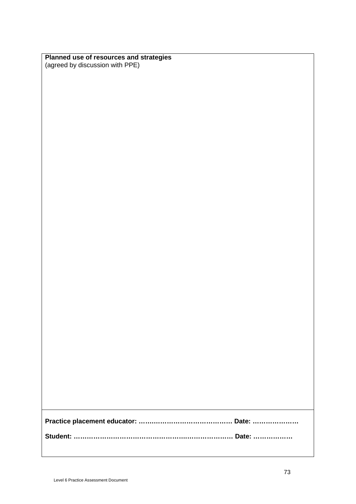| Planned use of resources and strategies |
|-----------------------------------------|
| (agreed by discussion with PPE)         |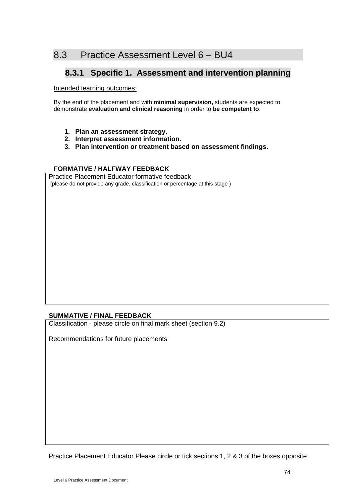# 8.3 Practice Assessment Level 6 – BU4

## **8.3.1 Specific 1. Assessment and intervention planning**

Intended learning outcomes:

By the end of the placement and with **minimal supervision,** students are expected to demonstrate **evaluation and clinical reasoning** in order to **be competent to**:

- **1. Plan an assessment strategy.**
- **2. Interpret assessment information.**
- **3. Plan intervention or treatment based on assessment findings.**

## **FORMATIVE / HALFWAY FEEDBACK**

Practice Placement Educator formative feedback (please do not provide any grade, classification or percentage at this stage )

## **SUMMATIVE / FINAL FEEDBACK**

Classification - please circle on final mark sheet (section 9.2)

Recommendations for future placements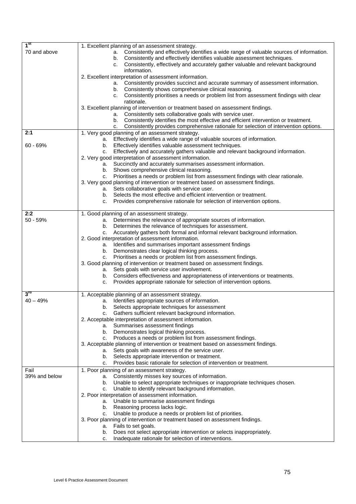| 1 <sup>st</sup> | 1. Excellent planning of an assessment strategy.                                                                                                     |
|-----------------|------------------------------------------------------------------------------------------------------------------------------------------------------|
| 70 and above    | a. Consistently and effectively identifies a wide range of valuable sources of information.                                                          |
|                 | Consistently and effectively identifies valuable assessment techniques.<br>b.                                                                        |
|                 | Consistently, effectively and accurately gather valuable and relevant background<br>C.                                                               |
|                 | information.                                                                                                                                         |
|                 | 2. Excellent interpretation of assessment information.<br>Consistently provides succinct and accurate summary of assessment information.<br>а.       |
|                 | b. Consistently shows comprehensive clinical reasoning.                                                                                              |
|                 | c. Consistently prioritises a needs or problem list from assessment findings with clear                                                              |
|                 | rationale.                                                                                                                                           |
|                 | 3. Excellent planning of intervention or treatment based on assessment findings.                                                                     |
|                 | a. Consistently sets collaborative goals with service user.                                                                                          |
|                 | Consistently identifies the most effective and efficient intervention or treatment.<br>b.                                                            |
|                 | Consistently provides comprehensive rationale for selection of intervention options.<br>c.                                                           |
| 2:1             | 1. Very good planning of an assessment strategy.                                                                                                     |
|                 | a. Effectively identifies a wide range of valuable sources of information.                                                                           |
| $60 - 69%$      | b. Effectively identifies valuable assessment techniques.                                                                                            |
|                 | Effectively and accurately gathers valuable and relevant background information.<br>c.                                                               |
|                 | 2. Very good interpretation of assessment information.                                                                                               |
|                 | a. Succinctly and accurately summarises assessment information.                                                                                      |
|                 | b. Shows comprehensive clinical reasoning.                                                                                                           |
|                 | Prioritises a needs or problem list from assessment findings with clear rationale.<br>C.                                                             |
|                 | 3. Very good planning of intervention or treatment based on assessment findings.                                                                     |
|                 | Sets collaborative goals with service user.<br>а.                                                                                                    |
|                 | Selects the most effective and efficient intervention or treatment.<br>b.<br>Provides comprehensive rationale for selection of intervention options. |
|                 | c.                                                                                                                                                   |
| 2:2             | 1. Good planning of an assessment strategy.                                                                                                          |
| $50 - 59%$      | Determines the relevance of appropriate sources of information.<br>a.                                                                                |
|                 | Determines the relevance of techniques for assessment.<br>b.                                                                                         |
|                 | Accurately gathers both formal and informal relevant background information.<br>C.                                                                   |
|                 | 2. Good interpretation of assessment information.                                                                                                    |
|                 | Identifies and summarises important assessment findings<br>а.                                                                                        |
|                 | Demonstrates clear logical thinking process.<br>b.                                                                                                   |
|                 | Prioritises a needs or problem list from assessment findings.<br>C.                                                                                  |
|                 | 3. Good planning of intervention or treatment based on assessment findings.                                                                          |
|                 | Sets goals with service user involvement.<br>а.                                                                                                      |
|                 | Considers effectiveness and appropriateness of interventions or treatments.<br>b.                                                                    |
|                 | Provides appropriate rationale for selection of intervention options.<br>c.                                                                          |
| $3^{ra}$        |                                                                                                                                                      |
| $40 - 49%$      | 1. Acceptable planning of an assessment strategy.                                                                                                    |
|                 | a. Identifies appropriate sources of information.                                                                                                    |
|                 | b. Selects appropriate techniques for assessment<br>c. Gathers sufficient relevant background information.                                           |
|                 | 2. Acceptable interpretation of assessment information.                                                                                              |
|                 | a. Summarises assessment findings                                                                                                                    |
|                 | Demonstrates logical thinking process.<br>b.                                                                                                         |
|                 | Produces a needs or problem list from assessment findings.<br>c.                                                                                     |
|                 | 3. Acceptable planning of intervention or treatment based on assessment findings.                                                                    |
|                 | a. Sets goals with awareness of the service user.                                                                                                    |
|                 | Selects appropriate intervention or treatment.<br>b.                                                                                                 |
|                 | Provides basic rationale for selection of intervention or treatment.<br>c.                                                                           |
| Fail            | 1. Poor planning of an assessment strategy.                                                                                                          |
| 39% and below   | Consistently misses key sources of information.<br>а.                                                                                                |
|                 | Unable to select appropriate techniques or inappropriate techniques chosen.<br>b.                                                                    |
|                 | Unable to identify relevant background information.<br>c.                                                                                            |
|                 | 2. Poor interpretation of assessment information.                                                                                                    |
|                 | a. Unable to summarise assessment findings                                                                                                           |
|                 | b. Reasoning process lacks logic.                                                                                                                    |
|                 | Unable to produce a needs or problem list of priorities.<br>c.                                                                                       |
|                 | 3. Poor planning of intervention or treatment based on assessment findings.                                                                          |
|                 | Fails to set goals.<br>а.                                                                                                                            |
|                 | Does not select appropriate intervention or selects inappropriately.<br>b.                                                                           |
|                 | Inadequate rationale for selection of interventions.<br>c.                                                                                           |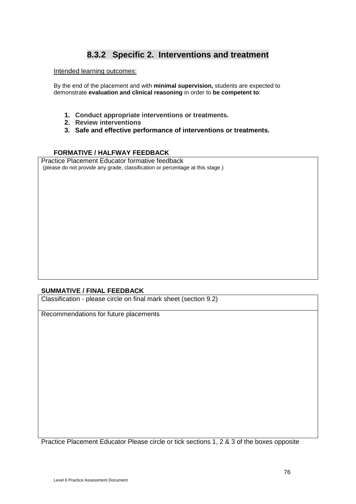## **8.3.2 Specific 2. Interventions and treatment**

Intended learning outcomes:

By the end of the placement and with **minimal supervision,** students are expected to demonstrate **evaluation and clinical reasoning** in order to **be competent to**:

- **1. Conduct appropriate interventions or treatments.**
- **2. Review interventions**
- **3. Safe and effective performance of interventions or treatments.**

#### **FORMATIVE / HALFWAY FEEDBACK**

Practice Placement Educator formative feedback (please do not provide any grade, classification or percentage at this stage )

## **SUMMATIVE / FINAL FEEDBACK**

Classification - please circle on final mark sheet (section 9.2)

Recommendations for future placements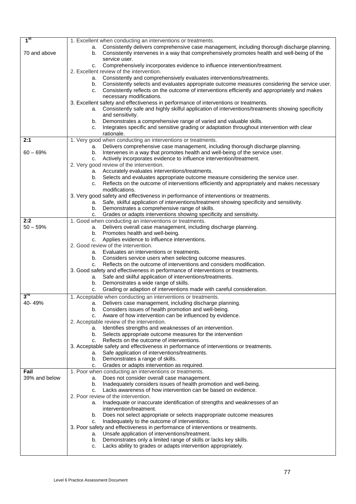| 1 <sup>st</sup>   |                                                                                                        |
|-------------------|--------------------------------------------------------------------------------------------------------|
|                   | 1. Excellent when conducting an interventions or treatments.                                           |
|                   | Consistently delivers comprehensive case management, including thorough discharge planning.<br>а.      |
| 70 and above      | Consistently intervenes in a way that comprehensively promotes health and well-being of the<br>b.      |
|                   | service user.                                                                                          |
|                   |                                                                                                        |
|                   | Comprehensively incorporates evidence to influence intervention/treatment.<br>C.                       |
|                   | 2. Excellent review of the intervention.                                                               |
|                   | a. Consistently and comprehensively evaluates interventions/treatments.                                |
|                   |                                                                                                        |
|                   | b. Consistently selects and evaluates appropriate outcome measures considering the service user.       |
|                   | Consistently reflects on the outcome of interventions efficiently and appropriately and makes<br>C.    |
|                   | necessary modifications.                                                                               |
|                   | 3. Excellent safety and effectiveness in performance of interventions or treatments.                   |
|                   | Consistently safe and highly skilful application of interventions/treatments showing specificity<br>а. |
|                   | and sensitivity.                                                                                       |
|                   |                                                                                                        |
|                   | Demonstrates a comprehensive range of varied and valuable skills.<br>b.                                |
|                   | Integrates specific and sensitive grading or adaptation throughout intervention with clear<br>C.       |
|                   | rationale.                                                                                             |
| 2:1               | 1. Very good when conducting an interventions or treatments.                                           |
|                   | Delivers comprehensive case management, including thorough discharge planning.<br>a.                   |
| $60 - 69%$        | Intervenes in a way that promotes health and well-being of the service user.<br>b.                     |
|                   |                                                                                                        |
|                   | Actively incorporates evidence to influence intervention/treatment.<br>C.                              |
|                   | 2. Very good review of the intervention.                                                               |
|                   | a. Accurately evaluates interventions/treatments.                                                      |
|                   | b. Selects and evaluates appropriate outcome measure considering the service user.                     |
|                   | Reflects on the outcome of interventions efficiently and appropriately and makes necessary<br>C.       |
|                   | modifications.                                                                                         |
|                   |                                                                                                        |
|                   | 3. Very good safety and effectiveness in performance of interventions or treatments.                   |
|                   | Safe, skilful application of interventions/treatment showing specificity and sensitivity.<br>а.        |
|                   | Demonstrates a comprehensive range of skills.<br>b.                                                    |
|                   | Grades or adapts interventions showing specificity and sensitivity.<br>C.                              |
| 2:2               | 1. Good when conducting an interventions or treatments.                                                |
| $50 - 59%$        | Delivers overall case management, including discharge planning.<br>а.                                  |
|                   | b. Promotes health and well-being.                                                                     |
|                   |                                                                                                        |
|                   | Applies evidence to influence interventions.<br>C.                                                     |
|                   | 2. Good review of the intervention.                                                                    |
|                   | Evaluates an interventions or treatments.<br>а.                                                        |
|                   | b. Considers service users when selecting outcome measures.                                            |
|                   | Reflects on the outcome of interventions and considers modification.<br>C.                             |
|                   | 3. Good safety and effectiveness in performance of interventions or treatments.                        |
|                   | Safe and skilful application of interventions/treatments.<br>а.                                        |
|                   |                                                                                                        |
|                   | Demonstrates a wide range of skills.<br>b.                                                             |
|                   | Grading or adaption of interventions made with careful consideration.<br>C.                            |
| $3^{\mathsf{ra}}$ | 1. Acceptable when conducting an interventions or treatments.                                          |
| 40-49%            | a. Delivers case management, including discharge planning.                                             |
|                   | b. Considers issues of health promotion and well-being.                                                |
|                   |                                                                                                        |
|                   | Aware of how intervention can be influenced by evidence.<br>C.                                         |
|                   | 2. Acceptable review of the intervention.                                                              |
|                   | Identifies strengths and weaknesses of an intervention.<br>а.                                          |
|                   | b. Selects appropriate outcome measures for the intervention                                           |
|                   | Reflects on the outcome of interventions.<br>C.                                                        |
|                   | 3. Acceptable safety and effectiveness in performance of interventions or treatments.                  |
|                   | Safe application of interventions/treatments.<br>а.                                                    |
|                   |                                                                                                        |
|                   | Demonstrates a range of skills.<br>b.                                                                  |
|                   | Grades or adapts intervention as required.<br>C.                                                       |
| Fail              | 1. Poor when conducting an interventions or treatments.                                                |
| 39% and below     | Does not consider overall case management.<br>а.                                                       |
|                   | Inadequately considers issues of health promotion and well-being.<br>b.                                |
|                   | Lacks awareness of how intervention can be based on evidence.<br>C.                                    |
|                   | 2. Poor review of the intervention.                                                                    |
|                   | Inadequate or inaccurate identification of strengths and weaknesses of an<br>a.                        |
|                   | intervention/treatment.                                                                                |
|                   |                                                                                                        |
|                   | Does not select appropriate or selects inappropriate outcome measures<br>b.                            |
|                   | Inadequately to the outcome of interventions.<br>c.                                                    |
|                   | 3. Poor safety and effectiveness in performance of interventions or treatments.                        |
|                   | Unsafe application of interventions/treatment.<br>а.                                                   |
|                   | Demonstrates only a limited range of skills or lacks key skills.<br>b.                                 |
|                   | Lacks ability to grades or adapts intervention appropriately.<br>c.                                    |
|                   |                                                                                                        |
|                   |                                                                                                        |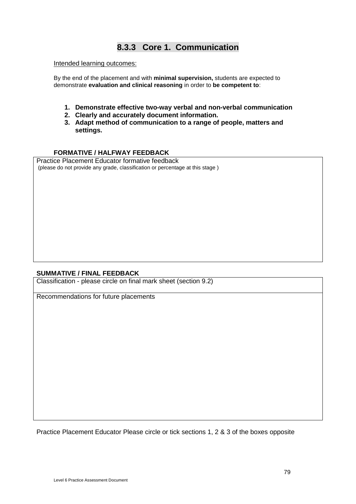# **8.3.3 Core 1. Communication**

#### Intended learning outcomes:

By the end of the placement and with **minimal supervision,** students are expected to demonstrate **evaluation and clinical reasoning** in order to **be competent to**:

- **1. Demonstrate effective two-way verbal and non-verbal communication**
- **2. Clearly and accurately document information.**
- **3. Adapt method of communication to a range of people, matters and settings.**

#### **FORMATIVE / HALFWAY FEEDBACK**

Practice Placement Educator formative feedback (please do not provide any grade, classification or percentage at this stage )

#### **SUMMATIVE / FINAL FEEDBACK**

Classification - please circle on final mark sheet (section 9.2)

Recommendations for future placements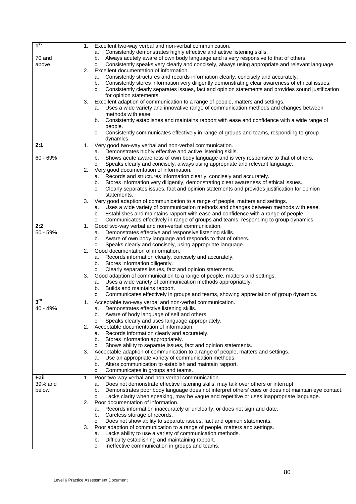| 1 <sup>st</sup> | 1.             | Excellent two-way verbal and non-verbal communication.                                                                                   |
|-----------------|----------------|------------------------------------------------------------------------------------------------------------------------------------------|
|                 |                | a. Consistently demonstrates highly effective and active listening skills.                                                               |
| 70 and          |                | Always acutely aware of own body language and is very responsive to that of others.<br>b.                                                |
| above           |                | Consistently speaks very clearly and concisely, always using appropriate and relevant language.<br>c.                                    |
|                 | 2.             | Excellent documentation of information.                                                                                                  |
|                 |                | Consistently structures and records information clearly, concisely and accurately.<br>a.                                                 |
|                 |                | Consistently stores information very diligently demonstrating clear awareness of ethical issues.<br>b.                                   |
|                 |                | Consistently clearly separates issues, fact and opinion statements and provides sound justification<br>C.                                |
|                 |                | for opinion statements.                                                                                                                  |
|                 | 3.             | Excellent adaption of communication to a range of people, matters and settings.                                                          |
|                 |                | Uses a wide variety and innovative range of communication methods and changes between<br>а.                                              |
|                 |                | methods with ease.                                                                                                                       |
|                 |                | Consistently establishes and maintains rapport with ease and confidence with a wide range of<br>b.                                       |
|                 |                | people.<br>Consistently communicates effectively in range of groups and teams, responding to group<br>C.                                 |
|                 |                | dynamics.                                                                                                                                |
| 2:1             | 1.             | Very good two-way verbal and non-verbal communication.                                                                                   |
|                 |                | Demonstrates highly effective and active listening skills.<br>а.                                                                         |
| $60 - 69%$      |                | Shows acute awareness of own body language and is very responsive to that of others.<br>b.                                               |
|                 |                | Speaks clearly and concisely, always using appropriate and relevant language.<br>C.                                                      |
|                 | 2.             | Very good documentation of information.                                                                                                  |
|                 |                | a. Records and structures information clearly, concisely and accurately.                                                                 |
|                 |                | Stores information very diligently, demonstrating clear awareness of ethical issues.<br>b.                                               |
|                 |                | Clearly separates issues, fact and opinion statements and provides justification for opinion<br>c.                                       |
|                 |                | statements.                                                                                                                              |
|                 | 3.             | Very good adaption of communication to a range of people, matters and settings.                                                          |
|                 |                | a. Uses a wide variety of communication methods and changes between methods with ease.                                                   |
|                 |                | b. Establishes and maintains rapport with ease and confidence with a range of people.                                                    |
|                 |                | Communicates effectively in range of groups and teams, responding to group dynamics.<br>c.                                               |
| 2:2             | $\mathbf{1}$ . | Good two-way verbal and non-verbal communication.                                                                                        |
| 50 - 59%        |                | Demonstrates effective and responsive listening skills.<br>a.                                                                            |
|                 |                | Aware of own body language and responds to that of others.<br>b.                                                                         |
|                 | 2.             | Speaks clearly and concisely, using appropriate language.<br>c.<br>Good documentation of information.                                    |
|                 |                | a. Records information clearly, concisely and accurately.                                                                                |
|                 |                | b. Stores information diligently.                                                                                                        |
|                 |                | Clearly separates issues, fact and opinion statements.<br>c.                                                                             |
|                 | 3.             | Good adaption of communication to a range of people, matters and settings.                                                               |
|                 |                | a. Uses a wide variety of communication methods appropriately.                                                                           |
|                 |                | Builds and maintains rapport.<br>b.                                                                                                      |
|                 |                | Communicates effectively in groups and teams, showing appreciation of group dynamics.<br>с.                                              |
| $3^{\text{rd}}$ | 1.             | Acceptable two-way verbal and non-verbal communication.                                                                                  |
| 40 - 49%        |                | Demonstrates effective listening skills.<br>а.                                                                                           |
|                 |                | Aware of body language of self and others.<br>b.                                                                                         |
|                 |                | Speaks clearly and uses language appropriately.<br>c.                                                                                    |
|                 | 2.             | Acceptable documentation of information.                                                                                                 |
|                 |                | a. Records information clearly and accurately.                                                                                           |
|                 |                | b. Stores information appropriately.                                                                                                     |
|                 |                | Shows ability to separate issues, fact and opinion statements.<br>C.                                                                     |
|                 | 3.             | Acceptable adaption of communication to a range of people, matters and settings.                                                         |
|                 |                | Use an appropriate variety of communication methods.<br>а.                                                                               |
|                 |                | Alters communication to establish and maintain rapport.<br>b.                                                                            |
|                 |                | Communicates in groups and teams.<br>с.                                                                                                  |
| Fail<br>39% and | $\mathbf{1}$ . | Poor two-way verbal and non-verbal communication.<br>Does not demonstrate effective listening skills, may talk over others or interrupt. |
| below           |                | a.<br>Demonstrates poor body language does not interpret others' cues or does not maintain eye contact.<br>b.                            |
|                 |                | Lacks clarity when speaking, may be vague and repetitive or uses inappropriate language.<br>c.                                           |
|                 | 2.             | Poor documentation of information.                                                                                                       |
|                 |                | Records information inaccurately or unclearly, or does not sign and date.<br>а.                                                          |
|                 |                | Careless storage of records.<br>b.                                                                                                       |
|                 |                | Does not show ability to separate issues, fact and opinion statements.<br>c.                                                             |
|                 | 3.             | Poor adaption of communication to a range of people, matters and settings.                                                               |
|                 |                | Lacks ability to use a variety of communication methods.<br>a.                                                                           |
|                 |                | Difficulty establishing and maintaining rapport.<br>b.                                                                                   |
|                 |                | Ineffective communication in groups and teams.<br>c.                                                                                     |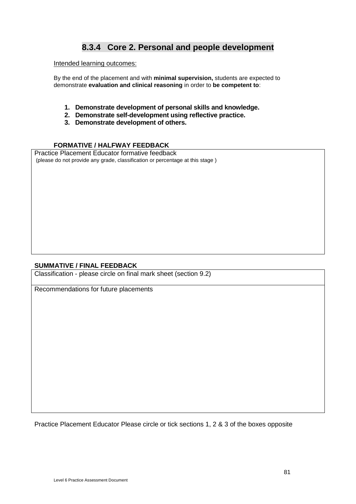# **8.3.4 Core 2. Personal and people development**

#### Intended learning outcomes:

By the end of the placement and with **minimal supervision,** students are expected to demonstrate **evaluation and clinical reasoning** in order to **be competent to**:

- **1. Demonstrate development of personal skills and knowledge.**
- **2. Demonstrate self-development using reflective practice.**
- **3. Demonstrate development of others.**

## **FORMATIVE / HALFWAY FEEDBACK**

Practice Placement Educator formative feedback (please do not provide any grade, classification or percentage at this stage )

#### **SUMMATIVE / FINAL FEEDBACK**

Classification - please circle on final mark sheet (section 9.2)

Recommendations for future placements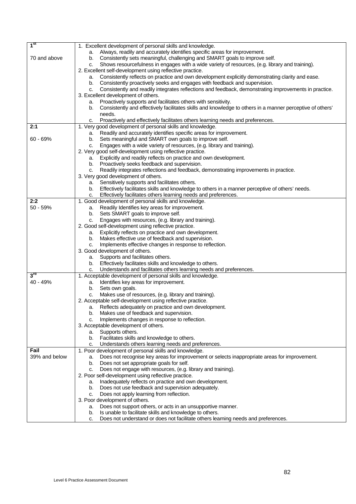| 1 <sup>st</sup> | 1. Excellent development of personal skills and knowledge.                                                      |
|-----------------|-----------------------------------------------------------------------------------------------------------------|
|                 | Always, readily and accurately identifies specific areas for improvement.<br>а.                                 |
| 70 and above    | Consistently sets meaningful, challenging and SMART goals to improve self.<br>b.                                |
|                 | Shows resourcefulness in engages with a wide variety of resources, (e.g. library and training).<br>c.           |
|                 | 2. Excellent self-development using reflective practice.                                                        |
|                 | Consistently reflects on practice and own development explicitly demonstrating clarity and ease.<br>a.          |
|                 | Consistently proactively seeks and engages with feedback and supervision.<br>b.                                 |
|                 | Consistently and readily integrates reflections and feedback, demonstrating improvements in practice.<br>c.     |
|                 | 3. Excellent development of others.                                                                             |
|                 | Proactively supports and facilitates others with sensitivity.<br>a.                                             |
|                 | Consistently and effectively facilitates skills and knowledge to others in a manner perceptive of others'<br>b. |
|                 | needs.                                                                                                          |
|                 | Proactively and effectively facilitates others learning needs and preferences.<br>C.                            |
| 2:1             | 1. Very good development of personal skills and knowledge.                                                      |
|                 | Readily and accurately identifies specific areas for improvement.<br>a.                                         |
| $60 - 69%$      | Sets meaningful and SMART own goals to improve self.<br>b.                                                      |
|                 | Engages with a wide variety of resources, (e.g. library and training).<br>c.                                    |
|                 | 2. Very good self-development using reflective practice.                                                        |
|                 | Explicitly and readily reflects on practice and own development.<br>а.                                          |
|                 | Proactively seeks feedback and supervision.<br>b.                                                               |
|                 | Readily integrates reflections and feedback, demonstrating improvements in practice.<br>C.                      |
|                 | 3. Very good development of others.                                                                             |
|                 | Sensitively supports and facilitates others.<br>а.                                                              |
|                 | Effectively facilitates skills and knowledge to others in a manner perceptive of others' needs.<br>b.           |
|                 | Effectively facilitates others learning needs and preferences.<br>C.                                            |
| 2:2             | 1. Good development of personal skills and knowledge.                                                           |
| $50 - 59%$      | Readily Identifies key areas for improvement.<br>a.                                                             |
|                 | Sets SMART goals to improve self.<br>b.                                                                         |
|                 | Engages with resources, (e.g. library and training).<br>C.                                                      |
|                 | 2. Good self-development using reflective practice.                                                             |
|                 | Explicitly reflects on practice and own development.<br>a.                                                      |
|                 | Makes effective use of feedback and supervision.<br>b.                                                          |
|                 | Implements effective changes in response to reflection.<br>c.                                                   |
|                 | 3. Good development of others.                                                                                  |
|                 | Supports and facilitates others.<br>а.                                                                          |
|                 | b. Effectively facilitates skills and knowledge to others.                                                      |
|                 | Understands and facilitates others learning needs and preferences.<br>c.                                        |
| $3^{\text{rd}}$ | 1. Acceptable development of personal skills and knowledge.                                                     |
| 40 - 49%        | Identifies key areas for improvement.<br>a.                                                                     |
|                 | Sets own goals.<br>b.                                                                                           |
|                 | Makes use of resources, (e.g. library and training).<br>c.                                                      |
|                 | 2. Acceptable self-development using reflective practice.                                                       |
|                 | Reflects adequately on practice and own development.<br>а.                                                      |
|                 | Makes use of feedback and supervision.<br>b.                                                                    |
|                 | Implements changes in response to reflection.<br>c.                                                             |
|                 | 3. Acceptable development of others.                                                                            |
|                 | a. Supports others.                                                                                             |
|                 | Facilitates skills and knowledge to others.<br>b.                                                               |
|                 | Understands others learning needs and preferences.<br>c.                                                        |
| Fail            | 1. Poor development of personal skills and knowledge.                                                           |
| 39% and below   | Does not recognise key areas for improvement or selects inappropriate areas for improvement.<br>a.              |
|                 | Does not set appropriate goals for self.<br>b.                                                                  |
|                 | Does not engage with resources, (e.g. library and training).<br>c.                                              |
|                 | 2. Poor self-development using reflective practice.                                                             |
|                 | Inadequately reflects on practice and own development.<br>a.                                                    |
|                 | Does not use feedback and supervision adequately.<br>b.                                                         |
|                 | Does not apply learning from reflection.<br>c.                                                                  |
|                 | 3. Poor development of others.                                                                                  |
|                 | Does not support others, or acts in an unsupportive manner.<br>а.                                               |
|                 | Is unable to facilitate skills and knowledge to others.<br>b.                                                   |
|                 | Does not understand or does not facilitate others learning needs and preferences.<br>c.                         |
|                 |                                                                                                                 |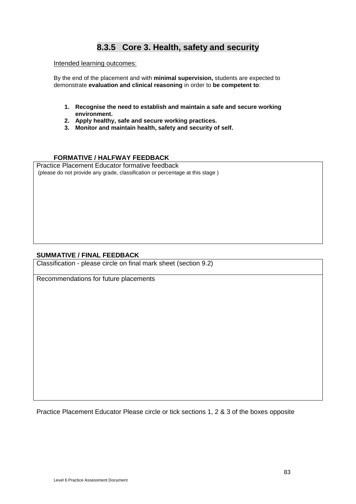# **8.3.5 Core 3. Health, safety and security**

#### Intended learning outcomes:

By the end of the placement and with **minimal supervision,** students are expected to demonstrate **evaluation and clinical reasoning** in order to **be competent to**:

- **1. Recognise the need to establish and maintain a safe and secure working environment.**
- **2. Apply healthy, safe and secure working practices.**
- **3. Monitor and maintain health, safety and security of self.**

## **FORMATIVE / HALFWAY FEEDBACK**

Practice Placement Educator formative feedback (please do not provide any grade, classification or percentage at this stage )

#### **SUMMATIVE / FINAL FEEDBACK**

Classification - please circle on final mark sheet (section 9.2)

Recommendations for future placements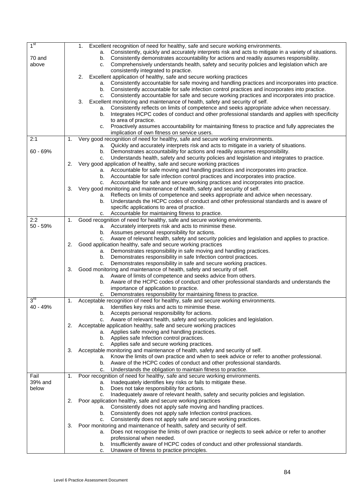| 1 <sup>st</sup>   | Excellent recognition of need for healthy, safe and secure working environments.<br>1.                                                                                          |  |
|-------------------|---------------------------------------------------------------------------------------------------------------------------------------------------------------------------------|--|
|                   | a. Consistently, quickly and accurately interprets risk and acts to mitigate in a variety of situations.                                                                        |  |
| 70 and            | b. Consistently demonstrates accountability for actions and readily assumes responsibility.                                                                                     |  |
| above             | Comprehensively understands health, safety and security policies and legislation which are<br>C.                                                                                |  |
|                   | consistently integrated to practice.                                                                                                                                            |  |
|                   | Excellent application of healthy, safe and secure working practices<br>2.<br>Consistently accountable for safe moving and handling practices and incorporates into practice.    |  |
|                   | а.<br>Consistently accountable for safe infection control practices and incorporates into practice.<br>b.                                                                       |  |
|                   | Consistently accountable for safe and secure working practices and incorporates into practice.<br>c.                                                                            |  |
|                   | Excellent monitoring and maintenance of health, safety and security of self.<br>3.                                                                                              |  |
|                   | Consistently reflects on limits of competence and seeks appropriate advice when necessary.<br>а.                                                                                |  |
|                   | Integrates HCPC codes of conduct and other professional standards and applies with specificity<br>b.                                                                            |  |
|                   | to area of practice.                                                                                                                                                            |  |
|                   | Proactively assumes accountability for maintaining fitness to practice and fully appreciates the<br>C.                                                                          |  |
|                   | implication of own fitness on service users.                                                                                                                                    |  |
| 2:1               | Very good recognition of need for healthy, safe and secure working environments.<br>1.                                                                                          |  |
|                   | a. Quickly and accurately interprets risk and acts to mitigate in a variety of situations.                                                                                      |  |
| $60 - 69%$        | b. Demonstrates accountability for actions and readily assumes responsibility.                                                                                                  |  |
|                   | Understands health, safety and security policies and legislation and integrates to practice.<br>c.<br>Very good application of healthy, safe and secure working practices<br>2. |  |
|                   | a. Accountable for safe moving and handling practices and incorporates into practice.                                                                                           |  |
|                   | b. Accountable for safe infection control practices and incorporates into practice.                                                                                             |  |
|                   | c. Accountable for safe and secure working practices and incorporates into practice.                                                                                            |  |
|                   | Very good monitoring and maintenance of health, safety and security of self.<br>3.                                                                                              |  |
|                   | a. Reflects on limits of competence and seeks appropriate and advice when necessary.                                                                                            |  |
|                   | Understands the HCPC codes of conduct and other professional standards and is aware of<br>b.                                                                                    |  |
|                   | specific applications to area of practice.                                                                                                                                      |  |
|                   | c. Accountable for maintaining fitness to practice.                                                                                                                             |  |
| 2:2<br>$50 - 59%$ | Good recognition of need for healthy, safe and secure working environments.<br>1.<br>a. Accurately interprets risk and acts to minimise these.                                  |  |
|                   | b. Assumes personal responsibility for actions.                                                                                                                                 |  |
|                   | Aware of relevant health, safety and security policies and legislation and applies to practice.<br>C.                                                                           |  |
|                   | Good application healthy, safe and secure working practices<br>2.                                                                                                               |  |
|                   | Demonstrates responsibility in safe moving and handling practices.<br>а.                                                                                                        |  |
|                   | Demonstrates responsibility in safe Infection control practices.<br>b.                                                                                                          |  |
|                   | Demonstrates responsibility in safe and secure working practices.<br>C.                                                                                                         |  |
|                   | Good monitoring and maintenance of health, safety and security of self.<br>3.<br>a. Aware of limits of competence and seeks advice from others.                                 |  |
|                   | Aware of the HCPC codes of conduct and other professional standards and understands the<br>b.                                                                                   |  |
|                   | importance of application to practice.                                                                                                                                          |  |
|                   | Demonstrates responsibility for maintaining fitness to practice.<br>C.                                                                                                          |  |
| 3 <sup>rd</sup>   | Acceptable recognition of need for healthy, safe and secure working environments.<br>1.                                                                                         |  |
| 40 - 49%          | Identifies key risks and acts to minimise these.<br>a.                                                                                                                          |  |
|                   | b. Accepts personal responsibility for actions.                                                                                                                                 |  |
|                   | c. Aware of relevant health, safety and security policies and legislation.                                                                                                      |  |
|                   | Acceptable application healthy, safe and secure working practices<br>2.<br>a. Applies safe moving and handling practices.                                                       |  |
|                   | b. Applies safe Infection control practices.                                                                                                                                    |  |
|                   | c. Applies safe and secure working practices.                                                                                                                                   |  |
|                   | Acceptable monitoring and maintenance of health, safety and security of self.<br>3.                                                                                             |  |
|                   | a. Know the limits of own practice and when to seek advice or refer to another professional.                                                                                    |  |
|                   | b. Aware of the HCPC codes of conduct and other professional standards.                                                                                                         |  |
|                   | Understands the obligation to maintain fitness to practice.<br>C.                                                                                                               |  |
| Fail              | Poor recognition of need for healthy, safe and secure working environments.<br>1.                                                                                               |  |
| 39% and           | Inadequately identifies key risks or fails to mitigate these.<br>а.                                                                                                             |  |
| below             | Does not take responsibility for actions.<br>b.                                                                                                                                 |  |
|                   | Inadequately aware of relevant health, safety and security policies and legislation.<br>c.                                                                                      |  |
|                   | Poor application healthy, safe and secure working practices<br>2.<br>a. Consistently does not apply safe moving and handling practices.                                         |  |
|                   | b. Consistently does not apply safe Infection control practices.                                                                                                                |  |
|                   | Consistently does not apply safe and secure working practices.<br>C.                                                                                                            |  |
|                   | Poor monitoring and maintenance of health, safety and security of self.<br>3.                                                                                                   |  |
|                   | Does not recognise the limits of own practice or neglects to seek advice or refer to another<br>а.                                                                              |  |
|                   | professional when needed.                                                                                                                                                       |  |
|                   | Insufficiently aware of HCPC codes of conduct and other professional standards.<br>b.                                                                                           |  |
|                   | Unaware of fitness to practice principles.<br>c.                                                                                                                                |  |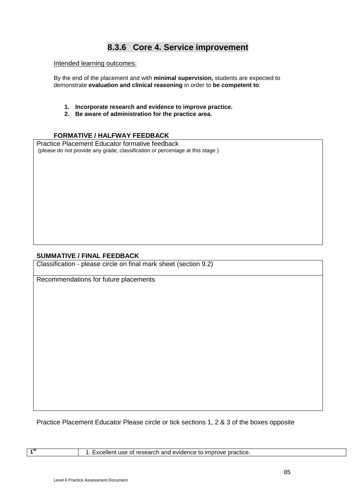# **8.3.6 Core 4. Service improvement**

#### Intended learning outcomes:

By the end of the placement and with **minimal supervision,** students are expected to demonstrate **evaluation and clinical reasoning** in order to **be competent to**:

- **1. Incorporate research and evidence to improve practice.**
- **2. Be aware of administration for the practice area.**

### **FORMATIVE / HALFWAY FEEDBACK**

Practice Placement Educator formative feedback (please do not provide any grade, classification or percentage at this stage )

#### **SUMMATIVE / FINAL FEEDBACK**

Classification - please circle on final mark sheet (section 9.2)

Recommendations for future placements

Practice Placement Educator Please circle or tick sections 1, 2 & 3 of the boxes opposite

1<sup>st</sup> 1. Excellent use of research and evidence to improve practice.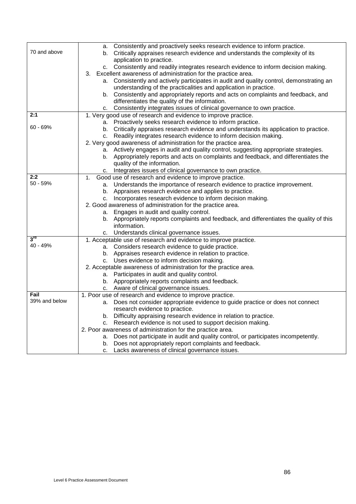|                 | Consistently and proactively seeks research evidence to inform practice.<br>a.           |
|-----------------|------------------------------------------------------------------------------------------|
| 70 and above    | b. Critically appraises research evidence and understands the complexity of its          |
|                 | application to practice.                                                                 |
|                 | c. Consistently and readily integrates research evidence to inform decision making.      |
|                 | Excellent awareness of administration for the practice area.<br>З.                       |
|                 | a. Consistently and actively participates in audit and quality control, demonstrating an |
|                 | understanding of the practicalities and application in practice.                         |
|                 | b. Consistently and appropriately reports and acts on complaints and feedback, and       |
|                 | differentiates the quality of the information.                                           |
|                 | c. Consistently integrates issues of clinical governance to own practice.                |
| 2:1             | 1. Very good use of research and evidence to improve practice.                           |
|                 | a. Proactively seeks research evidence to inform practice.                               |
| $60 - 69%$      | b. Critically appraises research evidence and understands its application to practice.   |
|                 | c. Readily integrates research evidence to inform decision making.                       |
|                 | 2. Very good awareness of administration for the practice area.                          |
|                 | a. Actively engages in audit and quality control, suggesting appropriate strategies.     |
|                 | b. Appropriately reports and acts on complaints and feedback, and differentiates the     |
|                 | quality of the information.                                                              |
|                 | Integrates issues of clinical governance to own practice.<br>С.                          |
| 2:2             | Good use of research and evidence to improve practice.<br>1.                             |
| 50 - 59%        | a. Understands the importance of research evidence to practice improvement.              |
|                 | b. Appraises research evidence and applies to practice.                                  |
|                 | c. Incorporates research evidence to inform decision making.                             |
|                 | 2. Good awareness of administration for the practice area.                               |
|                 | a. Engages in audit and quality control.                                                 |
|                 | b. Appropriately reports complaints and feedback, and differentiates the quality of this |
|                 | information.                                                                             |
|                 | Understands clinical governance issues.<br>с.                                            |
| $3^{\text{rd}}$ | 1. Acceptable use of research and evidence to improve practice.                          |
| 40 - 49%        | a. Considers research evidence to guide practice.                                        |
|                 | b. Appraises research evidence in relation to practice.                                  |
|                 | c. Uses evidence to inform decision making.                                              |
|                 | 2. Acceptable awareness of administration for the practice area.                         |
|                 | a. Participates in audit and quality control.                                            |
|                 | b. Appropriately reports complaints and feedback.                                        |
|                 | c. Aware of clinical governance issues.                                                  |
| Fail            | 1. Poor use of research and evidence to improve practice.                                |
| 39% and below   | a. Does not consider appropriate evidence to guide practice or does not connect          |
|                 | research evidence to practice.                                                           |
|                 | b. Difficulty appraising research evidence in relation to practice.                      |
|                 | c. Research evidence is not used to support decision making.                             |
|                 | 2. Poor awareness of administration for the practice area.                               |
|                 | a. Does not participate in audit and quality control, or participates incompetently.     |
|                 | b. Does not appropriately report complaints and feedback.                                |
|                 | Lacks awareness of clinical governance issues.<br>с.                                     |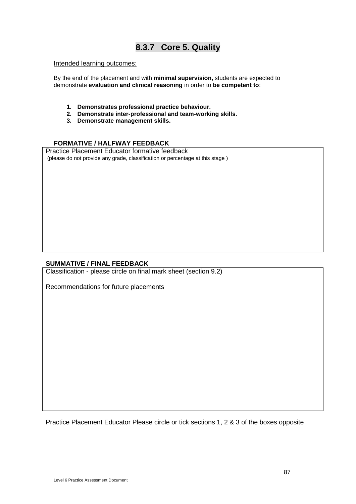## **8.3.7 Core 5. Quality**

#### Intended learning outcomes:

By the end of the placement and with **minimal supervision,** students are expected to demonstrate **evaluation and clinical reasoning** in order to **be competent to**:

- **1. Demonstrates professional practice behaviour.**
- **2. Demonstrate inter-professional and team-working skills.**
- **3. Demonstrate management skills.**

## **FORMATIVE / HALFWAY FEEDBACK**

Practice Placement Educator formative feedback (please do not provide any grade, classification or percentage at this stage )

#### **SUMMATIVE / FINAL FEEDBACK**

Classification - please circle on final mark sheet (section 9.2)

Recommendations for future placements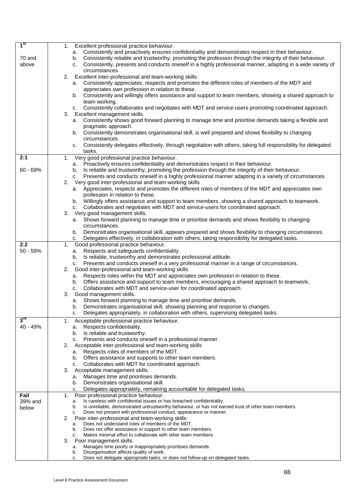| 1 <sup>st</sup>   | Excellent professional practice behaviour.<br>1.                                                                                                                                                                              |
|-------------------|-------------------------------------------------------------------------------------------------------------------------------------------------------------------------------------------------------------------------------|
|                   | a. Consistently and proactively ensures confidentiality and demonstrates respect in their behaviour.                                                                                                                          |
| 70 and<br>above   | b. Consistently reliable and trustworthy, promoting the profession through the integrity of their behaviour.<br>c. Consistently, presents and conducts oneself in a highly professional manner, adapting in a wide variety of |
|                   | circumstances.                                                                                                                                                                                                                |
|                   | Excellent inter-professional and team-working skills<br>2.                                                                                                                                                                    |
|                   | Consistently appreciates, respects and promotes the different roles of members of the MDT and<br>а.                                                                                                                           |
|                   | appreciates own profession in relation to these.                                                                                                                                                                              |
|                   | b. Consistently and willingly offers assistance and support to team members, showing a shared approach to                                                                                                                     |
|                   | team working.                                                                                                                                                                                                                 |
|                   | c. Consistently collaborates and negotiates with MDT and service-users promoting coordinated approach.<br>Excellent management skills.<br>3.                                                                                  |
|                   | a. Consistently shows good forward planning to manage time and prioritise demands taking a flexible and                                                                                                                       |
|                   | pragmatic approach.                                                                                                                                                                                                           |
|                   | Consistently demonstrates organisational skill, is well prepared and shows flexibility to changing<br>b.                                                                                                                      |
|                   | circumstances.                                                                                                                                                                                                                |
|                   | Consistently delegates effectively, through negotiation with others, taking full responsibility for delegated<br>c.<br>tasks.                                                                                                 |
| 2:1               | Very good professional practice behaviour.<br>1.                                                                                                                                                                              |
|                   | a. Proactively ensures confidentiality and demonstrates respect in their behaviour.                                                                                                                                           |
| $60 - 69%$        | Is reliable and trustworthy, promoting the profession through the integrity of their behaviour.<br>b.                                                                                                                         |
|                   | Presents and conducts oneself in a highly professional manner adapting in a variety of circumstances.<br>C.                                                                                                                   |
|                   | Very good inter-professional and team-working skills<br>2.                                                                                                                                                                    |
|                   | a. Appreciates, respects and promotes the different roles of members of the MDT and appreciates own<br>profession in relation to these.                                                                                       |
|                   | b. Willingly offers assistance and support to team members, showing a shared approach to teamwork.                                                                                                                            |
|                   | c. Collaborates and negotiates with MDT and service-users for coordinated approach.                                                                                                                                           |
|                   | 3.<br>Very good management skills.                                                                                                                                                                                            |
|                   | a. Shows forward planning to manage time or prioritise demands and shows flexibility to changing                                                                                                                              |
|                   | circumstances.<br>b. Demonstrates organisational skill, appears prepared and shows flexibility to changing circumstances.                                                                                                     |
|                   | Delegates effectively, in collaboration with others, taking responsibility for delegated tasks.<br>C.                                                                                                                         |
| 2:2               | Good professional practice behaviour.<br>1.                                                                                                                                                                                   |
| $50 - 59%$        | Respects and safeguards confidentiality.<br>а.                                                                                                                                                                                |
|                   | b. Is reliable, trustworthy and demonstrates professional attitude.                                                                                                                                                           |
|                   | Presents and conducts oneself in a very professional manner in a range of circumstances.<br>C.                                                                                                                                |
|                   | Good inter-professional and team-working skills<br>2.<br>a. Respects roles within the MDT and appreciates own profession in relation to these.                                                                                |
|                   | b. Offers assistance and support to team members, encouraging a shared approach to teamwork,                                                                                                                                  |
|                   | Collaborates with MDT and service-user for coordinated approach.<br>C.                                                                                                                                                        |
|                   | Good management skills.<br>3.                                                                                                                                                                                                 |
|                   | a. Shows forward planning to manage time and prioritise demands.                                                                                                                                                              |
|                   | b. Demonstrates organisational skill, showing planning and response to changes.                                                                                                                                               |
| $3^{\mathsf{ra}}$ | c.<br>Delegates appropriately, in collaboration with others, supervising delegated tasks.<br>Acceptable professional practice behaviour.                                                                                      |
| 40 - 49%          | 1.<br>Respects confidentiality.<br>а.                                                                                                                                                                                         |
|                   | b. Is reliable and trustworthy.                                                                                                                                                                                               |
|                   | c. Presents and conducts oneself in a professional manner.                                                                                                                                                                    |
|                   | 2.<br>Acceptable inter-professional and team-working skills                                                                                                                                                                   |
|                   | Respects roles of members of the MDT.<br>а.                                                                                                                                                                                   |
|                   | b. Offers assistance and supports to other team members.<br>Collaborates with MDT for coordinated approach.<br>C.                                                                                                             |
|                   | З.<br>Acceptable management skills.                                                                                                                                                                                           |
|                   | Manages time and prioritises demands.<br>а.                                                                                                                                                                                   |
|                   | Demonstrates organisational skill.<br>b.                                                                                                                                                                                      |
|                   | Delegates appropriately, remaining accountable for delegated tasks.<br>c.                                                                                                                                                     |
| Fail              | 1.<br>Poor professional practice behaviour.<br>Is careless with confidential issues or has breached confidentiality.<br>а.                                                                                                    |
| 39% and<br>below  | Is unreliable, demonstrated untrustworthy behaviour, or has not earned trust of other team members.<br>b.                                                                                                                     |
|                   | Does not present with professional conduct, appearance or manner.<br>c.                                                                                                                                                       |
|                   | 2.<br>Poor inter-professional and team-working skills                                                                                                                                                                         |
|                   | Does not understand roles of members of the MDT.<br>а.<br>Does not offer assistance or support to other team members.<br>b.                                                                                                   |
|                   | Makes minimal effort to collaborate with other team members.<br>c.                                                                                                                                                            |
|                   | 3.<br>Poor management skills.                                                                                                                                                                                                 |
|                   | Manages time poorly or inappropriately prioritises demands.<br>а.<br>Disorganisation affects quality of work.<br>b.                                                                                                           |
|                   | Does not delegate appropriate tasks, or does not follow-up on delegated tasks.<br>c.                                                                                                                                          |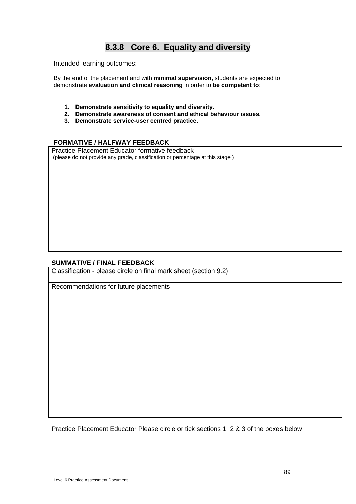# **8.3.8 Core 6. Equality and diversity**

### Intended learning outcomes:

By the end of the placement and with **minimal supervision,** students are expected to demonstrate **evaluation and clinical reasoning** in order to **be competent to**:

- **1. Demonstrate sensitivity to equality and diversity.**
- **2. Demonstrate awareness of consent and ethical behaviour issues.**
- **3. Demonstrate service-user centred practice.**

## **FORMATIVE / HALFWAY FEEDBACK**

Practice Placement Educator formative feedback (please do not provide any grade, classification or percentage at this stage )

## **SUMMATIVE / FINAL FEEDBACK**

Classification - please circle on final mark sheet (section 9.2)

Recommendations for future placements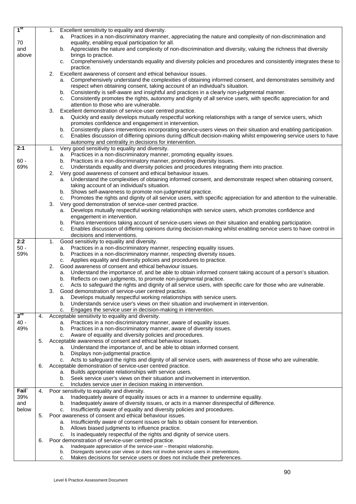| 1 <sup>st</sup>   |    | Excellent sensitivity to equality and diversity.<br>1.                                                                      |  |
|-------------------|----|-----------------------------------------------------------------------------------------------------------------------------|--|
|                   |    |                                                                                                                             |  |
|                   |    | a. Practices in a non-discriminatory manner, appreciating the nature and complexity of non-discrimination and               |  |
| 70                |    | equality, enabling equal participation for all.                                                                             |  |
| and               |    | b. Appreciates the nature and complexity of non-discrimination and diversity, valuing the richness that diversity           |  |
| above             |    | brings to practice.                                                                                                         |  |
|                   |    | c. Comprehensively understands equality and diversity policies and procedures and consistently integrates these to          |  |
|                   |    |                                                                                                                             |  |
|                   |    | practice.                                                                                                                   |  |
|                   |    | 2.<br>Excellent awareness of consent and ethical behaviour issues.                                                          |  |
|                   |    | Comprehensively understand the complexities of obtaining informed consent, and demonstrates sensitivity and<br>а.           |  |
|                   |    | respect when obtaining consent, taking account of an individual's situation.                                                |  |
|                   |    | b. Consistently is self-aware and insightful and practices in a clearly non-judgmental manner.                              |  |
|                   |    |                                                                                                                             |  |
|                   |    | Consistently promotes the rights, autonomy and dignity of all service users, with specific appreciation for and<br>C.       |  |
|                   |    | attention to those who are vulnerable.                                                                                      |  |
|                   |    | Excellent demonstration of service-user centred practice.<br>3.                                                             |  |
|                   |    | Quickly and easily develops mutually respectful working relationships with a range of service users, which<br>а.            |  |
|                   |    |                                                                                                                             |  |
|                   |    | promotes confidence and engagement in intervention.                                                                         |  |
|                   |    | Consistently plans interventions incorporating service-users views on their situation and enabling participation.<br>b.     |  |
|                   |    | Enables discussion of differing opinions during difficult decision-making whilst empowering service users to have<br>c.     |  |
|                   |    | autonomy and centrality in decisions for intervention.                                                                      |  |
| 2:1               |    | Very good sensitivity to equality and diversity.<br>1.                                                                      |  |
|                   |    |                                                                                                                             |  |
|                   |    | a. Practices in a non-discriminatory manner, promoting equality issues.                                                     |  |
| $60 -$            |    | Practices in a non-discriminatory manner, promoting diversity issues.<br>b.                                                 |  |
| 69%               |    | Understands equality and diversity policies and procedures integrating them into practice.<br>c.                            |  |
|                   |    | Very good awareness of consent and ethical behaviour issues.<br>2.                                                          |  |
|                   |    |                                                                                                                             |  |
|                   |    | a. Understand the complexities of obtaining informed consent, and demonstrate respect when obtaining consent,               |  |
|                   |    | taking account of an individual's situation.                                                                                |  |
|                   |    | b. Shows self-awareness to promote non-judgmental practice.                                                                 |  |
|                   |    | Promotes the rights and dignity of all service users, with specific appreciation for and attention to the vulnerable.<br>c. |  |
|                   |    | Very good demonstration of service-user centred practice.<br>3.                                                             |  |
|                   |    |                                                                                                                             |  |
|                   |    | Develops mutually respectful working relationships with service users, which promotes confidence and<br>а.                  |  |
|                   |    | engagement in intervention.                                                                                                 |  |
|                   |    | b. Plans interventions taking account of service-users views on their situation and enabling participation.                 |  |
|                   |    | Enables discussion of differing opinions during decision-making whilst enabling service users to have control in<br>c.      |  |
|                   |    | decisions and interventions.                                                                                                |  |
|                   |    |                                                                                                                             |  |
| 2:2               |    | Good sensitivity to equality and diversity.<br>1.                                                                           |  |
| $50 -$            |    | Practices in a non-discriminatory manner, respecting equality issues.<br>а.                                                 |  |
| 59%               |    | Practices in a non-discriminatory manner, respecting diversity issues.<br>b.                                                |  |
|                   |    | Applies equality and diversity policies and procedures to practice.<br>c.                                                   |  |
|                   |    | Good awareness of consent and ethical behaviour issues.<br>2.                                                               |  |
|                   |    |                                                                                                                             |  |
|                   |    | a. Understand the importance of, and be able to obtain informed consent taking account of a person's situation.             |  |
|                   |    | b. Reflects on own judgments, to promote non-judgmental practice.                                                           |  |
|                   |    | Acts to safeguard the rights and dignity of all service users, with specific care for those who are vulnerable.<br>c.       |  |
|                   |    | Good demonstration of service-user centred practice.<br>3.                                                                  |  |
|                   |    | Develops mutually respectful working relationships with service users.                                                      |  |
|                   |    | а.                                                                                                                          |  |
|                   |    | Understands service user's views on their situation and involvement in intervention.<br>b.                                  |  |
|                   |    | Engages the service user in decision-making in intervention.<br>c.                                                          |  |
| $3^{\mathsf{ra}}$ | 4. | Acceptable sensitivity to equality and diversity.                                                                           |  |
| $40 -$            |    | Practices in a non-discriminatory manner, aware of equality issues.<br>а.                                                   |  |
| 49%               |    | Practices in a non-discriminatory manner, aware of diversity issues.                                                        |  |
|                   |    | b.                                                                                                                          |  |
|                   |    | Aware of equality and diversity policies and procedures.<br>c.                                                              |  |
|                   | 5. | Acceptable awareness of consent and ethical behaviour issues.                                                               |  |
|                   |    | Understand the importance of, and be able to obtain informed consent.<br>а.                                                 |  |
|                   |    | Displays non-judgmental practice.<br>b.                                                                                     |  |
|                   |    | c. Acts to safeguard the rights and dignity of all service users, with awareness of those who are vulnerable.               |  |
|                   |    |                                                                                                                             |  |
|                   | 6. | Acceptable demonstration of service-user centred practice.                                                                  |  |
|                   |    | Builds appropriate relationships with service users.<br>a.                                                                  |  |
|                   |    | Seek service user's views on their situation and involvement in intervention.<br>b.                                         |  |
|                   |    | Includes service user in decision making in intervention.<br>c.                                                             |  |
| Fail <sup>®</sup> | 4. | Poor sensitivity to equality and diversity.                                                                                 |  |
|                   |    |                                                                                                                             |  |
| 39%               |    | Inadequately aware of equality issues or acts in a manner to undermine equality.<br>a.                                      |  |
| and               |    | Inadequately aware of diversity issues, or acts in a manner disrespectful of difference.<br>b.                              |  |
| below             |    | Insufficiently aware of equality and diversity policies and procedures.<br>c.                                               |  |
|                   | 5. | Poor awareness of consent and ethical behaviour issues.                                                                     |  |
|                   |    | Insufficiently aware of consent issues or fails to obtain consent for intervention.<br>a.                                   |  |
|                   |    |                                                                                                                             |  |
|                   |    | Allows biased judgments to influence practice.<br>b.                                                                        |  |
|                   |    | Is inadequately respectful of the rights and dignity of service users.<br>c.                                                |  |
|                   | 6. | Poor demonstration of service-user centred practice.                                                                        |  |
|                   |    | Inadequate appreciation of the service-user - therapist relationship.<br>a.                                                 |  |
|                   |    | Disregards service user views or does not involve service users in interventions.<br>b.                                     |  |
|                   |    | Makes decisions for service users or does not include their preferences.<br>c.                                              |  |
|                   |    |                                                                                                                             |  |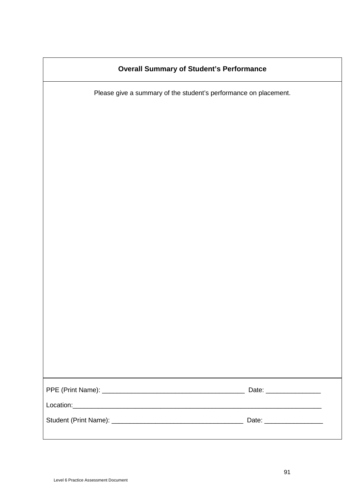|  | <b>Overall Summary of Student's Performance</b> |
|--|-------------------------------------------------|
|--|-------------------------------------------------|

Please give a summary of the student's performance on placement.

| Date: __________________  |
|---------------------------|
|                           |
| Date: ___________________ |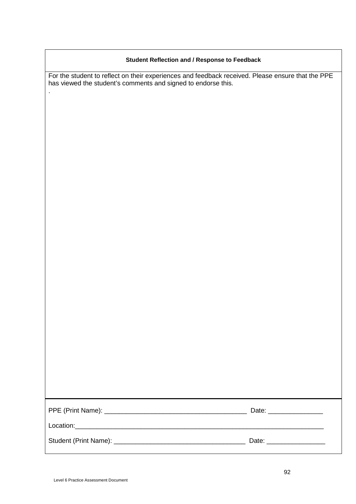### **Student Reflection and / Response to Feedback**

For the student to reflect on their experiences and feedback received. Please ensure that the PPE has viewed the student's comments and signed to endorse this.

| Date: _______________  |
|------------------------|
|                        |
| Date: ________________ |

.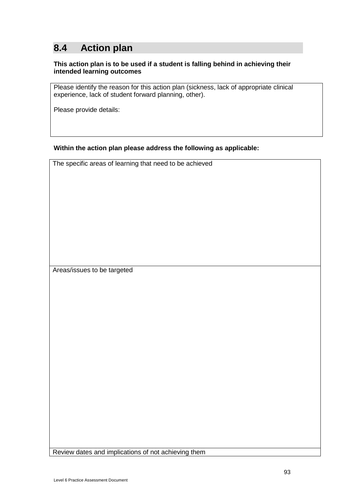# **8.4 Action plan**

## **This action plan is to be used if a student is falling behind in achieving their intended learning outcomes**

Please identify the reason for this action plan (sickness, lack of appropriate clinical experience, lack of student forward planning, other).

Please provide details:

**Within the action plan please address the following as applicable:**

The specific areas of learning that need to be achieved

Areas/issues to be targeted

Review dates and implications of not achieving them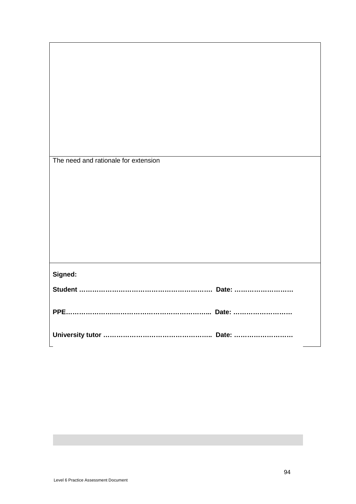| The need and rationale for extension |
|--------------------------------------|
|                                      |
|                                      |
|                                      |
|                                      |
|                                      |
|                                      |
|                                      |
|                                      |
|                                      |
|                                      |
|                                      |
|                                      |
|                                      |
|                                      |
|                                      |
|                                      |
|                                      |
|                                      |
|                                      |
|                                      |
|                                      |
| Signed:                              |
|                                      |
|                                      |
|                                      |
|                                      |
|                                      |
|                                      |
|                                      |
|                                      |
|                                      |
|                                      |
|                                      |
|                                      |
|                                      |
|                                      |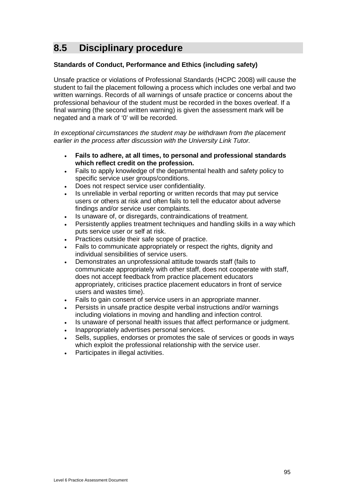# **8.5 Disciplinary procedure**

## **Standards of Conduct, Performance and Ethics (including safety)**

Unsafe practice or violations of Professional Standards (HCPC 2008) will cause the student to fail the placement following a process which includes one verbal and two written warnings. Records of all warnings of unsafe practice or concerns about the professional behaviour of the student must be recorded in the boxes overleaf. If a final warning (the second written warning) is given the assessment mark will be negated and a mark of '0' will be recorded.

*In exceptional circumstances the student may be withdrawn from the placement earlier in the process after discussion with the University Link Tutor.*

- **Fails to adhere, at all times, to personal and professional standards which reflect credit on the profession.**
- Fails to apply knowledge of the departmental health and safety policy to specific service user groups/conditions.
- Does not respect service user confidentiality.
- Is unreliable in verbal reporting or written records that may put service users or others at risk and often fails to tell the educator about adverse findings and/or service user complaints.
- Is unaware of, or disregards, contraindications of treatment.
- Persistently applies treatment techniques and handling skills in a way which puts service user or self at risk.
- Practices outside their safe scope of practice.
- Fails to communicate appropriately or respect the rights, dignity and individual sensibilities of service users.
- Demonstrates an unprofessional attitude towards staff (fails to communicate appropriately with other staff, does not cooperate with staff, does not accept feedback from practice placement educators appropriately, criticises practice placement educators in front of service users and wastes time).
- Fails to gain consent of service users in an appropriate manner.
- Persists in unsafe practice despite verbal instructions and/or warnings including violations in moving and handling and infection control.
- Is unaware of personal health issues that affect performance or judgment.
- Inappropriately advertises personal services.
- Sells, supplies, endorses or promotes the sale of services or goods in ways which exploit the professional relationship with the service user.
- Participates in illegal activities.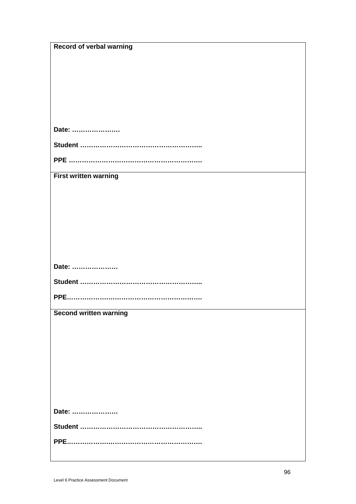| <b>Record of verbal warning</b> |
|---------------------------------|
|                                 |
|                                 |
|                                 |
|                                 |
|                                 |
|                                 |
| Date:                           |
|                                 |
|                                 |
|                                 |
| <b>First written warning</b>    |
|                                 |
|                                 |
|                                 |
|                                 |
|                                 |
|                                 |
|                                 |
| Date:                           |
|                                 |
|                                 |
| <b>Second written warning</b>   |
|                                 |
|                                 |
|                                 |
|                                 |
|                                 |
|                                 |
|                                 |
|                                 |
|                                 |
| Date:                           |
|                                 |
|                                 |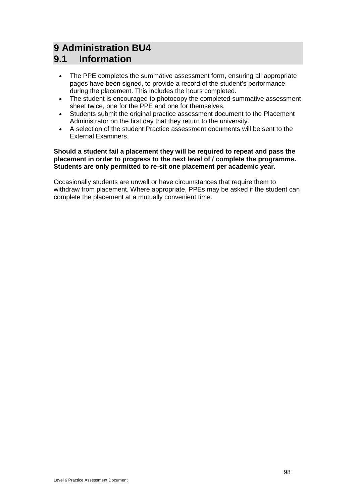# **9 Administration BU4**

# **9.1 Information**

- The PPE completes the summative assessment form, ensuring all appropriate pages have been signed, to provide a record of the student's performance during the placement. This includes the hours completed.
- The student is encouraged to photocopy the completed summative assessment sheet twice, one for the PPE and one for themselves.
- Students submit the original practice assessment document to the Placement Administrator on the first day that they return to the university.
- A selection of the student Practice assessment documents will be sent to the External Examiners.

#### **Should a student fail a placement they will be required to repeat and pass the placement in order to progress to the next level of / complete the programme. Students are only permitted to re-sit one placement per academic year.**

Occasionally students are unwell or have circumstances that require them to withdraw from placement. Where appropriate, PPEs may be asked if the student can complete the placement at a mutually convenient time.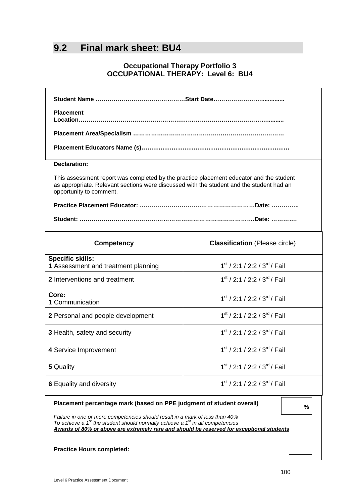# **9.2 Final mark sheet: BU4**

## **Occupational Therapy Portfolio 3 OCCUPATIONAL THERAPY: Level 6: BU4**

| <b>Placement</b>                                                                                                                                                                                                                                                |                                                      |  |  |  |  |  |
|-----------------------------------------------------------------------------------------------------------------------------------------------------------------------------------------------------------------------------------------------------------------|------------------------------------------------------|--|--|--|--|--|
|                                                                                                                                                                                                                                                                 |                                                      |  |  |  |  |  |
|                                                                                                                                                                                                                                                                 |                                                      |  |  |  |  |  |
| <b>Declaration:</b>                                                                                                                                                                                                                                             |                                                      |  |  |  |  |  |
| This assessment report was completed by the practice placement educator and the student<br>as appropriate. Relevant sections were discussed with the student and the student had an<br>opportunity to comment.                                                  |                                                      |  |  |  |  |  |
|                                                                                                                                                                                                                                                                 |                                                      |  |  |  |  |  |
| Student: ………………………………………………………………………………………Date: ……………                                                                                                                                                                                                           |                                                      |  |  |  |  |  |
| <b>Competency</b>                                                                                                                                                                                                                                               | <b>Classification</b> (Please circle)                |  |  |  |  |  |
| <b>Specific skills:</b><br>1 Assessment and treatment planning                                                                                                                                                                                                  | 1 <sup>st</sup> / 2:1 / 2:2 / 3 <sup>rd</sup> / Fail |  |  |  |  |  |
| $1st$ / 2:1 / 2:2 / 3 <sup>rd</sup> / Fail<br>2 Interventions and treatment                                                                                                                                                                                     |                                                      |  |  |  |  |  |
| Core:<br>$1st$ / 2:1 / 2:2 / 3 <sup>rd</sup> / Fail<br>1 Communication                                                                                                                                                                                          |                                                      |  |  |  |  |  |
| $1st$ / 2:1 / 2:2 / 3 <sup>rd</sup> / Fail<br>2 Personal and people development                                                                                                                                                                                 |                                                      |  |  |  |  |  |
| $1st$ / 2:1 / 2:2 / 3 <sup>rd</sup> / Fail<br>3 Health, safety and security                                                                                                                                                                                     |                                                      |  |  |  |  |  |
| $1st$ / 2:1 / 2:2 / 3 <sup>rd</sup> / Fail<br>4 Service Improvement                                                                                                                                                                                             |                                                      |  |  |  |  |  |
| 5 Quality                                                                                                                                                                                                                                                       | $1st$ / 2:1 / 2:2 / 3 <sup>rd</sup> / Fail           |  |  |  |  |  |
| $1st$ / 2:1 / 2:2 / 3 <sup>rd</sup> / Fail<br><b>6 Equality and diversity</b>                                                                                                                                                                                   |                                                      |  |  |  |  |  |
| Placement percentage mark (based on PPE judgment of student overall)<br>%                                                                                                                                                                                       |                                                      |  |  |  |  |  |
| Failure in one or more competencies should result in a mark of less than 40%<br>To achieve a $1st$ the student should normally achieve a $1st$ in all competencies<br>Awards of 80% or above are extremely rare and should be reserved for exceptional students |                                                      |  |  |  |  |  |
| <b>Practice Hours completed:</b>                                                                                                                                                                                                                                |                                                      |  |  |  |  |  |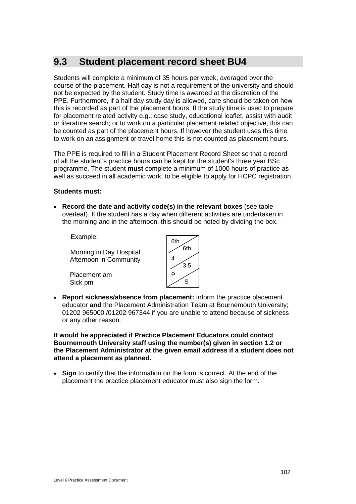# **9.3 Student placement record sheet BU4**

Students will complete a minimum of 35 hours per week, averaged over the course of the placement. Half day is not a requirement of the university and should not be expected by the student. Study time is awarded at the discretion of the PPE. Furthermore, if a half day study day is allowed, care should be taken on how this is recorded as part of the placement hours. If the study time is used to prepare for placement related activity e.g.; case study, educational leaflet, assist with audit or literature search; or to work on a particular placement related objective, this can be counted as part of the placement hours. If however the student uses this time to work on an assignment or travel home this is not counted as placement hours.

The PPE is required to fill in a Student Placement Record Sheet so that a record of all the student's practice hours can be kept for the student's three year BSc programme. The student **must** complete a minimum of 1000 hours of practice as well as succeed in all academic work, to be eligible to apply for HCPC registration.

#### **Students must:**

• **Record the date and activity code(s) in the relevant boxes** (see table overleaf). If the student has a day when different activities are undertaken in the morning and in the afternoon, this should be noted by dividing the box.

Example:

Morning in Day Hospital Afternoon in Community

Placement am Sick pm

| 6th     |
|---------|
| 6th     |
| 4       |
| .5<br>ว |
| P       |
| ς       |
|         |

• **Report sickness/absence from placement:** Inform the practice placement educator **and** the Placement Administration Team at Bournemouth University; 01202 965000 /01202 967344 if you are unable to attend because of sickness or any other reason.

**It would be appreciated if Practice Placement Educators could contact Bournemouth University staff using the number(s) given in section 1.2 or the Placement Administrator at the given email address if a student does not attend a placement as planned.**

• **Sign** to certify that the information on the form is correct. At the end of the placement the practice placement educator must also sign the form.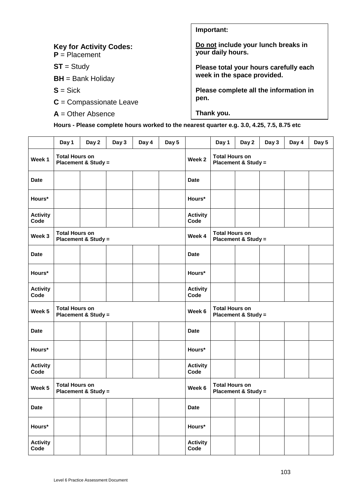| <b>Key for Activity Codes:</b><br>$P =$ Placement | Do not include your lunch breaks in<br>your daily hours. |  |  |  |
|---------------------------------------------------|----------------------------------------------------------|--|--|--|
| $ST = Study$                                      | Please total your hours carefully each                   |  |  |  |
| $BH = Bank$ Holiday                               | week in the space provided.                              |  |  |  |
| $S = Sick$                                        | Please complete all the information in                   |  |  |  |
| $C =$ Compassionate Leave                         | pen.                                                     |  |  |  |
| $A =$ Other Absence                               | Thank you.                                               |  |  |  |

**Important:**

**Hours - Please complete hours worked to the nearest quarter e.g. 3.0, 4.25, 7.5, 8.75 etc**

|                         | Day 1                                                   | Day 2                          | Day 3 | Day 4  | Day 5                                                   |                                                         | Day 1                                                   | Day 2               | Day 3 | Day 4 | Day 5 |
|-------------------------|---------------------------------------------------------|--------------------------------|-------|--------|---------------------------------------------------------|---------------------------------------------------------|---------------------------------------------------------|---------------------|-------|-------|-------|
| Week 1                  | <b>Total Hours on</b><br><b>Placement &amp; Study =</b> |                                |       |        |                                                         | Week <sub>2</sub>                                       | <b>Total Hours on</b><br><b>Placement &amp; Study =</b> |                     |       |       |       |
| <b>Date</b>             |                                                         |                                |       |        |                                                         | <b>Date</b>                                             |                                                         |                     |       |       |       |
| Hours*                  |                                                         |                                |       |        |                                                         | Hours*                                                  |                                                         |                     |       |       |       |
| <b>Activity</b><br>Code |                                                         |                                |       |        |                                                         | <b>Activity</b><br>Code                                 |                                                         |                     |       |       |       |
| Week 3                  | <b>Total Hours on</b>                                   | <b>Placement &amp; Study =</b> |       |        |                                                         | Week 4                                                  | <b>Total Hours on</b>                                   | Placement & Study = |       |       |       |
| <b>Date</b>             |                                                         |                                |       |        |                                                         | Date                                                    |                                                         |                     |       |       |       |
| Hours*                  |                                                         |                                |       |        |                                                         | Hours*                                                  |                                                         |                     |       |       |       |
| <b>Activity</b><br>Code |                                                         |                                |       |        |                                                         | <b>Activity</b><br>Code                                 |                                                         |                     |       |       |       |
| Week 5                  | <b>Total Hours on</b><br><b>Placement &amp; Study =</b> |                                |       |        | Week 6                                                  | <b>Total Hours on</b><br><b>Placement &amp; Study =</b> |                                                         |                     |       |       |       |
| <b>Date</b>             |                                                         |                                |       |        |                                                         | <b>Date</b>                                             |                                                         |                     |       |       |       |
| Hours*                  |                                                         |                                |       |        |                                                         | Hours*                                                  |                                                         |                     |       |       |       |
| <b>Activity</b><br>Code |                                                         |                                |       |        |                                                         | <b>Activity</b><br>Code                                 |                                                         |                     |       |       |       |
| Week 5                  | <b>Total Hours on</b><br><b>Placement &amp; Study =</b> |                                |       | Week 6 | <b>Total Hours on</b><br><b>Placement &amp; Study =</b> |                                                         |                                                         |                     |       |       |       |
| <b>Date</b>             |                                                         |                                |       |        |                                                         | <b>Date</b>                                             |                                                         |                     |       |       |       |
| Hours*                  |                                                         |                                |       |        |                                                         | Hours*                                                  |                                                         |                     |       |       |       |
| <b>Activity</b><br>Code |                                                         |                                |       |        |                                                         | <b>Activity</b><br>Code                                 |                                                         |                     |       |       |       |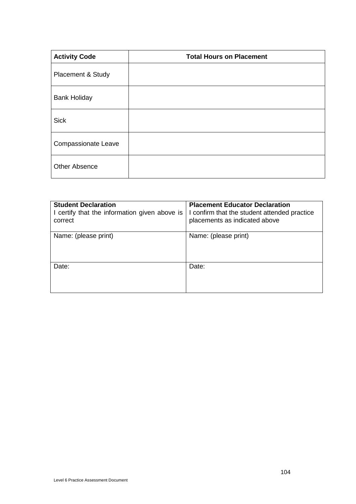| <b>Activity Code</b>       | <b>Total Hours on Placement</b> |
|----------------------------|---------------------------------|
| Placement & Study          |                                 |
| <b>Bank Holiday</b>        |                                 |
| <b>Sick</b>                |                                 |
| <b>Compassionate Leave</b> |                                 |
| <b>Other Absence</b>       |                                 |

| <b>Student Declaration</b><br>I certify that the information given above is<br>correct | <b>Placement Educator Declaration</b><br>I confirm that the student attended practice<br>placements as indicated above |
|----------------------------------------------------------------------------------------|------------------------------------------------------------------------------------------------------------------------|
| Name: (please print)                                                                   | Name: (please print)                                                                                                   |
| Date:                                                                                  | Date:                                                                                                                  |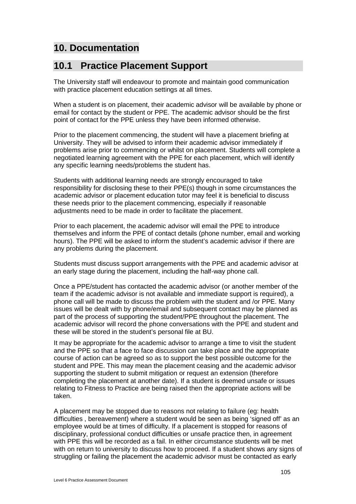# **10. Documentation**

# **10.1 Practice Placement Support**

The University staff will endeavour to promote and maintain good communication with practice placement education settings at all times.

When a student is on placement, their academic advisor will be available by phone or email for contact by the student or PPE. The academic advisor should be the first point of contact for the PPE unless they have been informed otherwise.

Prior to the placement commencing, the student will have a placement briefing at University. They will be advised to inform their academic advisor immediately if problems arise prior to commencing or whilst on placement. Students will complete a negotiated learning agreement with the PPE for each placement, which will identify any specific learning needs/problems the student has.

Students with additional learning needs are strongly encouraged to take responsibility for disclosing these to their PPE(s) though in some circumstances the academic advisor or placement education tutor may feel it is beneficial to discuss these needs prior to the placement commencing, especially if reasonable adjustments need to be made in order to facilitate the placement.

Prior to each placement, the academic advisor will email the PPE to introduce themselves and inform the PPE of contact details (phone number, email and working hours). The PPE will be asked to inform the student's academic advisor if there are any problems during the placement.

Students must discuss support arrangements with the PPE and academic advisor at an early stage during the placement, including the half-way phone call.

Once a PPE/student has contacted the academic advisor (or another member of the team if the academic advisor is not available and immediate support is required), a phone call will be made to discuss the problem with the student and /or PPE. Many issues will be dealt with by phone/email and subsequent contact may be planned as part of the process of supporting the student/PPE throughout the placement. The academic advisor will record the phone conversations with the PPE and student and these will be stored in the student's personal file at BU.

It may be appropriate for the academic advisor to arrange a time to visit the student and the PPE so that a face to face discussion can take place and the appropriate course of action can be agreed so as to support the best possible outcome for the student and PPE. This may mean the placement ceasing and the academic advisor supporting the student to submit mitigation or request an extension (therefore completing the placement at another date). If a student is deemed unsafe or issues relating to Fitness to Practice are being raised then the appropriate actions will be taken.

A placement may be stopped due to reasons not relating to failure (eg: health difficulties , bereavement) where a student would be seen as being 'signed off' as an employee would be at times of difficulty. If a placement is stopped for reasons of disciplinary, professional conduct difficulties or unsafe practice then, in agreement with PPE this will be recorded as a fail. In either circumstance students will be met with on return to university to discuss how to proceed. If a student shows any signs of struggling or failing the placement the academic advisor must be contacted as early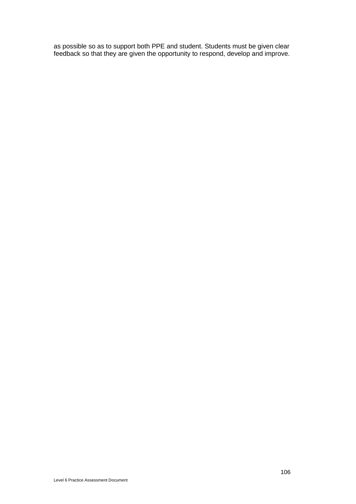as possible so as to support both PPE and student. Students must be given clear feedback so that they are given the opportunity to respond, develop and improve.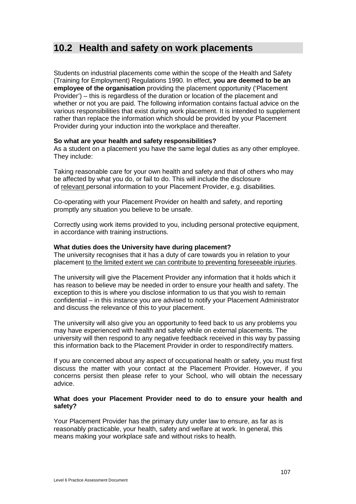### **10.2 Health and safety on work placements**

Students on industrial placements come within the scope of the Health and Safety (Training for Employment) Regulations 1990. In effect, **you are deemed to be an employee of the organisation** providing the placement opportunity ('Placement Provider') – this is regardless of the duration or location of the placement and whether or not you are paid. The following information contains factual advice on the various responsibilities that exist during work placement. It is intended to supplement rather than replace the information which should be provided by your Placement Provider during your induction into the workplace and thereafter.

#### **So what are your health and safety responsibilities?**

As a student on a placement you have the same legal duties as any other employee. They include:

Taking reasonable care for your own health and safety and that of others who may be affected by what you do, or fail to do. This will include the disclosure of relevant personal information to your Placement Provider, e.g. disabilities.

Co-operating with your Placement Provider on health and safety, and reporting promptly any situation you believe to be unsafe.

Correctly using work items provided to you, including personal protective equipment, in accordance with training instructions.

#### **What duties does the University have during placement?**

The university recognises that it has a duty of care towards you in relation to your placement to the limited extent we can contribute to preventing foreseeable injuries.

The university will give the Placement Provider any information that it holds which it has reason to believe may be needed in order to ensure your health and safety. The exception to this is where you disclose information to us that you wish to remain confidential – in this instance you are advised to notify your Placement Administrator and discuss the relevance of this to your placement.

The university will also give you an opportunity to feed back to us any problems you may have experienced with health and safety while on external placements. The university will then respond to any negative feedback received in this way by passing this information back to the Placement Provider in order to respond/rectify matters.

If you are concerned about any aspect of occupational health or safety, you must first discuss the matter with your contact at the Placement Provider. However, if you concerns persist then please refer to your School, who will obtain the necessary advice.

#### **What does your Placement Provider need to do to ensure your health and safety?**

Your Placement Provider has the primary duty under law to ensure, as far as is reasonably practicable, your health, safety and welfare at work. In general, this means making your workplace safe and without risks to health.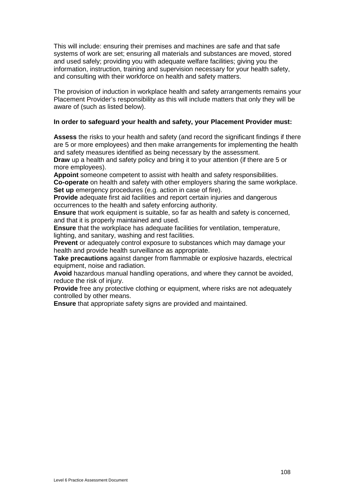This will include: ensuring their premises and machines are safe and that safe systems of work are set; ensuring all materials and substances are moved, stored and used safely; providing you with adequate welfare facilities; giving you the information, instruction, training and supervision necessary for your health safety, and consulting with their workforce on health and safety matters.

The provision of induction in workplace health and safety arrangements remains your Placement Provider's responsibility as this will include matters that only they will be aware of (such as listed below).

#### **In order to safeguard your health and safety, your Placement Provider must:**

**Assess** the risks to your health and safety (and record the significant findings if there are 5 or more employees) and then make arrangements for implementing the health and safety measures identified as being necessary by the assessment.

**Draw** up a health and safety policy and bring it to your attention (if there are 5 or more employees).

**Appoint** someone competent to assist with health and safety responsibilities. **Co-operate** on health and safety with other employers sharing the same workplace. **Set up** emergency procedures (e.g. action in case of fire).

**Provide** adequate first aid facilities and report certain injuries and dangerous occurrences to the health and safety enforcing authority.

**Ensure** that work equipment is suitable, so far as health and safety is concerned, and that it is properly maintained and used.

**Ensure** that the workplace has adequate facilities for ventilation, temperature, lighting, and sanitary, washing and rest facilities.

**Prevent** or adequately control exposure to substances which may damage your health and provide health surveillance as appropriate.

**Take precautions** against danger from flammable or explosive hazards, electrical equipment, noise and radiation.

**Avoid** hazardous manual handling operations, and where they cannot be avoided, reduce the risk of injury.

**Provide** free any protective clothing or equipment, where risks are not adequately controlled by other means.

**Ensure** that appropriate safety signs are provided and maintained.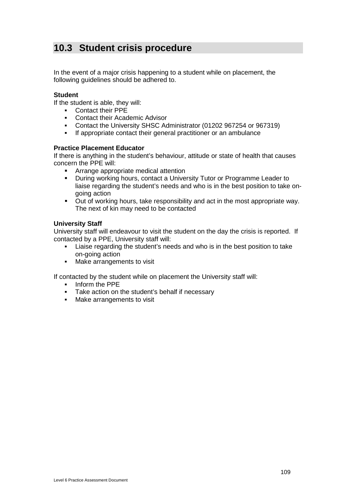# **10.3 Student crisis procedure**

In the event of a major crisis happening to a student while on placement, the following guidelines should be adhered to.

#### **Student**

If the student is able, they will:

- Contact their PPE
- Contact their Academic Advisor
- Contact the University SHSC Administrator (01202 967254 or 967319)
- If appropriate contact their general practitioner or an ambulance

#### **Practice Placement Educator**

If there is anything in the student's behaviour, attitude or state of health that causes concern the PPE will:

- **EXPLORED Arrange appropriate medical attention**
- During working hours, contact a University Tutor or Programme Leader to liaise regarding the student's needs and who is in the best position to take ongoing action
- Out of working hours, take responsibility and act in the most appropriate way. The next of kin may need to be contacted

#### **University Staff**

University staff will endeavour to visit the student on the day the crisis is reported. If contacted by a PPE, University staff will:

- Liaise regarding the student's needs and who is in the best position to take on-going action
- Make arrangements to visit

If contacted by the student while on placement the University staff will:

- **Inform the PPF**
- Take action on the student's behalf if necessary
- Make arrangements to visit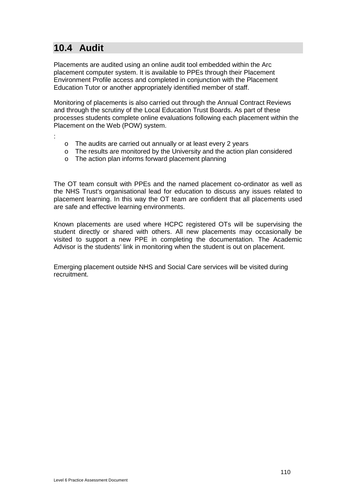# **10.4 Audit**

Placements are audited using an online audit tool embedded within the Arc placement computer system. It is available to PPEs through their Placement Environment Profile access and completed in conjunction with the Placement Education Tutor or another appropriately identified member of staff.

Monitoring of placements is also carried out through the Annual Contract Reviews and through the scrutiny of the Local Education Trust Boards. As part of these processes students complete online evaluations following each placement within the Placement on the Web (POW) system.

- :
- o The audits are carried out annually or at least every 2 years
- o The results are monitored by the University and the action plan considered
- o The action plan informs forward placement planning

The OT team consult with PPEs and the named placement co-ordinator as well as the NHS Trust's organisational lead for education to discuss any issues related to placement learning. In this way the OT team are confident that all placements used are safe and effective learning environments.

Known placements are used where HCPC registered OTs will be supervising the student directly or shared with others. All new placements may occasionally be visited to support a new PPE in completing the documentation. The Academic Advisor is the students' link in monitoring when the student is out on placement.

Emerging placement outside NHS and Social Care services will be visited during recruitment.